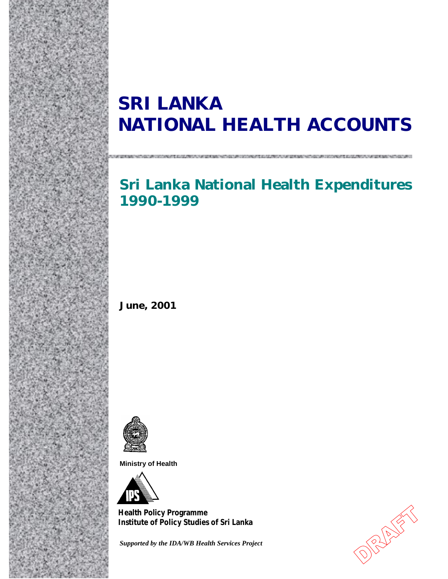# **SRI LANKA NATIONAL HEALTH ACCOUNTS**

# **Sri Lanka National Health Expenditures 1990-1999**

**June, 2001** 



**Ministry of Health** 



**Health Policy Programme Institute of Policy Studies of Sri Lanka Institute of Policy Studies of Sri LankaHealth Policy Programme**

*Supported by the IDA/WB Health Services Project*

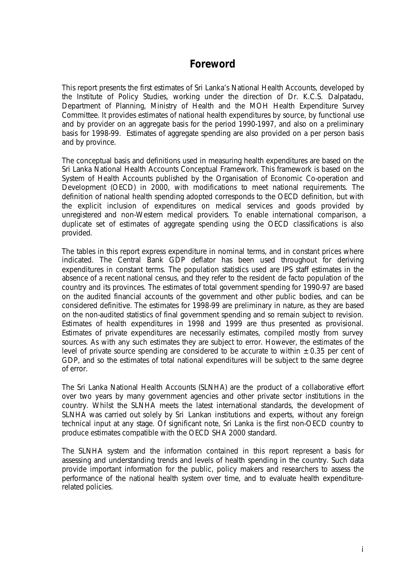## **Foreword**

This report presents the first estimates of Sri Lanka's National Health Accounts, developed by the Institute of Policy Studies, working under the direction of Dr. K.C.S. Dalpatadu, Department of Planning, Ministry of Health and the MOH Health Expenditure Survey Committee. It provides estimates of national health expenditures by source, by functional use and by provider on an aggregate basis for the period 1990-1997, and also on a preliminary basis for 1998-99. Estimates of aggregate spending are also provided on a per person basis and by province.

The conceptual basis and definitions used in measuring health expenditures are based on the Sri Lanka National Health Accounts Conceptual Framework. This framework is based on the System of Health Accounts published by the Organisation of Economic Co-operation and Development (OECD) in 2000, with modifications to meet national requirements. The definition of national health spending adopted corresponds to the OECD definition, but with the explicit inclusion of expenditures on medical services and goods provided by unregistered and non-Western medical providers. To enable international comparison, a duplicate set of estimates of aggregate spending using the OECD classifications is also provided.

The tables in this report express expenditure in nominal terms, and in constant prices where indicated. The Central Bank GDP deflator has been used throughout for deriving expenditures in constant terms. The population statistics used are IPS staff estimates in the absence of a recent national census, and they refer to the resident *de facto* population of the country and its provinces. The estimates of total government spending for 1990-97 are based on the audited financial accounts of the government and other public bodies, and can be considered definitive. The estimates for 1998-99 are preliminary in nature, as they are based on the non-audited statistics of final government spending and so remain subject to revision. Estimates of health expenditures in 1998 and 1999 are thus presented as provisional. Estimates of private expenditures are necessarily estimates, compiled mostly from survey sources. As with any such estimates they are subject to error. However, the estimates of the level of private source spending are considered to be accurate to within  $\pm 0.35$  per cent of GDP, and so the estimates of total national expenditures will be subject to the same degree of error.

The Sri Lanka National Health Accounts (SLNHA) are the product of a collaborative effort over two years by many government agencies and other private sector institutions in the country. Whilst the SLNHA meets the latest international standards, the development of SLNHA was carried out solely by Sri Lankan institutions and experts, without any foreign technical input at any stage. Of significant note, Sri Lanka is the first non-OECD country to produce estimates compatible with the OECD SHA 2000 standard.

The SLNHA system and the information contained in this report represent a basis for assessing and understanding trends and levels of health spending in the country. Such data provide important information for the public, policy makers and researchers to assess the performance of the national health system over time, and to evaluate health expenditurerelated policies.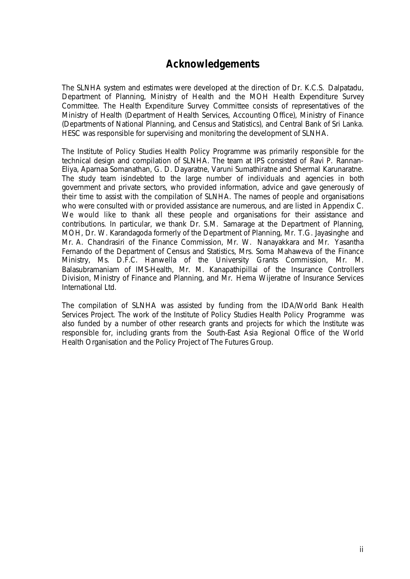## **Acknowledgements**

The SLNHA system and estimates were developed at the direction of Dr. K.C.S. Dalpatadu, Department of Planning, Ministry of Health and the MOH Health Expenditure Survey Committee. The Health Expenditure Survey Committee consists of representatives of the Ministry of Health (Department of Health Services, Accounting Office), Ministry of Finance (Departments of National Planning, and Census and Statistics), and Central Bank of Sri Lanka. HESC was responsible for supervising and monitoring the development of SLNHA.

The Institute of Policy Studies Health Policy Programme was primarily responsible for the technical design and compilation of SLNHA. The team at IPS consisted of Ravi P. Rannan-Eliya, Aparnaa Somanathan, G. D. Dayaratne, Varuni Sumathiratne and Shermal Karunaratne. The study team isindebted to the large number of individuals and agencies in both government and private sectors, who provided information, advice and gave generously of their time to assist with the compilation of SLNHA. The names of people and organisations who were consulted with or provided assistance are numerous, and are listed in Appendix C. We would like to thank all these people and organisations for their assistance and contributions. In particular, we thank Dr. S.M. Samarage at the Department of Planning, MOH, Dr. W. Karandagoda formerly of the Department of Planning, Mr. T.G. Jayasinghe and Mr. A. Chandrasiri of the Finance Commission, Mr. W. Nanayakkara and Mr. Yasantha Fernando of the Department of Census and Statistics, Mrs. Soma Mahaweva of the Finance Ministry, Ms. D.F.C. Hanwella of the University Grants Commission, Mr. M. Balasubramaniam of IMS-Health, Mr. M. Kanapathipillai of the Insurance Controllers Division, Ministry of Finance and Planning, and Mr. Hema Wijeratne of Insurance Services International Ltd.

The compilation of SLNHA was assisted by funding from the IDA/World Bank Health Services Project. The work of the Institute of Policy Studies Health Policy Programme was also funded by a number of other research grants and projects for which the Institute was responsible for, including grants from the South-East Asia Regional Office of the World Health Organisation and the Policy Project of The Futures Group.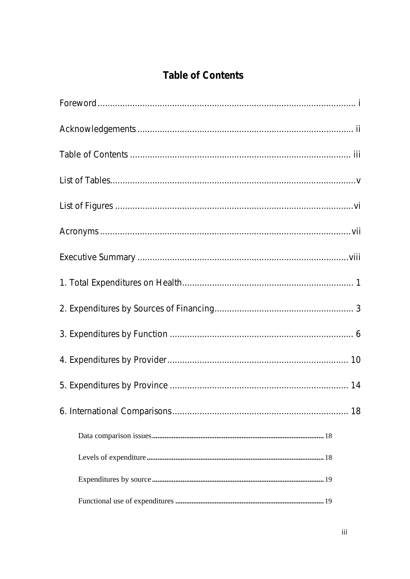# **Table of Contents**

| 18 |
|----|
|    |
|    |
|    |
|    |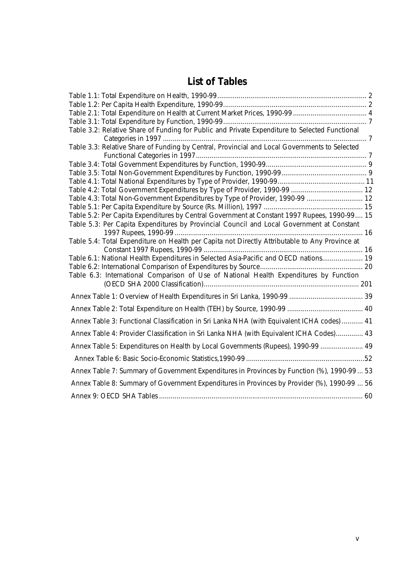# **List of Tables**

| Table 3.2: Relative Share of Funding for Public and Private Expenditure to Selected Functional |  |
|------------------------------------------------------------------------------------------------|--|
|                                                                                                |  |
| Table 3.3: Relative Share of Funding by Central, Provincial and Local Governments to Selected  |  |
|                                                                                                |  |
|                                                                                                |  |
|                                                                                                |  |
|                                                                                                |  |
| Table 4.3: Total Non-Government Expenditures by Type of Provider, 1990-99  12                  |  |
|                                                                                                |  |
| Table 5.2: Per Capita Expenditures by Central Government at Constant 1997 Rupees, 1990-99 15   |  |
| Table 5.3: Per Capita Expenditures by Provincial Council and Local Government at Constant      |  |
|                                                                                                |  |
| Table 5.4: Total Expenditure on Health per Capita not Directly Attributable to Any Province at |  |
|                                                                                                |  |
| Table 6.1: National Health Expenditures in Selected Asia-Pacific and OECD nations 19           |  |
|                                                                                                |  |
| Table 6.3: International Comparison of Use of National Health Expenditures by Function         |  |
|                                                                                                |  |
|                                                                                                |  |
|                                                                                                |  |
| Annex Table 3: Functional Classification in Sri Lanka NHA (with Equivalent ICHA codes)  41     |  |
| Annex Table 4: Provider Classification in Sri Lanka NHA (with Equivalent ICHA Codes) 43        |  |
| Annex Table 5: Expenditures on Health by Local Governments (Rupees), 1990-99  49               |  |
|                                                                                                |  |
| Annex Table 7: Summary of Government Expenditures in Provinces by Function (%), 1990-99  53    |  |
| Annex Table 8: Summary of Government Expenditures in Provinces by Provider (%), 1990-99  56    |  |
|                                                                                                |  |
|                                                                                                |  |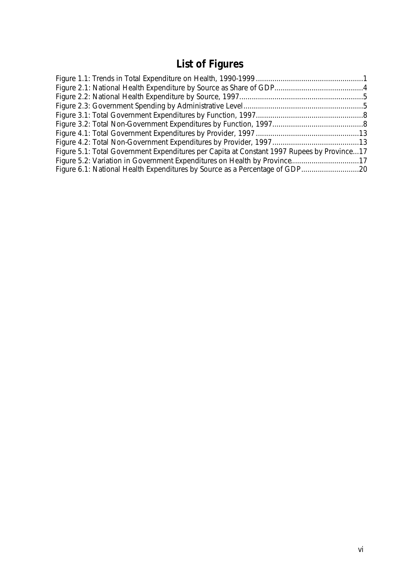# **List of Figures**

| Figure 5.1: Total Government Expenditures per Capita at Constant 1997 Rupees by Province17 |
|--------------------------------------------------------------------------------------------|
|                                                                                            |
|                                                                                            |
|                                                                                            |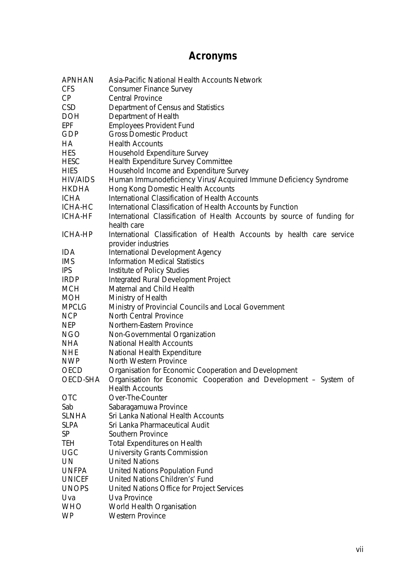# **Acronyms**

| <b>APNHAN</b> | Asia-Pacific National Health Accounts Network                            |
|---------------|--------------------------------------------------------------------------|
| <b>CFS</b>    | <b>Consumer Finance Survey</b>                                           |
| CP            | <b>Central Province</b>                                                  |
| <b>CSD</b>    | Department of Census and Statistics                                      |
| <b>DOH</b>    | Department of Health                                                     |
| <b>EPF</b>    | <b>Employees Provident Fund</b>                                          |
| GDP           | <b>Gross Domestic Product</b>                                            |
| НA            | <b>Health Accounts</b>                                                   |
| <b>HES</b>    | Household Expenditure Survey                                             |
| <b>HESC</b>   | Health Expenditure Survey Committee                                      |
| <b>HIES</b>   | Household Income and Expenditure Survey                                  |
| HIV/AIDS      | Human Immunodeficiency Virus/ Acquired Immune Deficiency Syndrome        |
| <b>HKDHA</b>  | Hong Kong Domestic Health Accounts                                       |
| <b>ICHA</b>   | International Classification of Health Accounts                          |
| ICHA-HC       | International Classification of Health Accounts by Function              |
| ICHA-HF       | International Classification of Health Accounts by source of funding for |
|               | health care                                                              |
| ICHA-HP       | International Classification of Health Accounts by health care service   |
|               | provider industries                                                      |
| <b>IDA</b>    | International Development Agency                                         |
| <b>IMS</b>    | <b>Information Medical Statistics</b>                                    |
| <b>IPS</b>    | Institute of Policy Studies                                              |
| <b>IRDP</b>   | Integrated Rural Development Project                                     |
| <b>MCH</b>    | Maternal and Child Health                                                |
| <b>MOH</b>    | Ministry of Health                                                       |
| <b>MPCLG</b>  | Ministry of Provincial Councils and Local Government                     |
| <b>NCP</b>    | <b>North Central Province</b>                                            |
| <b>NEP</b>    | Northern-Eastern Province                                                |
| <b>NGO</b>    | Non-Governmental Organization                                            |
| <b>NHA</b>    | <b>National Health Accounts</b>                                          |
| <b>NHE</b>    | National Health Expenditure                                              |
| <b>NWP</b>    | North Western Province                                                   |
| <b>OECD</b>   | Organisation for Economic Cooperation and Development                    |
| OECD-SHA      | Organisation for Economic Cooperation and Development - System of        |
|               | <b>Health Accounts</b>                                                   |
| <b>OTC</b>    | Over-The-Counter                                                         |
| Sab           | Sabaragamuwa Province                                                    |
| <b>SLNHA</b>  | Sri Lanka National Health Accounts                                       |
| <b>SLPA</b>   | Sri Lanka Pharmaceutical Audit                                           |
| SP            | Southern Province                                                        |
| <b>TEH</b>    | <b>Total Expenditures on Health</b>                                      |
| <b>UGC</b>    | University Grants Commission                                             |
| UN            | <b>United Nations</b>                                                    |
| <b>UNFPA</b>  | United Nations Population Fund                                           |
| <b>UNICEF</b> | United Nations Children's' Fund                                          |
| <b>UNOPS</b>  | United Nations Office for Project Services                               |
| Uva           | Uva Province                                                             |
| <b>WHO</b>    | World Health Organisation                                                |
| <b>WP</b>     | <b>Western Province</b>                                                  |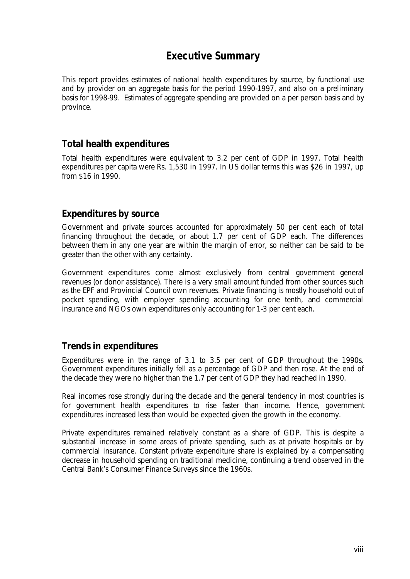## **Executive Summary**

This report provides estimates of national health expenditures by source, by functional use and by provider on an aggregate basis for the period 1990-1997, and also on a preliminary basis for 1998-99. Estimates of aggregate spending are provided on a per person basis and by province.

### *Total health expenditures*

Total health expenditures were equivalent to 3.2 per cent of GDP in 1997. Total health expenditures per capita were Rs. 1,530 in 1997. In US dollar terms this was \$26 in 1997, up from \$16 in 1990.

## *Expenditures by source*

Government and private sources accounted for approximately 50 per cent each of total financing throughout the decade, or about 1.7 per cent of GDP each. The differences between them in any one year are within the margin of error, so neither can be said to be greater than the other with any certainty.

Government expenditures come almost exclusively from central government general revenues (or donor assistance). There is a very small amount funded from other sources such as the EPF and Provincial Council own revenues. Private financing is mostly household out of pocket spending, with employer spending accounting for one tenth, and commercial insurance and NGOs own expenditures only accounting for 1-3 per cent each.

## *Trends in expenditures*

Expenditures were in the range of 3.1 to 3.5 per cent of GDP throughout the 1990s. Government expenditures initially fell as a percentage of GDP and then rose. At the end of the decade they were no higher than the 1.7 per cent of GDP they had reached in 1990.

Real incomes rose strongly during the decade and the general tendency in most countries is for government health expenditures to rise faster than income. Hence, government expenditures increased less than would be expected given the growth in the economy.

Private expenditures remained relatively constant as a share of GDP. This is despite a substantial increase in some areas of private spending, such as at private hospitals or by commercial insurance. Constant private expenditure share is explained by a compensating decrease in household spending on traditional medicine, continuing a trend observed in the Central Bank's Consumer Finance Surveys since the 1960s.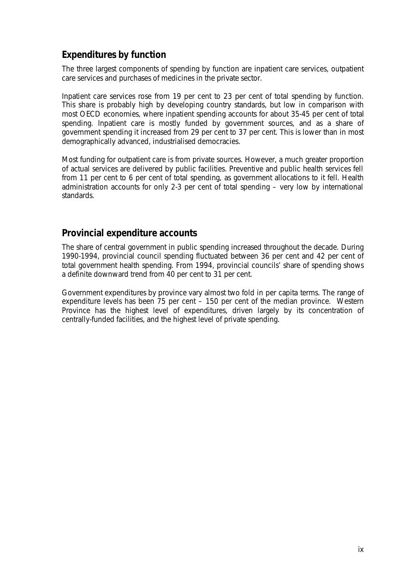## *Expenditures by function*

The three largest components of spending by function are inpatient care services, outpatient care services and purchases of medicines in the private sector.

Inpatient care services rose from 19 per cent to 23 per cent of total spending by function. This share is probably high by developing country standards, but low in comparison with most OECD economies, where inpatient spending accounts for about 35-45 per cent of total spending. Inpatient care is mostly funded by government sources, and as a share of government spending it increased from 29 per cent to 37 per cent. This is lower than in most demographically advanced, industrialised democracies.

Most funding for outpatient care is from private sources. However, a much greater proportion of actual services are delivered by public facilities. Preventive and public health services fell from 11 per cent to 6 per cent of total spending, as government allocations to it fell. Health administration accounts for only 2-3 per cent of total spending – very low by international standards.

#### *Provincial expenditure accounts*

The share of central government in public spending increased throughout the decade. During 1990-1994, provincial council spending fluctuated between 36 per cent and 42 per cent of total government health spending. From 1994, provincial councils' share of spending shows a definite downward trend from 40 per cent to 31 per cent.

Government expenditures by province vary almost two fold in per capita terms. The range of expenditure levels has been 75 per cent – 150 per cent of the median province. Western Province has the highest level of expenditures, driven largely by its concentration of centrally-funded facilities, and the highest level of private spending.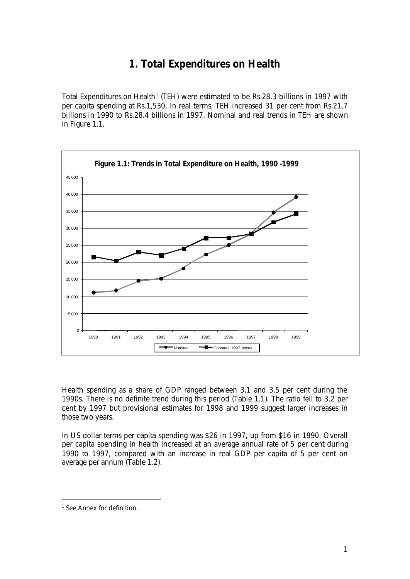# **1. Total Expenditures on Health**

Total Expenditures on Health<sup>1</sup> (TEH) were estimated to be Rs.28.3 billions in 1997 with per capita spending at Rs.1,530. In real terms, TEH increased 31 per cent from Rs.21.7 billions in 1990 to Rs.28.4 billions in 1997. Nominal and real trends in TEH are shown in Figure 1.1.



Health spending as a share of GDP ranged between 3.1 and 3.5 per cent during the 1990s. There is no definite trend during this period (Table 1.1). The ratio fell to 3.2 per cent by 1997 but provisional estimates for 1998 and 1999 suggest larger increases in those two years.

In US dollar terms per capita spending was \$26 in 1997, up from \$16 in 1990. Overall per capita spending in health increased at an average annual rate of 5 per cent during 1990 to 1997, compared with an increase in real GDP per capita of 5 per cent on average per annum (Table 1.2).

 $\overline{a}$ 

<sup>&</sup>lt;sup>1</sup> See Annex for definition.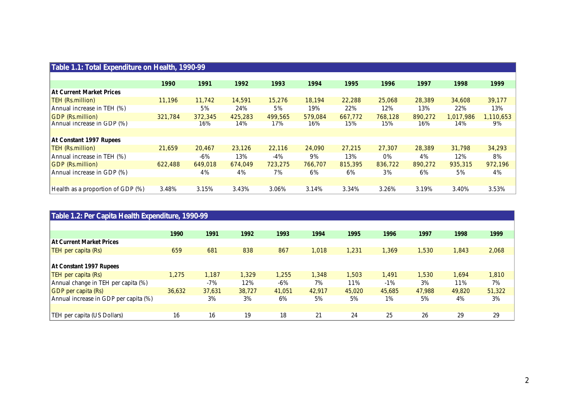| Table 1.1: Total Expenditure on Health, 1990-99 |         |         |         |         |         |         |         |         |           |           |  |
|-------------------------------------------------|---------|---------|---------|---------|---------|---------|---------|---------|-----------|-----------|--|
|                                                 |         |         |         |         |         |         |         |         |           |           |  |
|                                                 | 1990    | 1991    | 1992    | 1993    | 1994    | 1995    | 1996    | 1997    | 1998      | 1999      |  |
| <b>At Current Market Prices</b>                 |         |         |         |         |         |         |         |         |           |           |  |
| <b>TEH (Rs.million)</b>                         | 11,196  | 11,742  | 14,591  | 15,276  | 18,194  | 22,288  | 25,068  | 28,389  | 34,608    | 39,177    |  |
| Annual increase in TEH (%)                      |         | 5%      | 24%     | 5%      | 19%     | 22%     | 12%     | 13%     | 22%       | 13%       |  |
| <b>GDP</b> (Rs.million)                         | 321,784 | 372,345 | 425,283 | 499,565 | 579,084 | 667,772 | 768,128 | 890,272 | 1,017,986 | 1,110,653 |  |
| Annual increase in GDP (%)                      |         | 16%     | 14%     | 17%     | 16%     | 15%     | 15%     | 16%     | 14%       | 9%        |  |
|                                                 |         |         |         |         |         |         |         |         |           |           |  |
| At Constant 1997 Rupees                         |         |         |         |         |         |         |         |         |           |           |  |
| <b>TEH (Rs.million)</b>                         | 21,659  | 20,467  | 23,126  | 22,116  | 24,090  | 27,215  | 27,307  | 28,389  | 31,798    | 34,293    |  |
| Annual increase in TEH (%)                      |         | -6%     | 13%     | -4%     | 9%      | 13%     | 0%      | 4%      | 12%       | 8%        |  |
| <b>GDP</b> (Rs.million)                         | 622,488 | 649,018 | 674,049 | 723,275 | 766,707 | 815,395 | 836,722 | 890,272 | 935,315   | 972,196   |  |
| Annual increase in GDP (%)                      |         | 4%      | 4%      | 7%      | 6%      | 6%      | 3%      | 6%      | 5%        | 4%        |  |
|                                                 |         |         |         |         |         |         |         |         |           |           |  |
| Health as a proportion of GDP (%)               | 3.48%   | 3.15%   | 3.43%   | 3.06%   | 3.14%   | 3.34%   | 3.26%   | 3.19%   | 3.40%     | 3.53%     |  |

| Table 1.2: Per Capita Health Expenditure, 1990-99 |        |        |        |        |        |        |        |        |        |        |  |
|---------------------------------------------------|--------|--------|--------|--------|--------|--------|--------|--------|--------|--------|--|
|                                                   |        |        |        |        |        |        |        |        |        |        |  |
|                                                   | 1990   | 1991   | 1992   | 1993   | 1994   | 1995   | 1996   | 1997   | 1998   | 1999   |  |
| <b>At Current Market Prices</b>                   |        |        |        |        |        |        |        |        |        |        |  |
| TEH per capita (Rs)                               | 659    | 681    | 838    | 867    | 1,018  | 1,231  | 1,369  | 1,530  | 1,843  | 2,068  |  |
|                                                   |        |        |        |        |        |        |        |        |        |        |  |
| At Constant 1997 Rupees                           |        |        |        |        |        |        |        |        |        |        |  |
| TEH per capita (Rs)                               | .275   | 1,187  | 1,329  | 1,255  | 1,348  | 1,503  | 1,491  | 1,530  | 1.694  | 1,810  |  |
| Annual change in TEH per capita (%)               |        | $-7%$  | 12%    | $-6\%$ | 7%     | 11%    | $-1\%$ | 3%     | 11%    | 7%     |  |
| <b>GDP</b> per capita (Rs)                        | 36,632 | 37,631 | 38,727 | 41,051 | 42.917 | 45,020 | 45,685 | 47,988 | 49,820 | 51,322 |  |
| Annual increase in GDP per capita (%)             |        | 3%     | 3%     | 6%     | 5%     | 5%     | 1%     | 5%     | 4%     | 3%     |  |
|                                                   |        |        |        |        |        |        |        |        |        |        |  |
| TEH per capita (US Dollars)                       | 16     | 16     | 19     | 18     | 21     | 24     | 25     | 26     | 29     | 29     |  |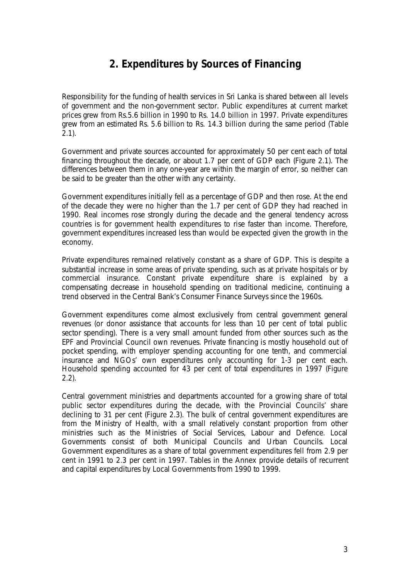# **2. Expenditures by Sources of Financing**

Responsibility for the funding of health services in Sri Lanka is shared between all levels of government and the non-government sector. Public expenditures at current market prices grew from Rs.5.6 billion in 1990 to Rs. 14.0 billion in 1997. Private expenditures grew from an estimated Rs. 5.6 billion to Rs. 14.3 billion during the same period (Table 2.1).

Government and private sources accounted for approximately 50 per cent each of total financing throughout the decade, or about 1.7 per cent of GDP each (Figure 2.1). The differences between them in any one-year are within the margin of error, so neither can be said to be greater than the other with any certainty.

Government expenditures initially fell as a percentage of GDP and then rose. At the end of the decade they were no higher than the 1.7 per cent of GDP they had reached in 1990. Real incomes rose strongly during the decade and the general tendency across countries is for government health expenditures to rise faster than income. Therefore, government expenditures increased less than would be expected given the growth in the economy.

Private expenditures remained relatively constant as a share of GDP. This is despite a substantial increase in some areas of private spending, such as at private hospitals or by commercial insurance. Constant private expenditure share is explained by a compensating decrease in household spending on traditional medicine, continuing a trend observed in the Central Bank's Consumer Finance Surveys since the 1960s.

Government expenditures come almost exclusively from central government general revenues (or donor assistance that accounts for less than 10 per cent of total public sector spending). There is a very small amount funded from other sources such as the EPF and Provincial Council own revenues. Private financing is mostly household out of pocket spending, with employer spending accounting for one tenth, and commercial insurance and NGOs' own expenditures only accounting for 1-3 per cent each. Household spending accounted for 43 per cent of total expenditures in 1997 (Figure 2.2).

Central government ministries and departments accounted for a growing share of total public sector expenditures during the decade, with the Provincial Councils' share declining to 31 per cent (Figure 2.3). The bulk of central government expenditures are from the Ministry of Health, with a small relatively constant proportion from other ministries such as the Ministries of Social Services, Labour and Defence. Local Governments consist of both Municipal Councils and Urban Councils. Local Government expenditures as a share of total government expenditures fell from 2.9 per cent in 1991 to 2.3 per cent in 1997. Tables in the Annex provide details of recurrent and capital expenditures by Local Governments from 1990 to 1999.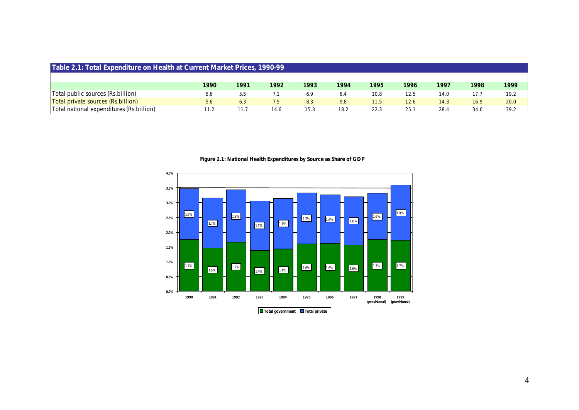| Table 2.1: Total Expenditure on Health at Current Market Prices, 1990-99 |      |      |      |      |      |      |      |      |      |      |  |
|--------------------------------------------------------------------------|------|------|------|------|------|------|------|------|------|------|--|
|                                                                          |      |      |      |      |      |      |      |      |      |      |  |
|                                                                          | 1990 | 1991 | 1992 | 1993 | 1994 | 1995 | 1996 | 1997 | 1998 | 1999 |  |
| Total public sources (Rs.billion)                                        | 5.6  | 5.5  |      | 6.9  | 8.4  | 10.8 | 12.5 | 14.0 |      | 19.2 |  |
| Total private sources (Rs.billion)                                       | 5.6  | 6.3  | 7.5  | 8.3  | 9.8  | 11.5 | 12.6 | 14.3 | 16.9 | 20.0 |  |
| Total national expenditures (Rs. billion)                                | 11.2 | 11.7 | 14.6 | 15.3 | 18.2 | 22.3 | 25.1 | 28.4 | 34.6 | 39.2 |  |

**Figure 2.1: National Health Expenditures by Source as Share of GDP**

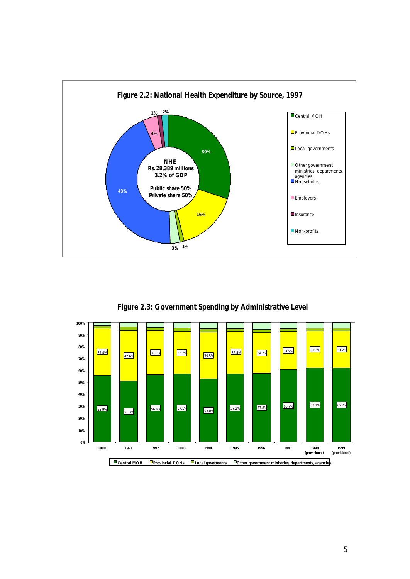

**Figure 2.3: Government Spending by Administrative Level**

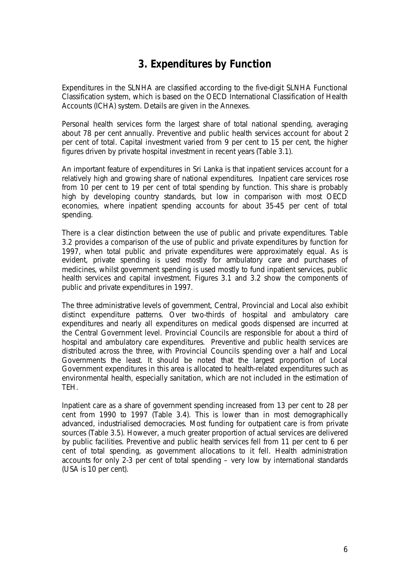# **3. Expenditures by Function**

Expenditures in the SLNHA are classified according to the five-digit SLNHA Functional Classification system, which is based on the OECD International Classification of Health Accounts (ICHA) system. Details are given in the Annexes.

Personal health services form the largest share of total national spending, averaging about 78 per cent annually. Preventive and public health services account for about 2 per cent of total. Capital investment varied from 9 per cent to 15 per cent, the higher figures driven by private hospital investment in recent years (Table 3.1).

An important feature of expenditures in Sri Lanka is that inpatient services account for a relatively high and growing share of national expenditures. Inpatient care services rose from 10 per cent to 19 per cent of total spending by function. This share is probably high by developing country standards, but low in comparison with most OECD economies, where inpatient spending accounts for about 35-45 per cent of total spending.

There is a clear distinction between the use of public and private expenditures. Table 3.2 provides a comparison of the use of public and private expenditures by function for 1997, when total public and private expenditures were approximately equal. As is evident, private spending is used mostly for ambulatory care and purchases of medicines, whilst government spending is used mostly to fund inpatient services, public health services and capital investment. Figures 3.1 and 3.2 show the components of public and private expenditures in 1997.

The three administrative levels of government, Central, Provincial and Local also exhibit distinct expenditure patterns. Over two-thirds of hospital and ambulatory care expenditures and nearly all expenditures on medical goods dispensed are incurred at the Central Government level. Provincial Councils are responsible for about a third of hospital and ambulatory care expenditures. Preventive and public health services are distributed across the three, with Provincial Councils spending over a half and Local Governments the least. It should be noted that the largest proportion of Local Government expenditures in this area is allocated to health-related expenditures such as environmental health, especially sanitation, which are not included in the estimation of TEH.

Inpatient care as a share of government spending increased from 13 per cent to 28 per cent from 1990 to 1997 (Table 3.4). This is lower than in most demographically advanced, industrialised democracies. Most funding for outpatient care is from private sources (Table 3.5). However, a much greater proportion of actual services are delivered by public facilities. Preventive and public health services fell from 11 per cent to 6 per cent of total spending, as government allocations to it fell. Health administration accounts for only 2-3 per cent of total spending – very low by international standards (USA is 10 per cent).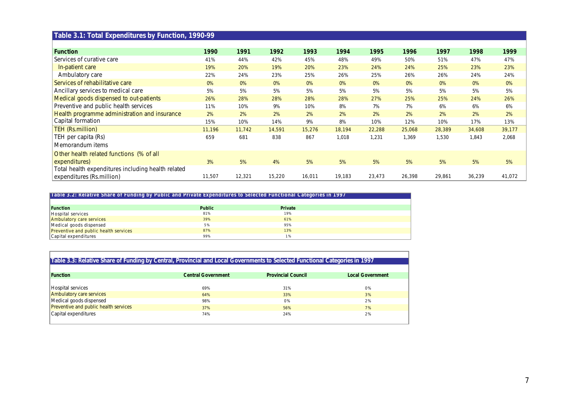# **Table 3.1: Total Expenditures by Function, 1990-99**

| <b>Function</b>                                    | 1990   | 1991   | 1992   | 1993   | 1994   | 1995   | 1996   | 1997   | 1998   | 1999   |
|----------------------------------------------------|--------|--------|--------|--------|--------|--------|--------|--------|--------|--------|
| Services of curative care                          | 41%    | 44%    | 42%    | 45%    | 48%    | 49%    | 50%    | 51%    | 47%    | 47%    |
| In-patient care                                    | 19%    | 20%    | 19%    | 20%    | 23%    | 24%    | 24%    | 25%    | 23%    | 23%    |
| Ambulatory care                                    | 22%    | 24%    | 23%    | 25%    | 26%    | 25%    | 26%    | 26%    | 24%    | 24%    |
| Services of rehabilitative care                    | 0%     | $0\%$  | $0\%$  | 0%     | 0%     | 0%     | 0%     | 0%     | 0%     | 0%     |
| Ancillary services to medical care                 | 5%     | 5%     | 5%     | 5%     | 5%     | 5%     | 5%     | 5%     | 5%     | 5%     |
| Medical goods dispensed to out-patients            | 26%    | 28%    | 28%    | 28%    | 28%    | 27%    | 25%    | 25%    | 24%    | 26%    |
| Preventive and public health services              | 11%    | 10%    | 9%     | 10%    | 8%     | 7%     | 7%     | 6%     | 6%     | 6%     |
| Health programme administration and insurance      | 2%     | 2%     | 2%     | 2%     | 2%     | 2%     | 2%     | 2%     | 2%     | 2%     |
| Capital formation                                  | 15%    | 10%    | 14%    | 9%     | 8%     | 10%    | 12%    | 10%    | 17%    | 13%    |
| TEH (Rs.million)                                   | 11,196 | 11,742 | 14,591 | 15,276 | 18,194 | 22,288 | 25,068 | 28,389 | 34,608 | 39,177 |
| TEH per capita (Rs)                                | 659    | 681    | 838    | 867    | 1,018  | 1,231  | 1,369  | 1,530  | 1,843  | 2,068  |
| Memorandum items                                   |        |        |        |        |        |        |        |        |        |        |
| Other health related functions (% of all           |        |        |        |        |        |        |        |        |        |        |
| expenditures)                                      | 3%     | 5%     | 4%     | 5%     | 5%     | 5%     | 5%     | 5%     | 5%     | 5%     |
| Total health expenditures including health related |        |        |        |        |        |        |        |        |        |        |
| expenditures (Rs.million)                          | 11,507 | 12,321 | 15,220 | 16,011 | 19,183 | 23,473 | 26,398 | 29,861 | 36,239 | 41,072 |

**Table 3.2: Relative Share of Funding by Public and Private Expenditures to Selected Functional Categories in 1997**

| <b>Function</b>                       | <b>Public</b> | Private |  |
|---------------------------------------|---------------|---------|--|
| Hospital services                     | 81%           | 19%     |  |
| Ambulatory care services              | 39%           | 61%     |  |
| Medical goods dispensed               | 5%            | 95%     |  |
| Preventive and public health services | 87%           | 13%     |  |
| Capital expenditures                  | 99%           | 1%      |  |

#### **Table 3.3: Relative Share of Funding by Central, Provincial and Local Governments to Selected Functional Categories in 1997**

| <b>Function</b>                       | <b>Central Government</b> | <b>Provincial Council</b> | <b>Local Government</b> |
|---------------------------------------|---------------------------|---------------------------|-------------------------|
|                                       |                           |                           |                         |
| Hospital services                     | 69%                       | 31%                       | 0%                      |
| Ambulatory care services              | 64%                       | 33%                       | 3%                      |
| Medical goods dispensed               | 98%                       | 0%                        | 2%                      |
| Preventive and public health services | 37%                       | 56%                       | 7%                      |
| Capital expenditures                  | 74%                       | 24%                       | 2%                      |
|                                       |                           |                           |                         |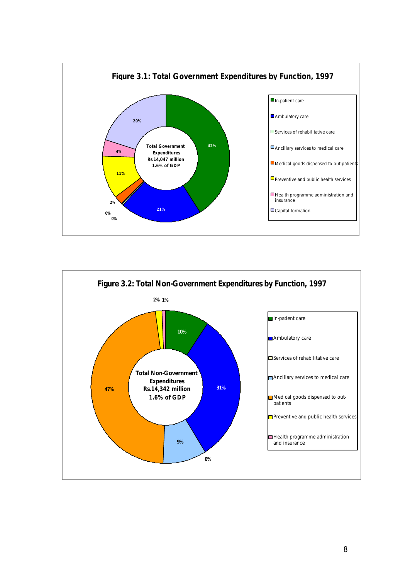

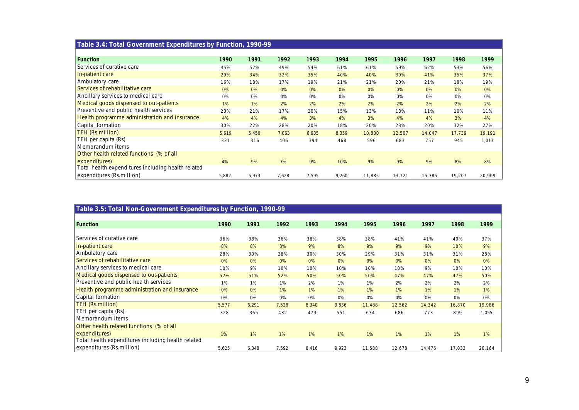| Table 3.4: Total Government Expenditures by Function, 1990-99 |       |       |       |       |       |        |        |        |        |        |
|---------------------------------------------------------------|-------|-------|-------|-------|-------|--------|--------|--------|--------|--------|
|                                                               |       |       |       |       |       |        |        |        |        |        |
| <b>Function</b>                                               | 1990  | 1991  | 1992  | 1993  | 1994  | 1995   | 1996   | 1997   | 1998   | 1999   |
| Services of curative care                                     | 45%   | 52%   | 49%   | 54%   | 61%   | 61%    | 59%    | 62%    | 53%    | 56%    |
| In-patient care                                               | 29%   | 34%   | 32%   | 35%   | 40%   | 40%    | 39%    | 41%    | 35%    | 37%    |
| Ambulatory care                                               | 16%   | 18%   | 17%   | 19%   | 21%   | 21%    | 20%    | 21%    | 18%    | 19%    |
| Services of rehabilitative care                               | $0\%$ | 0%    | 0%    | 0%    | 0%    | 0%     | 0%     | 0%     | 0%     | 0%     |
| Ancillary services to medical care                            | 0%    | 0%    | 0%    | 0%    | 0%    | 0%     | 0%     | 0%     | 0%     | 0%     |
| Medical goods dispensed to out-patients                       | 1%    | 1%    | 2%    | 2%    | 2%    | 2%     | 2%     | 2%     | 2%     | 2%     |
| Preventive and public health services                         | 20%   | 21%   | 17%   | 20%   | 15%   | 13%    | 13%    | 11%    | 10%    | 11%    |
| Health programme administration and insurance                 | 4%    | 4%    | 4%    | 3%    | 4%    | 3%     | 4%     | 4%     | 3%     | 4%     |
| Capital formation                                             | 30%   | 22%   | 28%   | 20%   | 18%   | 20%    | 23%    | 20%    | 32%    | 27%    |
| TEH (Rs.million)                                              | 5,619 | 5,450 | 7,063 | 6,935 | 8,359 | 10,800 | 12,507 | 14,047 | 17,739 | 19,191 |
| TEH per capita (Rs)                                           | 331   | 316   | 406   | 394   | 468   | 596    | 683    | 757    | 945    | 1,013  |
| Memorandum items                                              |       |       |       |       |       |        |        |        |        |        |
| Other health related functions (% of all                      |       |       |       |       |       |        |        |        |        |        |
| expenditures)                                                 | 4%    | 9%    | 7%    | 9%    | 10%   | 9%     | 9%     | 9%     | 8%     | 8%     |
| Total health expenditures including health related            |       |       |       |       |       |        |        |        |        |        |
| expenditures (Rs.million)                                     | 5,882 | 5,973 | 7,628 | 7,595 | 9,260 | 11,885 | 13,721 | 15,385 | 19,207 | 20,909 |

| Table 3.5: Total Non-Government Expenditures by Function, 1990-99 |       |       |       |       |       |        |        |        |        |        |
|-------------------------------------------------------------------|-------|-------|-------|-------|-------|--------|--------|--------|--------|--------|
|                                                                   |       |       |       |       |       |        |        |        |        |        |
| <b>Function</b>                                                   | 1990  | 1991  | 1992  | 1993  | 1994  | 1995   | 1996   | 1997   | 1998   | 1999   |
| Services of curative care                                         | 36%   | 38%   | 36%   | 38%   | 38%   | 38%    | 41%    | 41%    | 40%    | 37%    |
| In-patient care                                                   | 8%    | 8%    | 8%    | 9%    | 8%    | 9%     | 9%     | 9%     | 10%    | 9%     |
| Ambulatory care                                                   | 28%   | 30%   | 28%   | 30%   | 30%   | 29%    | 31%    | 31%    | 31%    | 28%    |
| Services of rehabilitative care                                   | 0%    | 0%    | 0%    | 0%    | 0%    | 0%     | 0%     | 0%     | 0%     | 0%     |
| Ancillary services to medical care                                | 10%   | 9%    | 10%   | 10%   | 10%   | 10%    | 10%    | 9%     | 10%    | 10%    |
| Medical goods dispensed to out-patients                           | 52%   | 51%   | 52%   | 50%   | 50%   | 50%    | 47%    | 47%    | 47%    | 50%    |
| Preventive and public health services                             | 1%    | 1%    | 1%    | 2%    | 1%    | 1%     | 2%     | 2%     | 2%     | 2%     |
| Health programme administration and insurance                     | 0%    | 0%    | 1%    | 1%    | 1%    | 1%     | 1%     | $1\%$  | 1%     | 1%     |
| Capital formation                                                 | 0%    | 0%    | 0%    | 0%    | 0%    | 0%     | 0%     | 0%     | 0%     | 0%     |
| TEH (Rs.million)                                                  | 5,577 | 6,291 | 7,528 | 8,340 | 9,836 | 11,488 | 12,562 | 14,342 | 16,870 | 19,986 |
| TEH per capita (Rs)                                               | 328   | 365   | 432   | 473   | 551   | 634    | 686    | 773    | 899    | 1,055  |
| Memorandum items                                                  |       |       |       |       |       |        |        |        |        |        |
| Other health related functions (% of all                          |       |       |       |       |       |        |        |        |        |        |
| expenditures)                                                     | 1%    | 1%    | 1%    | 1%    | 1%    | 1%     | 1%     | $1\%$  | 1%     | 1%     |
| Total health expenditures including health related                |       |       |       |       |       |        |        |        |        |        |
| expenditures (Rs.million)                                         | 5,625 | 6,348 | 7,592 | 8,416 | 9,923 | 11,588 | 12,678 | 14,476 | 17,033 | 20,164 |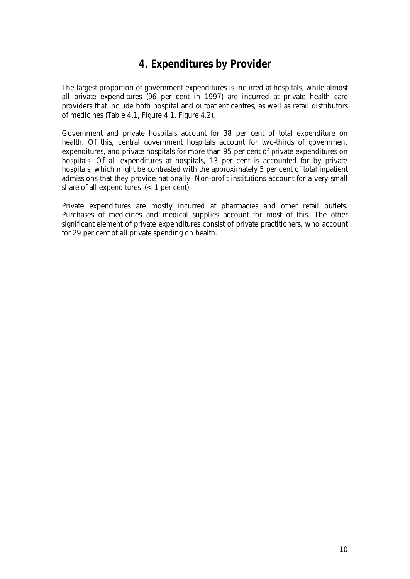# **4. Expenditures by Provider**

The largest proportion of government expenditures is incurred at hospitals, while almost all private expenditures (96 per cent in 1997) are incurred at private health care providers that include both hospital and outpatient centres, as well as retail distributors of medicines (Table 4.1, Figure 4.1, Figure 4.2).

Government and private hospitals account for 38 per cent of total expenditure on health. Of this, central government hospitals account for two-thirds of government expenditures, and private hospitals for more than 95 per cent of private expenditures on hospitals. Of all expenditures at hospitals, 13 per cent is accounted for by private hospitals, which might be contrasted with the approximately 5 per cent of total inpatient admissions that they provide nationally. Non-profit institutions account for a very small share of all expenditures  $(< 1$  per cent).

Private expenditures are mostly incurred at pharmacies and other retail outlets. Purchases of medicines and medical supplies account for most of this. The other significant element of private expenditures consist of private practitioners, who account for 29 per cent of all private spending on health.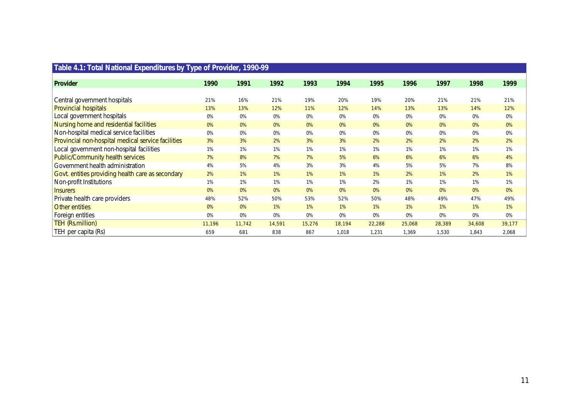| Table 4.1: Total National Expenditures by Type of Provider, 1990-99 |        |        |        |        |        |        |        |        |        |        |
|---------------------------------------------------------------------|--------|--------|--------|--------|--------|--------|--------|--------|--------|--------|
| Provider                                                            | 1990   | 1991   | 1992   | 1993   | 1994   | 1995   | 1996   | 1997   | 1998   | 1999   |
| Central government hospitals                                        | 21%    | 16%    | 21%    | 19%    | 20%    | 19%    | 20%    | 21%    | 21%    | 21%    |
| <b>Provincial hospitals</b>                                         | 13%    | 13%    | 12%    | 11%    | 12%    | 14%    | 13%    | 13%    | 14%    | 12%    |
| Local government hospitals                                          | 0%     | 0%     | 0%     | 0%     | 0%     | 0%     | 0%     | 0%     | 0%     | 0%     |
| Nursing home and residential facilities                             | 0%     | 0%     | 0%     | 0%     | 0%     | 0%     | 0%     | 0%     | 0%     | 0%     |
| Non-hospital medical service facilities                             | 0%     | 0%     | 0%     | 0%     | 0%     | 0%     | 0%     | 0%     | 0%     | 0%     |
| Provincial non-hospital medical service facilities                  | 3%     | 3%     | 2%     | 3%     | 3%     | 2%     | 2%     | 2%     | 2%     | 2%     |
| Local government non-hospital facilities                            | 1%     | 1%     | 1%     | 1%     | 1%     | 1%     | 1%     | 1%     | 1%     | 1%     |
| Public/Community health services                                    | 7%     | 8%     | 7%     | 7%     | 5%     | 6%     | 6%     | 6%     | 6%     | 4%     |
| Government health administration                                    | 4%     | 5%     | 4%     | 3%     | 3%     | 4%     | 5%     | 5%     | 7%     | 8%     |
| Govt. entities providing health care as secondary                   | 2%     | 1%     | $1\%$  | 1%     | 1%     | 1%     | 2%     | $1\%$  | 2%     | $1\%$  |
| Non-profit Institutions                                             | 1%     | 1%     | 1%     | 1%     | 1%     | 2%     | 1%     | 1%     | 1%     | 1%     |
| <b>Insurers</b>                                                     | 0%     | 0%     | 0%     | 0%     | 0%     | 0%     | 0%     | 0%     | 0%     | 0%     |
| Private health care providers                                       | 48%    | 52%    | 50%    | 53%    | 52%    | 50%    | 48%    | 49%    | 47%    | 49%    |
| Other entities                                                      | 0%     | 0%     | $1\%$  | 1%     | 1%     | $1\%$  | 1%     | $1\%$  | $1\%$  | 1%     |
| Foreign entities                                                    | 0%     | 0%     | 0%     | 0%     | 0%     | 0%     | 0%     | 0%     | 0%     | 0%     |
| TEH (Rs.million)                                                    | 11,196 | 11,742 | 14,591 | 15,276 | 18,194 | 22,288 | 25,068 | 28,389 | 34,608 | 39,177 |
| TEH per capita (Rs)                                                 | 659    | 681    | 838    | 867    | 1,018  | 1,231  | 1,369  | 1,530  | 1,843  | 2,068  |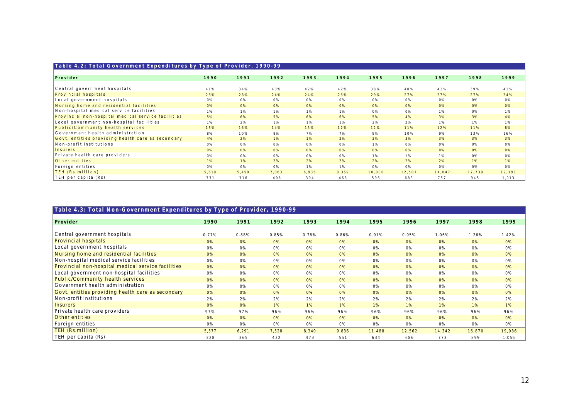| Table 4.2: Total Government Expenditures by Type of Provider, 1990-99 |       |       |       |       |       |        |        |        |        |        |
|-----------------------------------------------------------------------|-------|-------|-------|-------|-------|--------|--------|--------|--------|--------|
| Prouider                                                              | 1990  | 1991  | 1992  | 1993  | 1994  | 1995   | 1996   | 1997   | 1998   | 1999   |
|                                                                       |       |       |       |       |       |        |        |        |        |        |
| Central government hospitals                                          | 41%   | 34%   | 43%   | 42%   | 42%   | 38%    | 40%    | 41%    | 39%    | 41%    |
| Provincial hospitals                                                  | 26%   | 28%   | 24%   | 24%   | 26%   | 29%    | 27%    | 27%    | 27%    | 24%    |
| Local government hospitals                                            | 0%    | 0%    | 0%    | 0%    | 0%    | 0%     | 0%     | 0%     | 0%     | 0%     |
| Nursing home and residential facilities                               | 0%    | 0%    | 0%    | 0%    | 0%    | 0%     | 0%     | 0%     | 0%     | 0%     |
| Non-hospital medical service facilities                               | 1%    | 1%    | 1%    | 1%    | 1%    | 0%     | 0%     | 1%     | 0%     | 1%     |
| Provincial non-hospital medical service facilities                    | 5%    | 6%    | 5%    | 6%    | 6%    | 5%     | 4 %    | 3%     | 3%     | 4%     |
| Local government non-hospital facilities                              | 1%    | 2%    | 1%    | 1%    | 1%    | 2%     | 2%     | 1%     | 1%     | 1%     |
| Public/Community health services                                      | 13%   | 16%   | 14%   | 15%   | 12%   | 12%    | 11%    | 12%    | 11%    | 8%     |
| Government health administration                                      | 8%    | 10%   | 8%    | 7%    | 7%    | 9%     | 10%    | 9%     | 13%    | 16%    |
| Govt. entities providing health care as secondary                     | 4%    | 2%    | 1%    | 1%    | 2%    | 2%     | 3%     | 3%     | 3%     | 3%     |
| Non-profit Institutions                                               | 0%    | 0%    | 0%    | 0%    | 0%    | 1%     | 0%     | 0%     | 0%     | 0%     |
| Insurers                                                              | 0%    | 0%    | 0%    | 0%    | 0%    | 0%     | 0%     | 0%     | 0%     | 0%     |
| Private health care providers                                         | 0%    | 0%    | 0%    | 0%    | 0%    | 1%     | 1%     | 1%     | 0%     | 0%     |
| Other entities                                                        | 1%    | 1%    | 2%    | 2%    | 2%    | 2%     | 2%     | 2%     | 1%     | 1%     |
| Foreign entities                                                      | 0%    | 0%    | 0%    | 1%    | 1%    | 0%     | 0%     | 0%     | 0%     | 0%     |
| TEH (Rs.million)                                                      | 5,619 | 5,450 | 7,063 | 6,935 | 8,359 | 10,800 | 12,507 | 14,047 | 17,739 | 19,191 |
| TEH per capita (Rs)                                                   | 331   | 316   | 406   | 394   | 468   | 596    | 683    | 757    | 945    | 1,013  |

|  | Table 4.3: Total Non-Government Expenditures by Type of Provider, 1990-99 |  |  |
|--|---------------------------------------------------------------------------|--|--|
|  |                                                                           |  |  |

| Provider                                           | 1990  | 1991  | 1992  | 1993  | 1994  | 1995   | 1996   | 1997   | 1998   | 1999   |
|----------------------------------------------------|-------|-------|-------|-------|-------|--------|--------|--------|--------|--------|
|                                                    |       |       |       |       |       |        |        |        |        |        |
| Central government hospitals                       | 0.77% | 0.88% | 0.85% | 0.78% | 0.86% | 0.91%  | 0.95%  | 1.06%  | 1.26%  | 1.42%  |
| Provincial hospitals                               | 0%    | 0%    | 0%    | 0%    | 0%    | 0%     | 0%     | 0%     | 0%     | 0%     |
| Local government hospitals                         | 0%    | 0%    | 0%    | 0%    | 0%    | 0%     | 0%     | 0%     | 0%     | 0%     |
| Nursing home and residential facilities            | 0%    | 0%    | 0%    | 0%    | 0%    | 0%     | 0%     | 0%     | 0%     | 0%     |
| Non-hospital medical service facilities            | 0%    | 0%    | 0%    | 0%    | 0%    | 0%     | 0%     | 0%     | 0%     | 0%     |
| Provincial non-hospital medical service facilities | 0%    | 0%    | 0%    | 0%    | 0%    | 0%     | 0%     | 0%     | 0%     | 0%     |
| Local government non-hospital facilities           | 0%    | 0%    | 0%    | 0%    | 0%    | 0%     | 0%     | 0%     | 0%     | 0%     |
| Public/Community health services                   | 0%    | 0%    | 0%    | 0%    | 0%    | 0%     | 0%     | 0%     | 0%     | 0%     |
| Government health administration                   | 0%    | 0%    | 0%    | 0%    | 0%    | 0%     | 0%     | 0%     | 0%     | 0%     |
| Govt. entities providing health care as secondary  | 0%    | 0%    | 0%    | 0%    | 0%    | 0%     | 0%     | 0%     | 0%     | 0%     |
| Non-profit Institutions                            | 2%    | 2%    | 2%    | 2%    | 2%    | 2%     | 2%     | 2%     | 2%     | 2%     |
| <i><u><b>Insurers</b></u></i>                      | 0%    | 0%    | 1%    | 1%    | 1%    | 1%     | 1%     | 1%     | 1%     | 1%     |
| Private health care providers                      | 97%   | 97%   | 96%   | 96%   | 96%   | 96%    | 96%    | 96%    | 96%    | 96%    |
| Other entities                                     | 0%    | 0%    | 0%    | 0%    | 0%    | 0%     | 0%     | 0%     | 0%     | 0%     |
| Foreign entities                                   | 0%    | 0%    | 0%    | 0%    | 0%    | 0%     | 0%     | 0%     | 0%     | 0%     |
| TEH (Rs.million)                                   | 5,577 | 6,291 | 7,528 | 8,340 | 9,836 | 11,488 | 12,562 | 14,342 | 16,870 | 19,986 |
| TEH per capita (Rs)                                | 328   | 365   | 432   | 473   | 551   | 634    | 686    | 773    | 899    | 1,055  |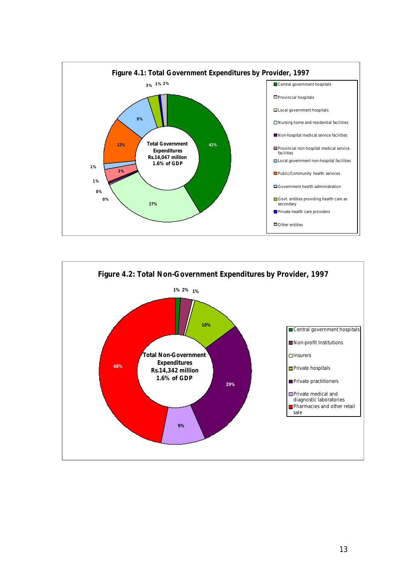

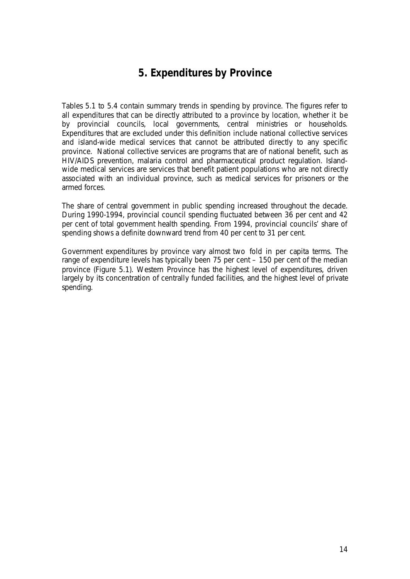# **5. Expenditures by Province**

Tables 5.1 to 5.4 contain summary trends in spending by province. The figures refer to all expenditures that can be directly attributed to a province by location, whether it be by provincial councils, local governments, central ministries or households. Expenditures that are excluded under this definition include national collective services and island-wide medical services that cannot be attributed directly to any specific province. National collective services are programs that are of national benefit, such as HIV/AIDS prevention, malaria control and pharmaceutical product regulation. Islandwide medical services are services that benefit patient populations who are not directly associated with an individual province, such as medical services for prisoners or the armed forces.

The share of central government in public spending increased throughout the decade. During 1990-1994, provincial council spending fluctuated between 36 per cent and 42 per cent of total government health spending. From 1994, provincial councils' share of spending shows a definite downward trend from 40 per cent to 31 per cent.

Government expenditures by province vary almost two fold in per capita terms. The range of expenditure levels has typically been 75 per cent – 150 per cent of the median province (Figure 5.1). Western Province has the highest level of expenditures, driven largely by its concentration of centrally funded facilities, and the highest level of private spending.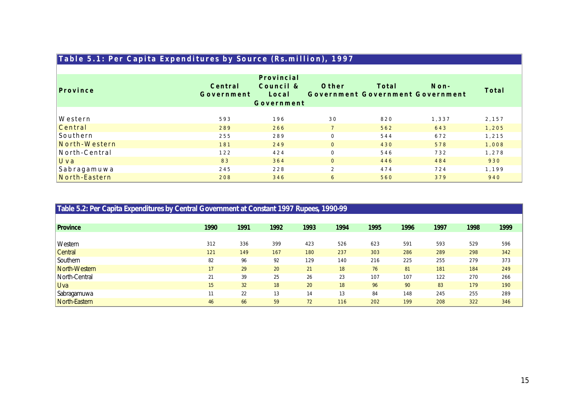| Table 5.1: Per Capita Expenditures by Source (Rs.million), 1997 |                       |                                  |                                           |       |         |       |
|-----------------------------------------------------------------|-----------------------|----------------------------------|-------------------------------------------|-------|---------|-------|
|                                                                 |                       |                                  |                                           |       |         |       |
| Province                                                        | Central<br>Government | Provincial<br>Council &<br>Local | Other<br>Government Government Government | Total | $N$ on- | Total |
|                                                                 |                       | Government                       |                                           |       |         |       |
| Western                                                         | 593                   | 196                              | 30                                        | 820   | 1,337   | 2,157 |
| Central                                                         | 289                   | 266                              | $\overline{7}$                            | 562   | 643     | 1,205 |
| Southern                                                        | 255                   | 289                              | $\mathbf{0}$                              | 544   | 672     | 1,215 |
| North-Western                                                   | 181                   | 249                              | $\overline{0}$                            | 430   | 578     | 1,008 |
| North-Central                                                   | 122                   | 424                              | $\mathbf{0}$                              | 546   | 732     | 1,278 |
| Uva                                                             | 83                    | 364                              | $\overline{0}$                            | 446   | 484     | 930   |
| Sabragamuwa                                                     | 245                   | 228                              | $\overline{2}$                            | 474   | 724     | 1,199 |
| North-Eastern                                                   | 208                   | 346                              | 6                                         | 560   | 379     | 940   |

| Table 5.2: Per Capita Expenditures by Central Government at Constant 1997 Rupees, 1990-99 |      |      |      |      |      |      |      |      |      |      |
|-------------------------------------------------------------------------------------------|------|------|------|------|------|------|------|------|------|------|
|                                                                                           |      |      |      |      |      |      |      |      |      |      |
| <b>Province</b>                                                                           | 1990 | 1991 | 1992 | 1993 | 1994 | 1995 | 1996 | 1997 | 1998 | 1999 |
|                                                                                           |      |      |      |      |      |      |      |      |      |      |
| <b>Western</b>                                                                            | 312  | 336  | 399  | 423  | 526  | 623  | 591  | 593  | 529  | 596  |
| <b>Central</b>                                                                            | 121  | 149  | 167  | 180  | 237  | 303  | 286  | 289  | 298  | 342  |
| Southern                                                                                  | 82   | 96   | 92   | 129  | 140  | 216  | 225  | 255  | 279  | 373  |
| North-Western                                                                             | 17   | 29   | 20   | 21   | 18   | 76   | 81   | 181  | 184  | 249  |
| North-Central                                                                             | 21   | 39   | 25   | 26   | 23   | 107  | 107  | 122  | 270  | 266  |
| <b>Uva</b>                                                                                | 15   | 32   | 18   | 20   | 18   | 96   | 90   | 83   | 179  | 190  |
| Sabragamuwa                                                                               | 11   | 22   | 13   | 14   | 13   | 84   | 148  | 245  | 255  | 289  |
| North-Eastern                                                                             | 46   | 66   | 59   | 72   | 116  | 202  | 199  | 208  | 322  | 346  |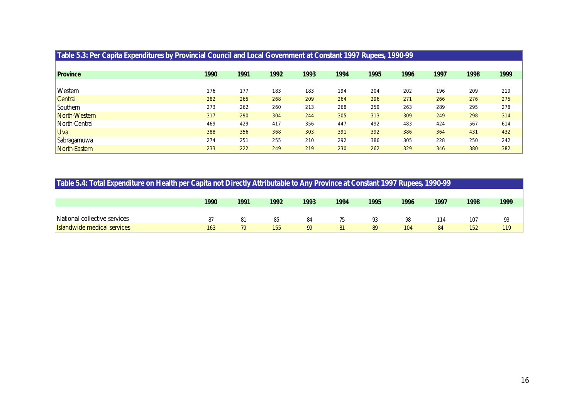| Table 5.3: Per Capita Expenditures by Provincial Council and Local Government at Constant 1997 Rupees, 1990-99 |      |      |      |      |      |      |      |      |      |      |
|----------------------------------------------------------------------------------------------------------------|------|------|------|------|------|------|------|------|------|------|
|                                                                                                                |      |      |      |      |      |      |      |      |      |      |
| Province                                                                                                       | 1990 | 1991 | 1992 | 1993 | 1994 | 1995 | 1996 | 1997 | 1998 | 1999 |
|                                                                                                                |      |      |      |      |      |      |      |      |      |      |
| Western                                                                                                        | 176  | 177  | 183  | 183  | 194  | 204  | 202  | 196  | 209  | 219  |
| Central                                                                                                        | 282  | 265  | 268  | 209  | 264  | 296  | 271  | 266  | 276  | 275  |
| Southern                                                                                                       | 273  | 262  | 260  | 213  | 268  | 259  | 263  | 289  | 295  | 278  |
| North-Western                                                                                                  | 317  | 290  | 304  | 244  | 305  | 313  | 309  | 249  | 298  | 314  |
| North-Central                                                                                                  | 469  | 429  | 417  | 356  | 447  | 492  | 483  | 424  | 567  | 614  |
| <b>Uva</b>                                                                                                     | 388  | 356  | 368  | 303  | 391  | 392  | 386  | 364  | 431  | 432  |
| , Sabragamuwa                                                                                                  | 274  | 251  | 255  | 210  | 292  | 386  | 305  | 228  | 250  | 242  |
| North-Eastern                                                                                                  | 233  | 222  | 249  | 219  | 230  | 262  | 329  | 346  | 380  | 382  |

|                              | Table 5.4: Total Expenditure on Health per Capita not Directly Attributable to Any Province at Constant 1997 Rupees, 1990-99 |      |      |      |      |      |      |      |      |      |  |
|------------------------------|------------------------------------------------------------------------------------------------------------------------------|------|------|------|------|------|------|------|------|------|--|
|                              |                                                                                                                              |      |      |      |      |      |      |      |      |      |  |
|                              | 1990                                                                                                                         | 1991 | 1992 | 1993 | 1994 | 1995 | 1996 | 1997 | 1998 | 1999 |  |
|                              |                                                                                                                              |      |      |      |      |      |      |      |      |      |  |
| National collective services | 87                                                                                                                           | 81   | 85   | 84   | 75   | 93   | 98   | 114  | 107  | 93   |  |
| Islandwide medical services  | 163                                                                                                                          | 79   | 155  | 99   | 81   | 89   | 104  | 84   | 152  | 119  |  |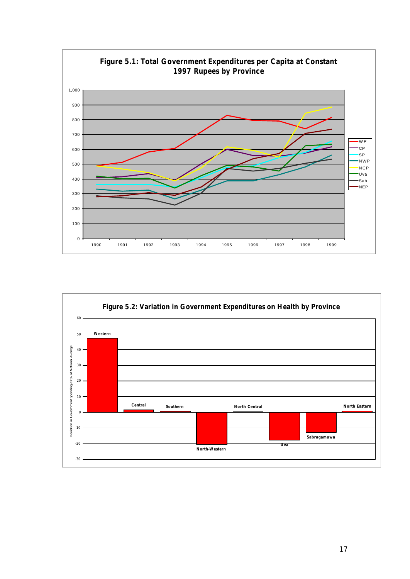

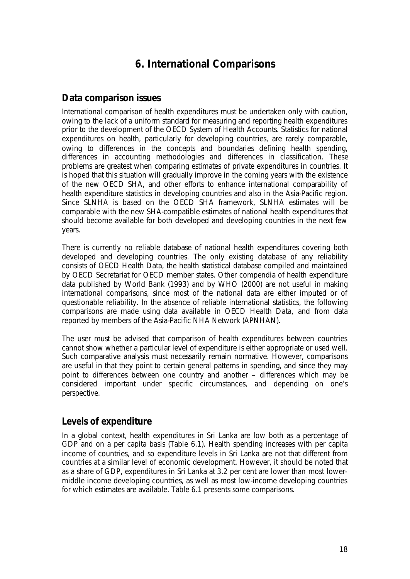# **6. International Comparisons**

### *Data comparison issues*

International comparison of health expenditures must be undertaken only with caution, owing to the lack of a uniform standard for measuring and reporting health expenditures prior to the development of the OECD System of Health Accounts. Statistics for national expenditures on health, particularly for developing countries, are rarely comparable, owing to differences in the concepts and boundaries defining health spending, differences in accounting methodologies and differences in classification. These problems are greatest when comparing estimates of private expenditures in countries. It is hoped that this situation will gradually improve in the coming years with the existence of the new OECD SHA, and other efforts to enhance international comparability of health expenditure statistics in developing countries and also in the Asia-Pacific region. Since SLNHA is based on the OECD SHA framework, SLNHA estimates will be comparable with the new SHA-compatible estimates of national health expenditures that should become available for both developed and developing countries in the next few years.

There is currently no reliable database of national health expenditures covering both developed and developing countries. The only existing database of any reliability consists of *OECD Health Data*, the health statistical database compiled and maintained by OECD Secretariat for OECD member states. Other compendia of health expenditure data published by World Bank (1993) and by WHO (2000) are not useful in making international comparisons, since most of the national data are either imputed or of questionable reliability. In the absence of reliable international statistics, the following comparisons are made using data available in *OECD Health Data*, and from data reported by members of the Asia-Pacific NHA Network (APNHAN).

The user must be advised that comparison of health expenditures between countries cannot show whether a particular level of expenditure is either appropriate or used well. Such comparative analysis must necessarily remain normative. However, comparisons are useful in that they point to certain general patterns in spending, and since they may point to differences between one country and another – differences which may be considered important under specific circumstances, and depending on one's perspective.

## *Levels of expenditure*

In a global context, health expenditures in Sri Lanka are low both as a percentage of GDP and on a per capita basis (Table 6.1). Health spending increases with per capita income of countries, and so expenditure levels in Sri Lanka are not that different from countries at a similar level of economic development. However, it should be noted that as a share of GDP, expenditures in Sri Lanka at 3.2 per cent are lower than most lowermiddle income developing countries, as well as most low-income developing countries for which estimates are available. Table 6.1 presents some comparisons.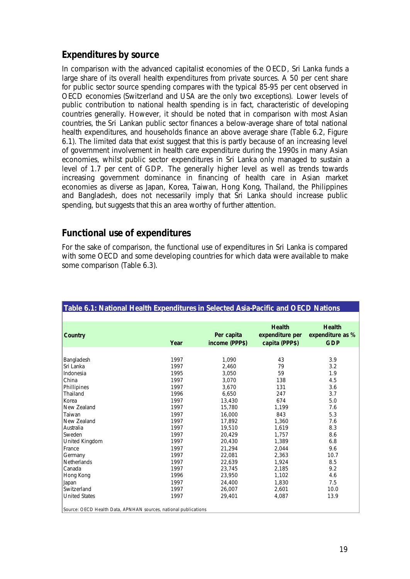## *Expenditures by source*

In comparison with the advanced capitalist economies of the OECD, Sri Lanka funds a large share of its overall health expenditures from private sources. A 50 per cent share for public sector source spending compares with the typical 85-95 per cent observed in OECD economies (Switzerland and USA are the only two exceptions). Lower levels of public contribution to national health spending is in fact, characteristic of developing countries generally. However, it should be noted that in comparison with most Asian countries, the Sri Lankan public sector finances a below-average share of total national health expenditures, and households finance an above average share (Table 6.2, Figure 6.1). The limited data that exist suggest that this is partly because of an increasing level of government involvement in health care expenditure during the 1990s in many Asian economies, whilst public sector expenditures in Sri Lanka only managed to sustain a level of 1.7 per cent of GDP. The generally higher level as well as trends towards increasing government dominance in financing of health care in Asian market economies as diverse as Japan, Korea, Taiwan, Hong Kong, Thailand, the Philippines and Bangladesh, does not necessarily imply that Sri Lanka should increase public spending, but suggests that this an area worthy of further attention.

## *Functional use of expenditures*

For the sake of comparison, the functional use of expenditures in Sri Lanka is compared with some OECD and some developing countries for which data were available to make some comparison (Table 6.3).

**Table 6.1: National Health Expenditures in Selected Asia-Pacific and OECD nations**

| Table 6.1: National Health Expenditures in Selected Asia-Pacific and OECD Nations |      |                              |                                                    |                                                 |
|-----------------------------------------------------------------------------------|------|------------------------------|----------------------------------------------------|-------------------------------------------------|
|                                                                                   |      |                              |                                                    |                                                 |
| Country                                                                           | Year | Per capita<br>income (PPP\$) | <b>Health</b><br>expenditure per<br>capita (PPP\$) | <b>Health</b><br>expenditure as %<br><b>GDP</b> |
|                                                                                   |      |                              |                                                    |                                                 |
| Bangladesh                                                                        | 1997 | 1.090                        | 43                                                 | 3.9                                             |
| Sri Lanka                                                                         | 1997 | 2.460                        | 79                                                 | 3.2                                             |
| Indonesia                                                                         | 1995 | 3.050                        | 59                                                 | 1.9                                             |
| China                                                                             | 1997 | 3,070                        | 138                                                | 4.5                                             |
| Phillipines                                                                       | 1997 | 3,670                        | 131                                                | 3.6                                             |
| Thailand                                                                          | 1996 | 6,650                        | 247                                                | 3.7                                             |
| Korea                                                                             | 1997 | 13,430                       | 674                                                | 5.0                                             |
| New Zealand                                                                       | 1997 | 15,780                       | 1,199                                              | 7.6                                             |
| Taiwan                                                                            | 1997 | 16,000                       | 843                                                | 5.3                                             |
| New Zealand                                                                       | 1997 | 17.892                       | 1,360                                              | 7.6                                             |
| Australia                                                                         | 1997 | 19,510                       | 1,619                                              | 8.3                                             |
| <b>Sweden</b>                                                                     | 1997 | 20.429                       | 1.757                                              | 8.6                                             |
| United Kingdom                                                                    | 1997 | 20.430                       | 1,389                                              | 6.8                                             |
| France                                                                            | 1997 | 21.294                       | 2.044                                              | 9.6                                             |
| Germany                                                                           | 1997 | 22,081                       | 2,363                                              | 10.7                                            |
| <b>Netherlands</b>                                                                | 1997 | 22,639                       | 1,924                                              | 8.5                                             |
| l Canada                                                                          | 1997 | 23,745                       | 2,185                                              | 9.2                                             |
| Hong Kong                                                                         | 1996 | 23,950                       | 1,102                                              | 4.6                                             |
| Japan                                                                             | 1997 | 24.400                       | 1.830                                              | 7.5                                             |
| Switzerland                                                                       | 1997 | 26.007                       | 2.601                                              | 10.0                                            |
| <b>United States</b>                                                              | 1997 | 29.401                       | 4,087                                              | 13.9                                            |
| Source: OECD Health Data, APNHAN sources, national publications                   |      |                              |                                                    |                                                 |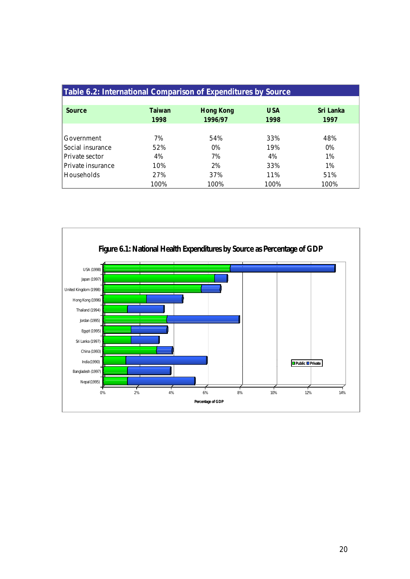| Table 6.2: International Comparison of Expenditures by Source |        |                  |            |           |
|---------------------------------------------------------------|--------|------------------|------------|-----------|
| Source                                                        | Taiwan | <b>Hong Kong</b> | <b>USA</b> | Sri Lanka |
|                                                               | 1998   | 1996/97          | 1998       | 1997      |
| Government                                                    | 7%     | 54%              | 33%        | 48%       |
| Social insurance                                              | 52%    | 0%               | 19%        | $0\%$     |
| Private sector                                                | 4%     | 7%               | 4%         | 1%        |
| Private insurance                                             | 10%    | 2%               | 33%        | 1%        |
| <b>Households</b>                                             | 27%    | 37%              | 11%        | 51%       |
|                                                               | 100%   | 100%             | 100%       | 100%      |

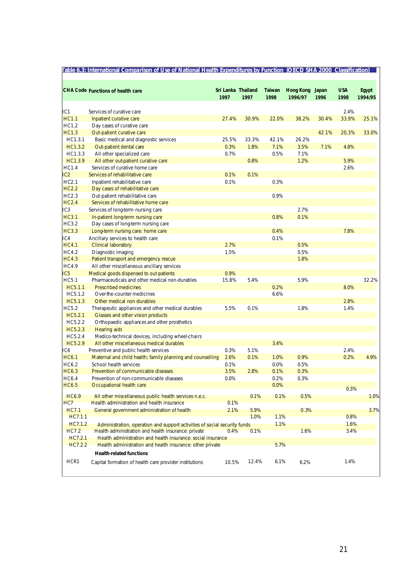|                    | CHA Code Functions of health care                                                      | Sri Lanka Thailand<br>1997 | 1997  | Taiwan<br>1998 | <b>Hong Kong</b><br>1996/97 | Japan<br>1996 | <b>USA</b><br>1998 | Egypt<br>1994/95 |
|--------------------|----------------------------------------------------------------------------------------|----------------------------|-------|----------------|-----------------------------|---------------|--------------------|------------------|
| HC1                | Services of curative care                                                              |                            |       |                |                             |               | 2.4%               |                  |
| <b>HC1.1</b>       | Inpatient curative care                                                                | 27.4%                      | 30.9% | 22.0%          | 38.2%                       | 30.4%         | 33.9%              | 25.1%            |
| HC1.2              | Day cases of curative care                                                             |                            |       |                |                             |               |                    |                  |
| <b>HC1.3</b>       | Out-patient curative care                                                              |                            |       |                |                             | 42.1%         | 20.3%              | 33.0%            |
| HC1.3.1            | Basic medical and diagnostic services                                                  | 25.5%                      | 33.3% | 42.1%          | 26.2%                       |               |                    |                  |
| HC1.3.2            | Out-patient dental care                                                                | 0.3%                       | 1.8%  | 7.1%           | 3.5%                        | 7.1%          | 4.8%               |                  |
| HC1.3.3            | All other specialized care                                                             | 0.7%                       |       | 0.5%           | 7.1%                        |               |                    |                  |
| HC1.3.9            | All other out-patient curative care                                                    |                            | 0.8%  |                | 1.2%                        |               | 5.9%               |                  |
| HC1.4              | Services of curative home care                                                         |                            |       |                |                             |               | 2.6%               |                  |
| IC2                | Services of rehabilitative care                                                        | 0.1%                       | 0.1%  |                |                             |               |                    |                  |
| HC2.1              | Inpatient rehabilitative care                                                          | 0.1%                       |       | 0.3%           |                             |               |                    |                  |
| <b>HC2.2</b>       | Day cases of rehabilitative care                                                       |                            |       |                |                             |               |                    |                  |
| HC2.3              | Out-patient rehabilitative care                                                        |                            |       | 0.9%           |                             |               |                    |                  |
| <b>HC2.4</b>       | Services of rehabilitative home care                                                   |                            |       |                |                             |               |                    |                  |
| HC3                | Services of long-term nursing care                                                     |                            |       |                | 2.7%                        |               |                    |                  |
| <b>HC3.1</b>       | In-patient long-term nursing care                                                      |                            |       | 0.8%           | 0.1%                        |               |                    |                  |
| HC3.2              | Day cases of long-term nursing care                                                    |                            |       |                |                             |               |                    |                  |
| <b>HC3.3</b>       | Long-term nursing care: home care                                                      |                            |       | 0.4%           |                             |               | 7.8%               |                  |
| HC4                | Ancillary services to health care                                                      |                            |       | 0.1%           |                             |               |                    |                  |
| <b>HC4.1</b>       | <b>Clinical laboratory</b>                                                             | 2.7%                       |       |                | 0.5%                        |               |                    |                  |
| <b>HC4.2</b>       | Diagnostic imaging                                                                     | 1.5%                       |       |                | 0.5%                        |               |                    |                  |
| <b>HC4.3</b>       | Patient transport and emergency rescue                                                 |                            |       |                | 1.8%                        |               |                    |                  |
| <b>HC4.9</b>       | All other miscellaneous ancillary services                                             |                            |       |                |                             |               |                    |                  |
| IC <sub>5</sub>    | Medical goods dispensed to out-patients                                                | 0.9%                       |       |                |                             |               |                    |                  |
| <b>HC5.1</b>       | Pharmaceuticals and other medical non-durables                                         | 15.8%                      | 5.4%  |                | 5.9%                        |               |                    | 32.2%            |
| HC5.1.1<br>HC5.1.2 | <b>Prescribed medicines</b><br>Over-the-counter medicines                              |                            |       | 0.2%<br>6.6%   |                             |               | 8.0%               |                  |
| HC5.1.3            | Other medical non-durables                                                             |                            |       |                |                             |               | 2.8%               |                  |
| <b>HC5.2</b>       |                                                                                        | 5.5%                       | 0.1%  |                | 1.8%                        |               | 1.4%               |                  |
| HC5.2.1            | Therapeutic appliances and other medical durables<br>Glasses and other vision products |                            |       |                |                             |               |                    |                  |
| HC5.2.2            | Orthopaedic appliances and other prosthetics                                           |                            |       |                |                             |               |                    |                  |
| HC5.2.3            | <b>Hearing aids</b>                                                                    |                            |       |                |                             |               |                    |                  |
| HC5.2.4            | Medico-technical devices, including wheel-chairs                                       |                            |       |                |                             |               |                    |                  |
| HC5.2.9            | All other miscellaneous medical durables                                               |                            |       | 3.4%           |                             |               |                    |                  |
| HC6                | Preventive and public health services                                                  | 0.3%                       | 5.1%  |                |                             |               | 2.4%               |                  |
| <b>HC6.1</b>       | Maternal and child health; family planning and counselling                             | 2.6%                       | 0.1%  | 1.0%           | 0.9%                        |               | 0.2%               | 4.9%             |
| HC6.2              | School health services                                                                 | 0.1%                       |       | 0.0%           | 0.5%                        |               |                    |                  |
| <b>HC6.3</b>       | Prevention of communicable diseases                                                    | 3.5%                       | 2.8%  | 0.1%           | 0.3%                        |               |                    |                  |
| <b>HC6.4</b>       | Prevention of non-communicable diseases                                                | 0.0%                       |       | 0.2%           | 0.3%                        |               |                    |                  |
| <b>HC6.5</b>       | Occupational health care                                                               |                            |       | 0.0%           |                             |               |                    |                  |
|                    |                                                                                        |                            |       |                |                             |               | 0.3%               |                  |
| HC6.9              | All other miscellaneous public health services n.e.c.                                  |                            | 0.1%  | 0.1%           | 0.5%                        |               |                    | 1.0%             |
| HC7                | Health administration and health insurance                                             | 0.1%                       |       |                |                             |               |                    |                  |
| <b>HC7.1</b>       | General government administration of health                                            | 2.1%                       | 5.9%  |                | 0.3%                        |               |                    | 3.7%             |
| HC7.1.1            |                                                                                        |                            | 1.0%  | 1.1%           |                             |               | 0.8%               |                  |
| HC7.1.2            | Administration, operation and support activities of social security funds              |                            |       | 1.1%           |                             |               | 1.6%               |                  |
| <b>HC7.2</b>       | Health administration and health insurance: private                                    | 0.4%                       | 0.1%  |                | 1.6%                        |               | 3.4%               |                  |
| HC7.2.1            | Health administration and health insurance: social insurance                           |                            |       |                |                             |               |                    |                  |
| HC7.2.2            | Health administration and health insurance: other private                              |                            |       | 5.7%           |                             |               |                    |                  |
|                    | <b>Health-related functions</b>                                                        |                            |       |                |                             |               |                    |                  |
| HCR1               | Capital formation of health care provider institutions                                 | 10.5%                      | 12.4% | 6.1%           | 6.2%                        |               | 1.4%               |                  |

*.*

÷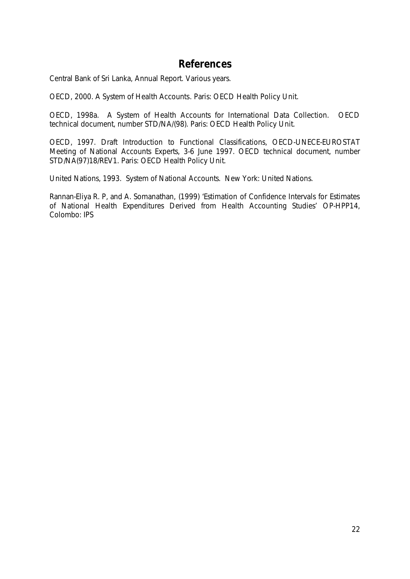## **References**

Central Bank of Sri Lanka, Annual Report. Various years.

OECD, 2000. *A System of Health Accounts*. Paris: OECD Health Policy Unit.

OECD, 1998a. *A System of Health Accounts for International Data Collection.* OECD technical document, number STD/NA/(98). Paris: OECD Health Policy Unit.

OECD, 1997. *Draft Introduction to Functional Classifications*, OECD-UNECE-EUROSTAT Meeting of National Accounts Experts, 3-6 June 1997. OECD technical document, number STD/NA(97)18/REV1. Paris: OECD Health Policy Unit.

United Nations, 1993. System of National Accounts. New York: United Nations.

Rannan-Eliya R. P, and A. Somanathan, (1999) '*Estimation of Confidence Intervals for Estimates of National Health Expenditures Derived from Health Accounting Studies'* OP-HPP14, Colombo: IPS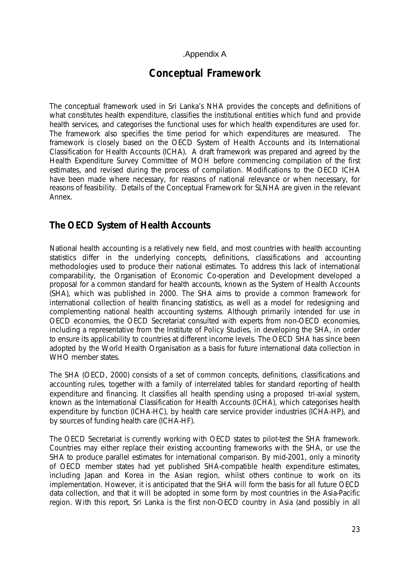#### .Appendix A

## **Conceptual Framework**

The conceptual framework used in Sri Lanka's NHA provides the concepts and definitions of what constitutes health expenditure, classifies the institutional entities which fund and provide health services, and categorises the functional uses for which health expenditures are used for. The framework also specifies the time period for which expenditures are measured. The framework is closely based on the OECD System of Health Accounts and its International Classification for Health Accounts (ICHA). A draft framework was prepared and agreed by the Health Expenditure Survey Committee of MOH before commencing compilation of the first estimates, and revised during the process of compilation. Modifications to the OECD ICHA have been made where necessary, for reasons of national relevance or when necessary, for reasons of feasibility. Details of the Conceptual Framework for SLNHA are given in the relevant Annex.

## *The OECD System of Health Accounts*

National health accounting is a relatively new field, and most countries with health accounting statistics differ in the underlying concepts, definitions, classifications and accounting methodologies used to produce their national estimates. To address this lack of international comparability, the Organisation of Economic Co-operation and Development developed a proposal for a common standard for health accounts, known as the *System of Health Accounts* (SHA), which was published in 2000. The SHA aims to provide a common framework for international collection of health financing statistics, as well as a model for redesigning and complementing national health accounting systems. Although primarily intended for use in OECD economies, the OECD Secretariat consulted with experts from non-OECD economies, including a representative from the Institute of Policy Studies, in developing the SHA, in order to ensure its applicability to countries at different income levels. The OECD SHA has since been adopted by the World Health Organisation as a basis for future international data collection in WHO member states.

The SHA (OECD, 2000) consists of a set of common concepts, definitions, classifications and accounting rules, together with a family of interrelated tables for standard reporting of health expenditure and financing. It classifies all health spending using a proposed tri-axial system, known as the International Classification for Health Accounts (ICHA), which categorises health expenditure by function (ICHA-HC), by health care service provider industries (ICHA-HP), and by sources of funding health care (ICHA-HF).

The OECD Secretariat is currently working with OECD states to pilot-test the SHA framework. Countries may either replace their existing accounting frameworks with the SHA, or use the SHA to produce parallel estimates for international comparison. By mid-2001, only a minority of OECD member states had yet published SHA-compatible health expenditure estimates, including Japan and Korea in the Asian region, whilst others continue to work on its implementation. However, it is anticipated that the SHA will form the basis for all future OECD data collection, and that it will be adopted in some form by most countries in the Asia-Pacific region. With this report, Sri Lanka is the first non-OECD country in Asia (and possibly in all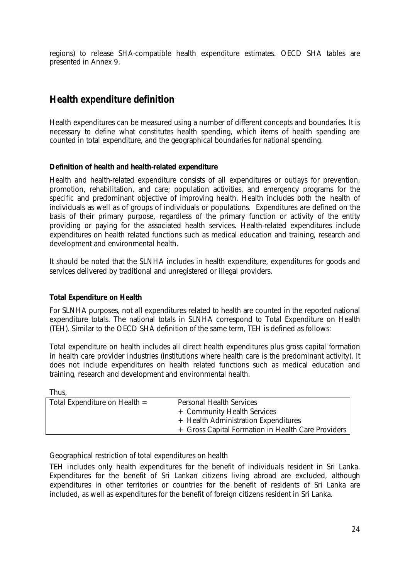regions) to release SHA-compatible health expenditure estimates. OECD SHA tables are presented in Annex 9.

## *Health expenditure definition*

Health expenditures can be measured using a number of different concepts and boundaries. It is necessary to define what constitutes health spending, which items of health spending are counted in total expenditure, and the geographical boundaries for national spending.

#### *Definition of health and health-related expenditure*

Health and health-related expenditure consists of all expenditures or outlays for prevention, promotion, rehabilitation, and care; population activities, and emergency programs for the specific and predominant objective of improving health. Health includes both the health of individuals as well as of groups of individuals or populations. Expenditures are defined on the basis of their primary purpose, regardless of the primary function or activity of the entity providing or paying for the associated health services. Health-related expenditures include expenditures on health related functions such as medical education and training, research and development and environmental health.

It should be noted that the SLNHA includes in health expenditure, expenditures for goods and services delivered by traditional and unregistered or illegal providers.

#### *Total Expenditure on Health*

For SLNHA purposes, not all expenditures related to health are counted in the reported national expenditure totals. The national totals in SLNHA correspond to Total Expenditure on Health (TEH). Similar to the OECD SHA definition of the same term, TEH is defined as follows:

Total expenditure on health includes all direct health expenditures plus gross capital formation in health care provider industries (institutions where health care is the predominant activity). It does not include expenditures on health related functions such as medical education and training, research and development and environmental health.

| . .<br>۰, |  |
|-----------|--|
|-----------|--|

| Total Expenditure on Health $=$ | Personal Health Services                           |
|---------------------------------|----------------------------------------------------|
|                                 | + Community Health Services                        |
|                                 | + Health Administration Expenditures               |
|                                 | + Gross Capital Formation in Health Care Providers |
|                                 |                                                    |

#### *Geographical restriction of total expenditures on health*

TEH includes only health expenditures for the benefit of individuals resident in Sri Lanka. Expenditures for the benefit of Sri Lankan citizens living abroad are excluded, although expenditures in other territories or countries for the benefit of residents of Sri Lanka are included, as well as expenditures for the benefit of foreign citizens resident in Sri Lanka.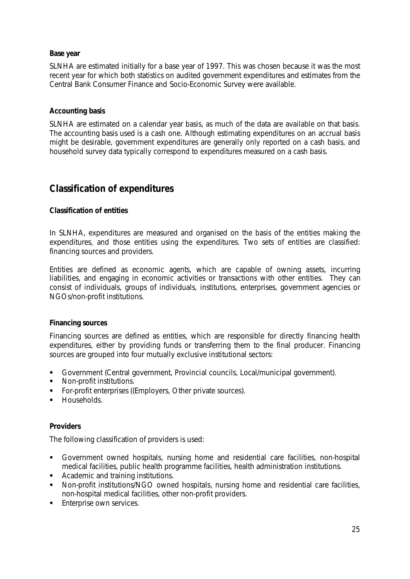#### *Base year*

SLNHA are estimated initially for a base year of 1997. This was chosen because it was the most recent year for which both statistics on audited government expenditures and estimates from the Central Bank Consumer Finance and Socio-Economic Survey were available.

#### *Accounting basis*

SLNHA are estimated on a calendar year basis, as much of the data are available on that basis. The accounting basis used is a cash one. Although estimating expenditures on an accrual basis might be desirable, government expenditures are generally only reported on a cash basis, and household survey data typically correspond to expenditures measured on a cash basis.

## *Classification of expenditures*

#### *Classification of entities*

In SLNHA, expenditures are measured and organised on the basis of the entities making the expenditures, and those entities using the expenditures. Two sets of entities are classified: financing sources and providers.

Entities are defined as economic agents, which are capable of owning assets, incurring liabilities, and engaging in economic activities or transactions with other entities. They can consist of individuals, groups of individuals, institutions, enterprises, government agencies or NGOs/non-profit institutions.

#### *Financing sources*

Financing sources are defined as entities, which are responsible for directly financing health expenditures, either by providing funds or transferring them to the final producer. Financing sources are grouped into four mutually exclusive institutional sectors:

- ß Government (Central government, Provincial councils, Local/municipal government).
- **Non-profit institutions.**
- **For-profit enterprises ((Employers, Other private sources).**
- **Households.**

#### *Providers*

The following classification of providers is used:

- ß Government owned hospitals, nursing home and residential care facilities, non-hospital medical facilities, public health programme facilities, health administration institutions.
- **•** Academic and training institutions.
- Non-profit institutions/NGO owned hospitals, nursing home and residential care facilities, non-hospital medical facilities, other non-profit providers.
- **Enterprise own services.**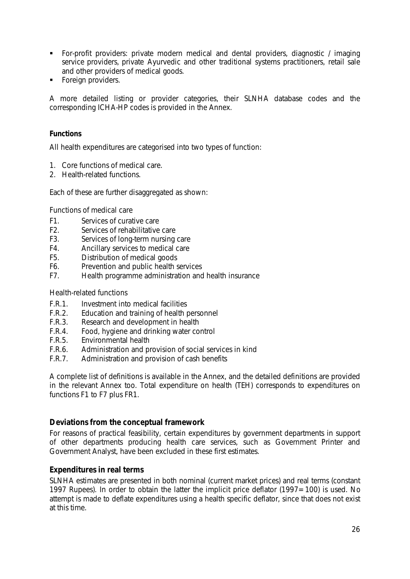- ß For-profit providers: private modern medical and dental providers, diagnostic / imaging service providers, private Ayurvedic and other traditional systems practitioners, retail sale and other providers of medical goods.
- ß Foreign providers.

A more detailed listing or provider categories, their SLNHA database codes and the corresponding ICHA-HP codes is provided in the Annex.

#### *Functions*

All health expenditures are categorised into two types of function:

- 1. Core functions of medical care.
- 2. Health-related functions.

Each of these are further disaggregated as shown:

#### *Functions of medical care*

- F1. Services of curative care
- 
- F2. Services of rehabilitative care<br>F3. Services of long-term nursing Services of long-term nursing care
- F4. Ancillary services to medical care
- F5. Distribution of medical goods
- F6. Prevention and public health services
- F7. Health programme administration and health insurance

#### *Health-related functions*

- F.R.1. Investment into medical facilities
- F.R.2. Education and training of health personnel
- F.R.3. Research and development in health
- F.R.4. Food, hygiene and drinking water control
- F.R.5. Environmental health
- F.R.6. Administration and provision of social services in kind
- F.R.7. Administration and provision of cash benefits

A complete list of definitions is available in the Annex, and the detailed definitions are provided in the relevant Annex too. Total expenditure on health (TEH) corresponds to expenditures on functions F1 to F7 plus FR1.

#### **Deviations from the conceptual framework**

For reasons of practical feasibility, certain expenditures by government departments in support of other departments producing health care services, such as Government Printer and Government Analyst, have been excluded in these first estimates.

#### **Expenditures in real terms**

SLNHA estimates are presented in both nominal (current market prices) and real terms (constant 1997 Rupees). In order to obtain the latter the implicit price deflator (1997=100) is used. No attempt is made to deflate expenditures using a health specific deflator, since that does not exist at this time.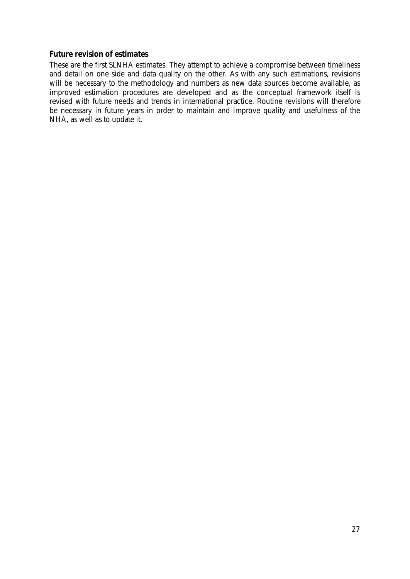## **Future revision of estimates**

These are the first SLNHA estimates. They attempt to achieve a compromise between timeliness and detail on one side and data quality on the other. As with any such estimations, revisions will be necessary to the methodology and numbers as new data sources become available, as improved estimation procedures are developed and as the conceptual framework itself is revised with future needs and trends in international practice. Routine revisions will therefore be necessary in future years in order to maintain and improve quality and usefulness of the NHA, as well as to update it.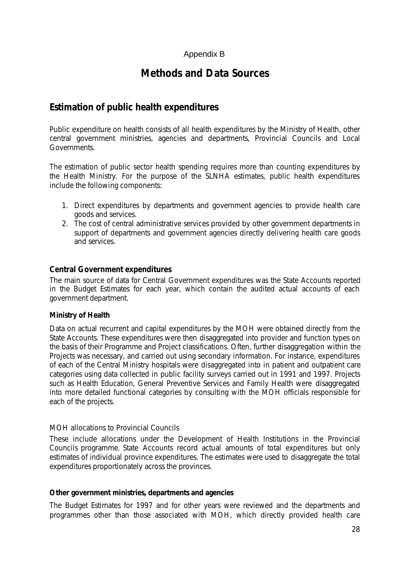## Appendix B

## **Methods and Data Sources**

## *Estimation of public health expenditures*

Public expenditure on health consists of all health expenditures by the Ministry of Health, other central government ministries, agencies and departments, Provincial Councils and Local Governments.

The estimation of public sector health spending requires more than counting expenditures by the Health Ministry. For the purpose of the SLNHA estimates, public health expenditures include the following components:

- 1. Direct expenditures by departments and government agencies to provide health care goods and services.
- 2. The cost of central administrative services provided by other government departments in support of departments and government agencies directly delivering health care goods and services.

## **Central Government expenditures**

The main source of data for Central Government expenditures was the State Accounts reported in the Budget Estimates for each year, which contain the audited actual accounts of each government department.

#### *Ministry of Health*

Data on actual recurrent and capital expenditures by the MOH were obtained directly from the State Accounts. These expenditures were then disaggregated into provider and function types on the basis of their Programme and Project classifications. Often, further disaggregation within the Projects was necessary, and carried out using secondary information. For instance, expenditures of each of the Central Ministry hospitals were disaggregated into in patient and outpatient care categories using data collected in public facility surveys carried out in 1991 and 1997. Projects such as Health Education, General Preventive Services and Family Health were disaggregated into more detailed functional categories by consulting with the MOH officials responsible for each of the projects.

#### *MOH allocations to Provincial Councils*

These include allocations under the Development of Health Institutions in the Provincial Councils programme. State Accounts record actual amounts of total expenditures but only estimates of individual province expenditures. The estimates were used to disaggregate the total expenditures proportionately across the provinces.

#### *Other government ministries, departments and agencies*

The Budget Estimates for 1997 and for other years were reviewed and the departments and programmes other than those associated with MOH, which directly provided health care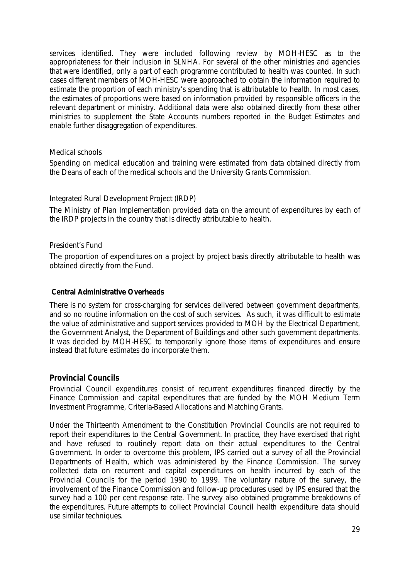services identified. They were included following review by MOH-HESC as to the appropriateness for their inclusion in SLNHA. For several of the other ministries and agencies that were identified, only a part of each programme contributed to health was counted. In such cases different members of MOH-HESC were approached to obtain the information required to estimate the proportion of each ministry's spending that is attributable to health. In most cases, the estimates of proportions were based on information provided by responsible officers in the relevant department or ministry. Additional data were also obtained directly from these other ministries to supplement the State Accounts numbers reported in the Budget Estimates and enable further disaggregation of expenditures.

## *Medical schools*

Spending on medical education and training were estimated from data obtained directly from the Deans of each of the medical schools and the University Grants Commission.

## *Integrated Rural Development Project (IRDP)*

The Ministry of Plan Implementation provided data on the amount of expenditures by each of the IRDP projects in the country that is directly attributable to health.

## *President's Fund*

The proportion of expenditures on a project by project basis directly attributable to health was obtained directly from the Fund.

#### *Central Administrative Overheads*

There is no system for cross-charging for services delivered between government departments, and so no routine information on the cost of such services. As such, it was difficult to estimate the value of administrative and support services provided to MOH by the Electrical Department, the Government Analyst, the Department of Buildings and other such government departments. It was decided by MOH-HESC to temporarily ignore those items of expenditures and ensure instead that future estimates do incorporate them.

## **Provincial Councils**

Provincial Council expenditures consist of recurrent expenditures financed directly by the Finance Commission and capital expenditures that are funded by the MOH Medium Term Investment Programme, Criteria-Based Allocations and Matching Grants.

Under the Thirteenth Amendment to the Constitution Provincial Councils are not required to report their expenditures to the Central Government. In practice, they have exercised that right and have refused to routinely report data on their actual expenditures to the Central Government. In order to overcome this problem, IPS carried out a survey of all the Provincial Departments of Health, which was administered by the Finance Commission. The survey collected data on recurrent and capital expenditures on health incurred by each of the Provincial Councils for the period 1990 to 1999. The voluntary nature of the survey, the involvement of the Finance Commission and follow-up procedures used by IPS ensured that the survey had a 100 per cent response rate. The survey also obtained programme breakdowns of the expenditures. Future attempts to collect Provincial Council health expenditure data should use similar techniques.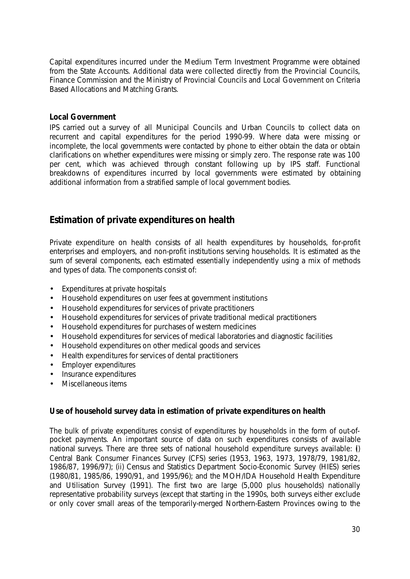Capital expenditures incurred under the Medium Term Investment Programme were obtained from the State Accounts. Additional data were collected directly from the Provincial Councils, Finance Commission and the Ministry of Provincial Councils and Local Government on Criteria Based Allocations and Matching Grants.

### **Local Government**

IPS carried out a survey of all Municipal Councils and Urban Councils to collect data on recurrent and capital expenditures for the period 1990-99. Where data were missing or incomplete, the local governments were contacted by phone to either obtain the data or obtain clarifications on whether expenditures were missing or simply zero. The response rate was 100 per cent, which was achieved through constant following up by IPS staff. Functional breakdowns of expenditures incurred by local governments were estimated by obtaining additional information from a stratified sample of local government bodies.

## *Estimation of private expenditures on health*

Private expenditure on health consists of all health expenditures by households, for-profit enterprises and employers, and non-profit institutions serving households. It is estimated as the sum of several components, each estimated essentially independently using a mix of methods and types of data. The components consist of:

- Expenditures at private hospitals
- Household expenditures on user fees at government institutions
- Household expenditures for services of private practitioners
- Household expenditures for services of private traditional medical practitioners
- Household expenditures for purchases of western medicines
- Household expenditures for services of medical laboratories and diagnostic facilities
- Household expenditures on other medical goods and services
- Health expenditures for services of dental practitioners
- Employer expenditures
- Insurance expenditures
- Miscellaneous items

## **Use of household survey data in estimation of private expenditures on health**

The bulk of private expenditures consist of expenditures by households in the form of out-ofpocket payments. An important source of data on such expenditures consists of available national surveys. There are three sets of national household expenditure surveys available: (i) Central Bank Consumer Finances Survey (CFS) series (1953, 1963, 1973, 1978/79, 1981/82, 1986/87, 1996/97); (ii) Census and Statistics Department Socio-Economic Survey (HIES) series (1980/81, 1985/86, 1990/91, and 1995/96); and the MOH/IDA Household Health Expenditure and Utilisation Survey (1991). The first two are large (5,000 plus households) nationally representative probability surveys (except that starting in the 1990s, both surveys either exclude or only cover small areas of the temporarily-merged Northern-Eastern Provinces owing to the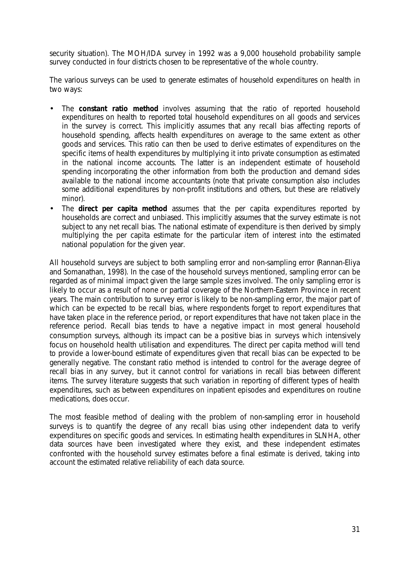security situation). The MOH/IDA survey in 1992 was a 9,000 household probability sample survey conducted in four districts chosen to be representative of the whole country.

The various surveys can be used to generate estimates of household expenditures on health in two ways:

- The *constant ratio method* involves assuming that the ratio of reported household expenditures on health to reported total household expenditures on all goods and services in the survey is correct. This implicitly assumes that any recall bias affecting reports of household spending, affects health expenditures on average to the same extent as other goods and services. This ratio can then be used to derive estimates of expenditures on the specific items of health expenditures by multiplying it into private consumption as estimated in the national income accounts. The latter is an independent estimate of household spending incorporating the other information from both the production and demand sides available to the national income accountants (note that private consumption also includes some additional expenditures by non-profit institutions and others, but these are relatively minor).
- The *direct per capita method* assumes that the per capita expenditures reported by households are correct and unbiased. This implicitly assumes that the survey estimate is not subject to any net recall bias. The national estimate of expenditure is then derived by simply multiplying the per capita estimate for the particular item of interest into the estimated national population for the given year.

All household surveys are subject to both sampling error and non-sampling error (Rannan-Eliya and Somanathan, 1998). In the case of the household surveys mentioned, sampling error can be regarded as of minimal impact given the large sample sizes involved. The only sampling error is likely to occur as a result of none or partial coverage of the Northern-Eastern Province in recent years. The main contribution to survey error is likely to be non-sampling error, the major part of which can be expected to be recall bias, where respondents forget to report expenditures that have taken place in the reference period, or report expenditures that have not taken place in the reference period. Recall bias tends to have a negative impact in most general household consumption surveys, although its impact can be a positive bias in surveys which intensively focus on household health utilisation and expenditures. The direct per capita method will tend to provide a lower-bound estimate of expenditures given that recall bias can be expected to be generally negative. The constant ratio method is intended to control for the average degree of recall bias in any survey, but it cannot control for variations in recall bias between different items. The survey literature suggests that such variation in reporting of different types of health expenditures, such as between expenditures on inpatient episodes and expenditures on routine medications, does occur.

The most feasible method of dealing with the problem of non-sampling error in household surveys is to quantify the degree of any recall bias using other independent data to verify expenditures on specific goods and services. In estimating health expenditures in SLNHA, other data sources have been investigated where they exist, and these independent estimates confronted with the household survey estimates before a final estimate is derived, taking into account the estimated relative reliability of each data source.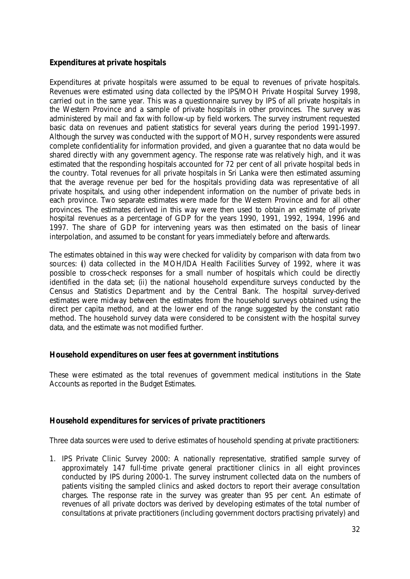## **Expenditures at private hospitals**

Expenditures at private hospitals were assumed to be equal to revenues of private hospitals. Revenues were estimated using data collected by the IPS/MOH Private Hospital Survey 1998, carried out in the same year. This was a questionnaire survey by IPS of all private hospitals in the Western Province and a sample of private hospitals in other provinces. The survey was administered by mail and fax with follow-up by field workers. The survey instrument requested basic data on revenues and patient statistics for several years during the period 1991-1997. Although the survey was conducted with the support of MOH, survey respondents were assured complete confidentiality for information provided, and given a guarantee that no data would be shared directly with any government agency. The response rate was relatively high, and it was estimated that the responding hospitals accounted for 72 per cent of all private hospital beds in the country. Total revenues for all private hospitals in Sri Lanka were then estimated assuming that the average revenue per bed for the hospitals providing data was representative of all private hospitals, and using other independent information on the number of private beds in each province. Two separate estimates were made for the Western Province and for all other provinces. The estimates derived in this way were then used to obtain an estimate of private hospital revenues as a percentage of GDP for the years 1990, 1991, 1992, 1994, 1996 and 1997. The share of GDP for intervening years was then estimated on the basis of linear interpolation, and assumed to be constant for years immediately before and afterwards.

The estimates obtained in this way were checked for validity by comparison with data from two sources: (i) data collected in the MOH/IDA Health Facilities Survey of 1992, where it was possible to cross-check responses for a small number of hospitals which could be directly identified in the data set; (ii) the national household expenditure surveys conducted by the Census and Statistics Department and by the Central Bank. The hospital survey-derived estimates were midway between the estimates from the household surveys obtained using the direct per capita method, and at the lower end of the range suggested by the constant ratio method. The household survey data were considered to be consistent with the hospital survey data, and the estimate was not modified further.

## **Household expenditures on user fees at government institutions**

These were estimated as the total revenues of government medical institutions in the State Accounts as reported in the Budget Estimates.

## **Household expenditures for services of private practitioners**

Three data sources were used to derive estimates of household spending at private practitioners:

1. IPS Private Clinic Survey 2000: A nationally representative, stratified sample survey of approximately 147 full-time private general practitioner clinics in all eight provinces conducted by IPS during 2000-1. The survey instrument collected data on the numbers of patients visiting the sampled clinics and asked doctors to report their average consultation charges. The response rate in the survey was greater than 95 per cent. An estimate of revenues of all private doctors was derived by developing estimates of the total number of consultations at private practitioners (including government doctors practising privately) and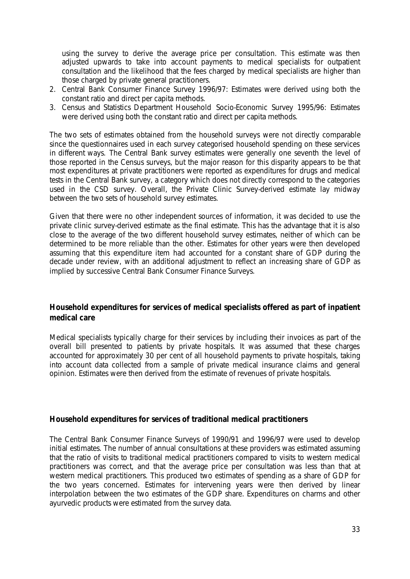using the survey to derive the average price per consultation. This estimate was then adjusted upwards to take into account payments to medical specialists for outpatient consultation and the likelihood that the fees charged by medical specialists are higher than those charged by private general practitioners.

- 2. Central Bank Consumer Finance Survey 1996/97: Estimates were derived using both the constant ratio and direct per capita methods.
- 3. Census and Statistics Department Household Socio-Economic Survey 1995/96: Estimates were derived using both the constant ratio and direct per capita methods.

The two sets of estimates obtained from the household surveys were not directly comparable since the questionnaires used in each survey categorised household spending on these services in different ways. The Central Bank survey estimates were generally one seventh the level of those reported in the Census surveys, but the major reason for this disparity appears to be that most expenditures at private practitioners were reported as expenditures for drugs and medical tests in the Central Bank survey, a category which does not directly correspond to the categories used in the CSD survey. Overall, the Private Clinic Survey-derived estimate lay midway between the two sets of household survey estimates.

Given that there were no other independent sources of information, it was decided to use the private clinic survey-derived estimate as the final estimate. This has the advantage that it is also close to the average of the two different household survey estimates, neither of which can be determined to be more reliable than the other. Estimates for other years were then developed assuming that this expenditure item had accounted for a constant share of GDP during the decade under review, with an additional adjustment to reflect an increasing share of GDP as implied by successive Central Bank Consumer Finance Surveys.

## **Household expenditures for services of medical specialists offered as part of inpatient medical care**

Medical specialists typically charge for their services by including their invoices as part of the overall bill presented to patients by private hospitals. It was assumed that these charges accounted for approximately 30 per cent of all household payments to private hospitals, taking into account data collected from a sample of private medical insurance claims and general opinion. Estimates were then derived from the estimate of revenues of private hospitals.

#### **Household expenditures for services of traditional medical practitioners**

The Central Bank Consumer Finance Surveys of 1990/91 and 1996/97 were used to develop initial estimates. The number of annual consultations at these providers was estimated assuming that the ratio of visits to traditional medical practitioners compared to visits to western medical practitioners was correct, and that the average price per consultation was less than that at western medical practitioners. This produced two estimates of spending as a share of GDP for the two years concerned. Estimates for intervening years were then derived by linear interpolation between the two estimates of the GDP share. Expenditures on charms and other ayurvedic products were estimated from the survey data.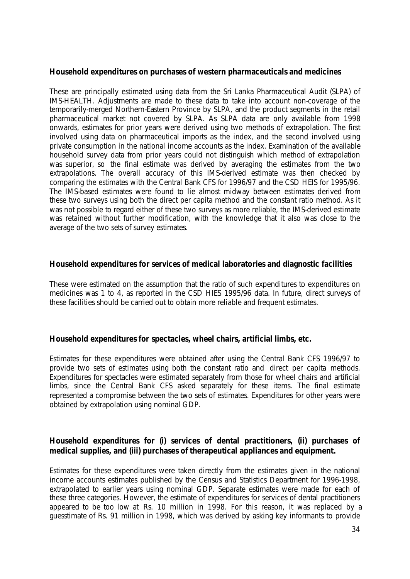## **Household expenditures on purchases of western pharmaceuticals and medicines**

These are principally estimated using data from the Sri Lanka Pharmaceutical Audit (SLPA) of IMS-HEALTH. Adjustments are made to these data to take into account non-coverage of the temporarily-merged Northern-Eastern Province by SLPA, and the product segments in the retail pharmaceutical market not covered by SLPA. As SLPA data are only available from 1998 onwards, estimates for prior years were derived using two methods of extrapolation. The first involved using data on pharmaceutical imports as the index, and the second involved using private consumption in the national income accounts as the index. Examination of the available household survey data from prior years could not distinguish which method of extrapolation was superior, so the final estimate was derived by averaging the estimates from the two extrapolations. The overall accuracy of this IMS-derived estimate was then checked by comparing the estimates with the Central Bank CFS for 1996/97 and the CSD HEIS for 1995/96. The IMS-based estimates were found to lie almost midway between estimates derived from these two surveys using both the direct per capita method and the constant ratio method. As it was not possible to regard either of these two surveys as more reliable, the IMS-derived estimate was retained without further modification, with the knowledge that it also was close to the average of the two sets of survey estimates.

## **Household expenditures for services of medical laboratories and diagnostic facilities**

These were estimated on the assumption that the ratio of such expenditures to expenditures on medicines was 1 to 4, as reported in the CSD HIES 1995/96 data. In future, direct surveys of these facilities should be carried out to obtain more reliable and frequent estimates.

#### **Household expenditures for spectacles, wheel chairs, artificial limbs, etc.**

Estimates for these expenditures were obtained after using the Central Bank CFS 1996/97 to provide two sets of estimates using both the constant ratio and direct per capita methods. Expenditures for spectacles were estimated separately from those for wheel chairs and artificial limbs, since the Central Bank CFS asked separately for these items. The final estimate represented a compromise between the two sets of estimates. Expenditures for other years were obtained by extrapolation using nominal GDP.

## **Household expenditures for (i) services of dental practitioners, (ii) purchases of medical supplies, and (iii) purchases of therapeutical appliances and equipment.**

Estimates for these expenditures were taken directly from the estimates given in the national income accounts estimates published by the Census and Statistics Department for 1996-1998, extrapolated to earlier years using nominal GDP. Separate estimates were made for each of these three categories. However, the estimate of expenditures for services of dental practitioners appeared to be too low at Rs. 10 million in 1998. For this reason, it was replaced by a guesstimate of Rs. 91 million in 1998, which was derived by asking key informants to provide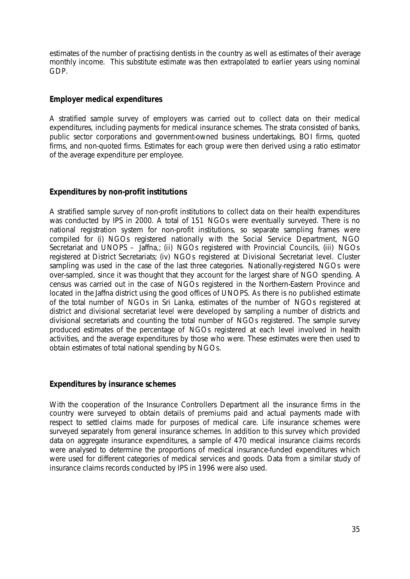estimates of the number of practising dentists in the country as well as estimates of their average monthly income. This substitute estimate was then extrapolated to earlier years using nominal GDP.

## **Employer medical expenditures**

A stratified sample survey of employers was carried out to collect data on their medical expenditures, including payments for medical insurance schemes. The strata consisted of banks, public sector corporations and government-owned business undertakings, BOI firms, quoted firms, and non-quoted firms. Estimates for each group were then derived using a ratio estimator of the average expenditure per employee.

## **Expenditures by non-profit institutions**

A stratified sample survey of non-profit institutions to collect data on their health expenditures was conducted by IPS in 2000. A total of 151 NGOs were eventually surveyed. There is no national registration system for non-profit institutions, so separate sampling frames were compiled for (i) NGOs registered nationally with the Social Service Department, NGO Secretariat and UNOPS – Jaffna,; (ii) NGOs registered with Provincial Councils, (iii) NGOs registered at District Secretariats; (iv) NGOs registered at Divisional Secretariat level. Cluster sampling was used in the case of the last three categories. Nationally-registered NGOs were over-sampled, since it was thought that they account for the largest share of NGO spending. A census was carried out in the case of NGOs registered in the Northern-Eastern Province and located in the Jaffna district using the good offices of UNOPS. As there is no published estimate of the total number of NGOs in Sri Lanka, estimates of the number of NGOs registered at district and divisional secretariat level were developed by sampling a number of districts and divisional secretariats and counting the total number of NGOs registered. The sample survey produced estimates of the percentage of NGOs registered at each level involved in health activities, and the average expenditures by those who were. These estimates were then used to obtain estimates of total national spending by NGOs.

## **Expenditures by insurance schemes**

With the cooperation of the Insurance Controllers Department all the insurance firms in the country were surveyed to obtain details of premiums paid and actual payments made with respect to settled claims made for purposes of medical care. Life insurance schemes were surveyed separately from general insurance schemes. In addition to this survey which provided data on aggregate insurance expenditures, a sample of 470 medical insurance claims records were analysed to determine the proportions of medical insurance-funded expenditures which were used for different categories of medical services and goods. Data from a similar study of insurance claims records conducted by IPS in 1996 were also used.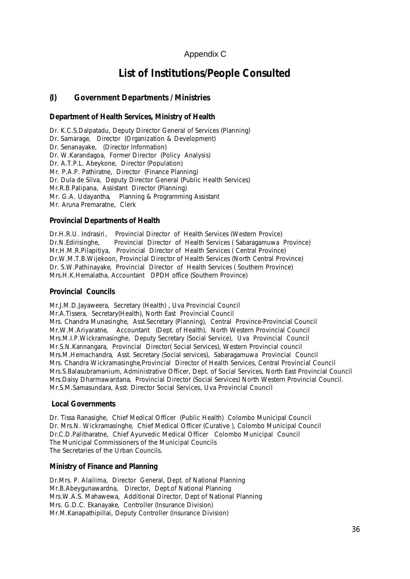## Appendix C

## **List of Institutions/People Consulted**

## **(I) Government Departments / Ministries**

## *Department of Health Services, Ministry of Health*

Dr. K.C.S.Dalpatadu, Deputy Director General of Services (Planning) Dr. Samarage, Director (Organization & Development) Dr. Senanayake, (Director Information) Dr. W.Karandagoa, Former Director (Policy Analysis) Dr. A.T.P.L. Abeykone, Director (Population) Mr. P.A.P. Pathiratne, Director (Finance Planning) Dr. Dula de Silva, Deputy Director General (Public Health Services) Mr.R.B.Palipana, Assistant Director (Planning) Mr. G.A. Udayantha, Planning & Programming Assistant Mr. Aruna Premaratne, Clerk

#### *Provincial Departments of Health*

Dr.H.R.U. Indrasiri, Provincial Director of Health Services (Western Provice) Dr.N.Edirisinghe, Provincial Director of Health Services ( Sabaragamuwa Province) Mr.H.M.R.Pilapitiya, Provincial Director of Health Services ( Central Province) Dr.W.M.T.B.Wijekoon, Provincial Director of Health Services (North Central Province) Dr. S.W.Pathinayake, Provincial Director of Health Services ( Southern Province) Mrs.H.K.Hemalatha, Accountant DPDH office (Southern Province)

#### *Provincial Councils*

Mr.J.M.D.Jayaweera, Secretary (Health) , Uva Provincial Council Mr.A.Tissera, Secretary(Health), North East Provincial Council Mrs. Chandra Munasinghe, Asst.Secretary (Planning), Central Province-Provincial Council Mr.W.M.Ariyaratne, Accountant (Dept. of Health), North Western Provincial Council Mrs.M.I.P.Wickramasinghe, Deputy Secretary (Social Service), Uva Provincial Council Mr.S.N.Kannangara, Provincial Director( Social Services), Western Provincial council Mrs.M.Hemachandra, Asst. Secretary (Social services), Sabaragamuwa Provincial Council Mrs. Chandra Wickramasinghe,Provincial Director of Health Services, Central Provincial Council Mrs.S.Balasubramanium, Administrative Officer, Dept. of Social Services, North East Provincial Council Mrs.Daisy Dharmawardana, Provincial Director (Social Services) North Western Provincial Council. Mr.S.M.Samasundara, Asst. Director Social Services, Uva Provincial Council

#### *Local Governments*

Dr. Tissa Ranasighe, Chief Medical Officer (Public Health) Colombo Municipal Council Dr. Mrs.N. Wickramasinghe, Chief Medical Officer (Curative ), Colombo Municipal Council Dr.C.D.Palitharatne, Chief Ayurvedic Medical Officer Colombo Municipal Council The Municipal Commissioners of the Municipal Councils The Secretaries of the Urban Councils.

#### *Ministry of Finance and Planning*

Dr.Mrs. P. Alailima, Director General, Dept. of National Planning Mr.B.Abeygunawardna, Director, Dept.of National Planning Mrs.W.A.S. Mahawewa, Additional Director, Dept of National Planning Mrs. G.D.C. Ekanayake, Controller (Insurance Division) Mr.M.Kanapathipillai, Deputy Controller (Insurance Division)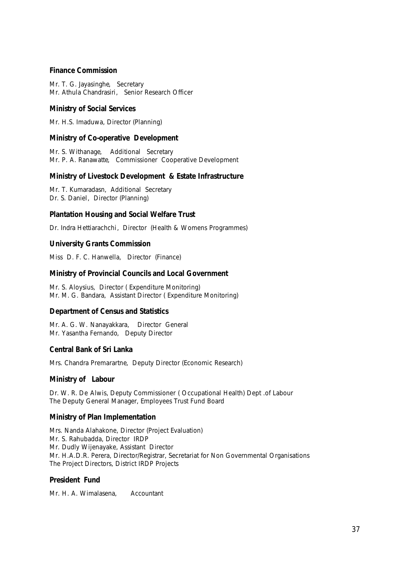#### *Finance Commission*

Mr. T. G. Jayasinghe, Secretary Mr. Athula Chandrasiri, Senior Research Officer

#### *Ministry of Social Services*

Mr. H.S. Imaduwa, Director (Planning)

#### *Ministry of Co-operative Development*

Mr. S. Withanage, Additional Secretary Mr. P. A. Ranawatte, Commissioner Cooperative Development

#### *Ministry of Livestock Development & Estate Infrastructure*

Mr. T. Kumaradasn, Additional Secretary Dr. S. Daniel, Director (Planning)

#### *Plantation Housing and Social Welfare Trust*

Dr. Indra Hettiarachchi, Director (Health & Womens Programmes)

#### *University Grants Commission*

Miss D. F. C. Hanwella, Director (Finance)

#### *Ministry of Provincial Councils and Local Government*

Mr. S. Aloysius, Director ( Expenditure Monitoring) Mr. M. G. Bandara, Assistant Director ( Expenditure Monitoring)

#### *Department of Census and Statistics*

Mr. A. G. W. Nanayakkara, Director General Mr. Yasantha Fernando, Deputy Director

#### *Central Bank of Sri Lanka*

Mrs. Chandra Premarartne, Deputy Director (Economic Research)

#### *Ministry of Labour*

Dr. W. R. De Alwis, Deputy Commissioner (Occupational Health) Dept .of Labour The Deputy General Manager, Employees Trust Fund Board

#### *Ministry of Plan Implementation*

Mrs. Nanda Alahakone, Director (Project Evaluation) Mr. S. Rahubadda, Director IRDP Mr. Dudly Wijenayake, Assistant Director Mr. H.A.D.R. Perera, Director/Registrar, Secretariat for Non Governmental Organisations The Project Directors, District IRDP Projects

#### *President Fund*

Mr. H. A. Wimalasena, Accountant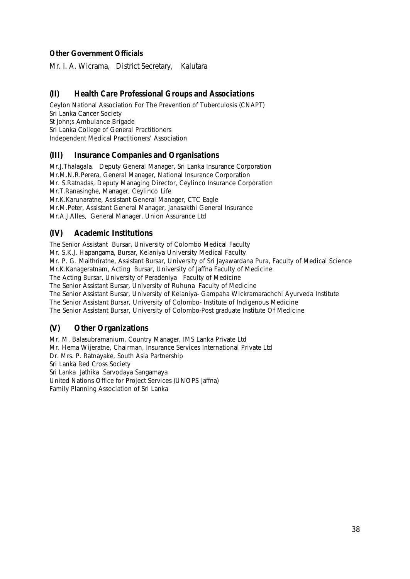## *Other Government Officials*

Mr. I. A. Wicrama, District Secretary, Kalutara

## **(II) Health Care Professional Groups and Associations**

Ceylon National Association For The Prevention of Tuberculosis (CNAPT) Sri Lanka Cancer Society St John;s Ambulance Brigade Sri Lanka College of General Practitioners Independent Medical Practitioners' Association

## **(III) Insurance Companies and Organisations**

Mr.J.Thalagala, Deputy General Manager, Sri Lanka Insurance Corporation Mr.M.N.R.Perera, General Manager, National Insurance Corporation Mr. S.Ratnadas, Deputy Managing Director, Ceylinco Insurance Corporation Mr.T.Ranasinghe, Manager, Ceylinco Life Mr.K.Karunaratne, Assistant General Manager, CTC Eagle Mr.M.Peter, Assistant General Manager, Janasakthi General Insurance Mr.A.J.Alles, General Manager, Union Assurance Ltd

## **(IV) Academic Institutions**

The Senior Assistant Bursar, University of Colombo Medical Faculty Mr. S.K.J. Hapangama, Bursar, Kelaniya University Medical Faculty Mr. P. G. Maithriratne, Assistant Bursar, University of Sri Jayawardana Pura, Faculty of Medical Science Mr.K.Kanageratnam, Acting Bursar, University of Jaffna Faculty of Medicine The Acting Bursar, University of Peradeniya Faculty of Medicine The Senior Assistant Bursar, University of Ruhuna Faculty of Medicine The Senior Assistant Bursar, University of Kelaniya- Gampaha Wickramarachchi Ayurveda Institute The Senior Assistant Bursar, University of Colombo- Institute of Indigenous Medicine The Senior Assistant Bursar, University of Colombo-Post graduate Institute Of Medicine

## **(V) Other Organizations**

Mr. M. Balasubramanium, Country Manager, IMS Lanka Private Ltd Mr. Hema Wijeratne, Chairman, Insurance Services International Private Ltd Dr. Mrs. P. Ratnayake, South Asia Partnership Sri Lanka Red Cross Society Sri Lanka Jathika Sarvodaya Sangamaya United Nations Office for Project Services (UNOPS Jaffna) Family Planning Association of Sri Lanka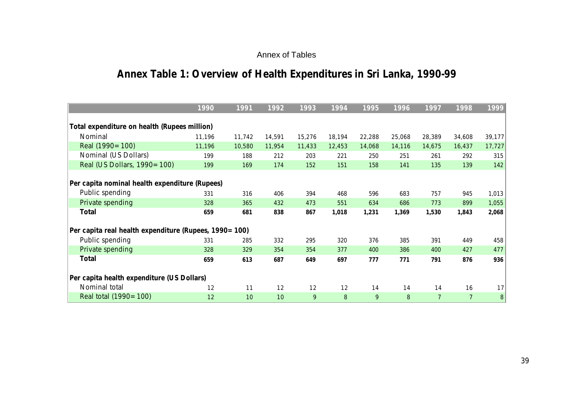## Annex of Tables

# **Annex Table 1: Overview of Health Expenditures in Sri Lanka, 1990-99**

|                                                       | 1990   | 1991   | 1992   | 1993   | 1994   | 1995   | 1996   | 1997           | 1998           | 1999             |
|-------------------------------------------------------|--------|--------|--------|--------|--------|--------|--------|----------------|----------------|------------------|
|                                                       |        |        |        |        |        |        |        |                |                |                  |
| Total expenditure on health (Rupees million)          |        |        |        |        |        |        |        |                |                |                  |
| Nominal                                               | 11,196 | 11,742 | 14,591 | 15,276 | 18,194 | 22,288 | 25,068 | 28,389         | 34,608         | 39,177           |
| Real (1990 = 100)                                     | 11,196 | 10,580 | 11,954 | 11,433 | 12,453 | 14,068 | 14,116 | 14,675         | 16,437         | 17,727           |
| Nominal (US Dollars)                                  | 199    | 188    | 212    | 203    | 221    | 250    | 251    | 261            | 292            | 315              |
| Real (US Dollars, 1990 = 100)                         | 199    | 169    | 174    | 152    | 151    | 158    | 141    | 135            | 139            | 142              |
|                                                       |        |        |        |        |        |        |        |                |                |                  |
| Per capita nominal health expenditure (Rupees)        |        |        |        |        |        |        |        |                |                |                  |
| Public spending                                       | 331    | 316    | 406    | 394    | 468    | 596    | 683    | 757            | 945            | 1,013            |
| Private spending                                      | 328    | 365    | 432    | 473    | 551    | 634    | 686    | 773            | 899            | 1,055            |
| <b>Total</b>                                          | 659    | 681    | 838    | 867    | 1,018  | 1,231  | 1,369  | 1,530          | 1,843          | 2,068            |
|                                                       |        |        |        |        |        |        |        |                |                |                  |
| Per capita real health expenditure (Rupees, 1990=100) |        |        |        |        |        |        |        |                |                |                  |
| Public spending                                       | 331    | 285    | 332    | 295    | 320    | 376    | 385    | 391            | 449            | 458              |
| Private spending                                      | 328    | 329    | 354    | 354    | 377    | 400    | 386    | 400            | 427            | 477              |
| <b>Total</b>                                          | 659    | 613    | 687    | 649    | 697    | 777    | 771    | 791            | 876            | 936              |
|                                                       |        |        |        |        |        |        |        |                |                |                  |
| Per capita health expenditure (US Dollars)            |        |        |        |        |        |        |        |                |                |                  |
| Nominal total                                         | 12     | 11     | 12     | 12     | 12     | 14     | 14     | 14             | 16             | 17               |
| Real total (1990 = 100)                               | 12     | 10     | 10     | 9      | 8      | 9      | 8      | $\overline{7}$ | $\overline{7}$ | $\boldsymbol{8}$ |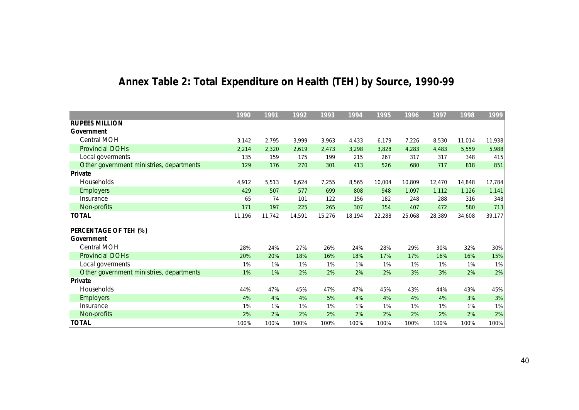|                                          | 1990   | 1991   | 1992   | 1993   | 1994   | 1995   | 1996   | 1997   | 1998   | 1999   |
|------------------------------------------|--------|--------|--------|--------|--------|--------|--------|--------|--------|--------|
| <b>RUPEES MILLION</b>                    |        |        |        |        |        |        |        |        |        |        |
| Government                               |        |        |        |        |        |        |        |        |        |        |
| Central MOH                              | 3,142  | 2,795  | 3,999  | 3,963  | 4,433  | 6,179  | 7,226  | 8,530  | 11,014 | 11,938 |
| <b>Provincial DOHs</b>                   | 2,214  | 2,320  | 2,619  | 2,473  | 3,298  | 3,828  | 4,283  | 4,483  | 5,559  | 5,988  |
| Local goverments                         | 135    | 159    | 175    | 199    | 215    | 267    | 317    | 317    | 348    | 415    |
| Other government ministries, departments | 129    | 176    | 270    | 301    | 413    | 526    | 680    | 717    | 818    | 851    |
| Private                                  |        |        |        |        |        |        |        |        |        |        |
| <b>Households</b>                        | 4,912  | 5,513  | 6,624  | 7,255  | 8,565  | 10,004 | 10,809 | 12,470 | 14,848 | 17,784 |
| <b>Employers</b>                         | 429    | 507    | 577    | 699    | 808    | 948    | 1,097  | 1,112  | 1,126  | 1,141  |
| Insurance                                | 65     | 74     | 101    | 122    | 156    | 182    | 248    | 288    | 316    | 348    |
| Non-profits                              | 171    | 197    | 225    | 265    | 307    | 354    | 407    | 472    | 580    | 713    |
| <b>TOTAL</b>                             | 11,196 | 11,742 | 14,591 | 15,276 | 18,194 | 22,288 | 25,068 | 28,389 | 34,608 | 39,177 |
|                                          |        |        |        |        |        |        |        |        |        |        |
| PERCENTAGE OF TEH (%)                    |        |        |        |        |        |        |        |        |        |        |
| Government                               |        |        |        |        |        |        |        |        |        |        |
| Central MOH                              | 28%    | 24%    | 27%    | 26%    | 24%    | 28%    | 29%    | 30%    | 32%    | 30%    |
| <b>Provincial DOHs</b>                   | 20%    | 20%    | 18%    | 16%    | 18%    | 17%    | 17%    | 16%    | 16%    | 15%    |
| Local goverments                         | 1%     | 1%     | 1%     | 1%     | 1%     | 1%     | 1%     | 1%     | 1%     | 1%     |
| Other government ministries, departments | 1%     | 1%     | 2%     | 2%     | 2%     | 2%     | 3%     | 3%     | 2%     | 2%     |
| Private                                  |        |        |        |        |        |        |        |        |        |        |
| Households                               | 44%    | 47%    | 45%    | 47%    | 47%    | 45%    | 43%    | 44%    | 43%    | 45%    |
| <b>Employers</b>                         | 4%     | 4%     | 4%     | 5%     | 4%     | 4%     | 4%     | 4%     | 3%     | 3%     |
| Insurance                                | 1%     | 1%     | 1%     | 1%     | 1%     | 1%     | 1%     | 1%     | 1%     | 1%     |
| Non-profits                              | 2%     | 2%     | 2%     | 2%     | 2%     | 2%     | 2%     | 2%     | 2%     | 2%     |
| <b>TOTAL</b>                             | 100%   | 100%   | 100%   | 100%   | 100%   | 100%   | 100%   | 100%   | 100%   | 100%   |

# **Annex Table 2: Total Expenditure on Health (TEH) by Source, 1990-99**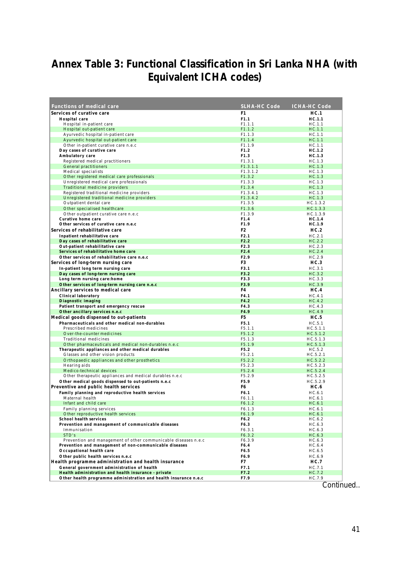## **Annex Table 3: Functional Classification in Sri Lanka NHA (with Equivalent ICHA codes)**

| Services of curative care<br>HC.1<br>F1<br>F1.1<br>HC.1.1<br>Hospital care<br>Hospital in-patient care<br>F1.1.1<br>HC.1.1<br>Hospital out-patient care<br>F1.1.2<br>HC.1.1<br>Ayurvedic hospital in-patient care<br>F1.1.3<br>HC.1.1<br>Ayurvedic hospital out-patient care<br>F1.1.4<br>HC.1.1<br>Other in-patient curative care n.e.c<br>F1.1.9<br>HC.1.1<br>Day cases of curative care<br>F1.2<br>HC.1.2<br>Ambulatory care<br>F1.3<br>HC.1.3<br>Registered medical practitioners<br>F1.3.1<br>HC.1.3<br><b>General practitioners</b><br>F1.3.1.1<br>HC.1.3<br>Medical specialists<br>F1.3.1.2<br>HC.1.3<br>Other registered medical care professionals<br>HC.1.3<br>F1.3.2<br>Unregistered medical care professionals<br>F1.3.3<br>HC.1.3<br>Traditional medicine providers<br>F1.3.4<br>HC.1.3<br>Registered traditional medicine providers<br>F1.3.4.1<br>HC.1.3<br>Unregistered traditional medicine providers<br>F1.3.4.2<br>HC.1.3<br>Outpatient dental care<br>F1.3.5<br>HC.1.3.2<br>Other specialised healthcare<br>F1.3.6<br>HC.1.3.3<br>Other outpatient curative care n.e.c<br>HC.1.3.9<br>F1.3.9<br>Curative home care<br>F1.4<br>HC.1.4<br>Other services of curative care n.e.c<br>HC.1.9<br>F1.9<br>Services of rehabilitative care<br>F <sub>2</sub><br>HC.2 | <b>SLHA-HC Code</b><br><b>ICHA-HC Code</b> |
|----------------------------------------------------------------------------------------------------------------------------------------------------------------------------------------------------------------------------------------------------------------------------------------------------------------------------------------------------------------------------------------------------------------------------------------------------------------------------------------------------------------------------------------------------------------------------------------------------------------------------------------------------------------------------------------------------------------------------------------------------------------------------------------------------------------------------------------------------------------------------------------------------------------------------------------------------------------------------------------------------------------------------------------------------------------------------------------------------------------------------------------------------------------------------------------------------------------------------------------------------------------------------------|--------------------------------------------|
|                                                                                                                                                                                                                                                                                                                                                                                                                                                                                                                                                                                                                                                                                                                                                                                                                                                                                                                                                                                                                                                                                                                                                                                                                                                                                  |                                            |
|                                                                                                                                                                                                                                                                                                                                                                                                                                                                                                                                                                                                                                                                                                                                                                                                                                                                                                                                                                                                                                                                                                                                                                                                                                                                                  |                                            |
|                                                                                                                                                                                                                                                                                                                                                                                                                                                                                                                                                                                                                                                                                                                                                                                                                                                                                                                                                                                                                                                                                                                                                                                                                                                                                  |                                            |
|                                                                                                                                                                                                                                                                                                                                                                                                                                                                                                                                                                                                                                                                                                                                                                                                                                                                                                                                                                                                                                                                                                                                                                                                                                                                                  |                                            |
|                                                                                                                                                                                                                                                                                                                                                                                                                                                                                                                                                                                                                                                                                                                                                                                                                                                                                                                                                                                                                                                                                                                                                                                                                                                                                  |                                            |
|                                                                                                                                                                                                                                                                                                                                                                                                                                                                                                                                                                                                                                                                                                                                                                                                                                                                                                                                                                                                                                                                                                                                                                                                                                                                                  |                                            |
|                                                                                                                                                                                                                                                                                                                                                                                                                                                                                                                                                                                                                                                                                                                                                                                                                                                                                                                                                                                                                                                                                                                                                                                                                                                                                  |                                            |
|                                                                                                                                                                                                                                                                                                                                                                                                                                                                                                                                                                                                                                                                                                                                                                                                                                                                                                                                                                                                                                                                                                                                                                                                                                                                                  |                                            |
|                                                                                                                                                                                                                                                                                                                                                                                                                                                                                                                                                                                                                                                                                                                                                                                                                                                                                                                                                                                                                                                                                                                                                                                                                                                                                  |                                            |
|                                                                                                                                                                                                                                                                                                                                                                                                                                                                                                                                                                                                                                                                                                                                                                                                                                                                                                                                                                                                                                                                                                                                                                                                                                                                                  |                                            |
|                                                                                                                                                                                                                                                                                                                                                                                                                                                                                                                                                                                                                                                                                                                                                                                                                                                                                                                                                                                                                                                                                                                                                                                                                                                                                  |                                            |
|                                                                                                                                                                                                                                                                                                                                                                                                                                                                                                                                                                                                                                                                                                                                                                                                                                                                                                                                                                                                                                                                                                                                                                                                                                                                                  |                                            |
|                                                                                                                                                                                                                                                                                                                                                                                                                                                                                                                                                                                                                                                                                                                                                                                                                                                                                                                                                                                                                                                                                                                                                                                                                                                                                  |                                            |
|                                                                                                                                                                                                                                                                                                                                                                                                                                                                                                                                                                                                                                                                                                                                                                                                                                                                                                                                                                                                                                                                                                                                                                                                                                                                                  |                                            |
|                                                                                                                                                                                                                                                                                                                                                                                                                                                                                                                                                                                                                                                                                                                                                                                                                                                                                                                                                                                                                                                                                                                                                                                                                                                                                  |                                            |
|                                                                                                                                                                                                                                                                                                                                                                                                                                                                                                                                                                                                                                                                                                                                                                                                                                                                                                                                                                                                                                                                                                                                                                                                                                                                                  |                                            |
|                                                                                                                                                                                                                                                                                                                                                                                                                                                                                                                                                                                                                                                                                                                                                                                                                                                                                                                                                                                                                                                                                                                                                                                                                                                                                  |                                            |
|                                                                                                                                                                                                                                                                                                                                                                                                                                                                                                                                                                                                                                                                                                                                                                                                                                                                                                                                                                                                                                                                                                                                                                                                                                                                                  |                                            |
|                                                                                                                                                                                                                                                                                                                                                                                                                                                                                                                                                                                                                                                                                                                                                                                                                                                                                                                                                                                                                                                                                                                                                                                                                                                                                  |                                            |
|                                                                                                                                                                                                                                                                                                                                                                                                                                                                                                                                                                                                                                                                                                                                                                                                                                                                                                                                                                                                                                                                                                                                                                                                                                                                                  |                                            |
| Inpatient rehabilitative care<br>F2.1<br>HC.2.1                                                                                                                                                                                                                                                                                                                                                                                                                                                                                                                                                                                                                                                                                                                                                                                                                                                                                                                                                                                                                                                                                                                                                                                                                                  |                                            |
| Day cases of rehabilitative care<br>F2.2<br>HC.2.2                                                                                                                                                                                                                                                                                                                                                                                                                                                                                                                                                                                                                                                                                                                                                                                                                                                                                                                                                                                                                                                                                                                                                                                                                               |                                            |
| Out-patient rehabilitative care<br>F2.3<br>HC.2.3                                                                                                                                                                                                                                                                                                                                                                                                                                                                                                                                                                                                                                                                                                                                                                                                                                                                                                                                                                                                                                                                                                                                                                                                                                |                                            |
| Services of rehabilitative home care<br>F2.4<br>HC.2.4                                                                                                                                                                                                                                                                                                                                                                                                                                                                                                                                                                                                                                                                                                                                                                                                                                                                                                                                                                                                                                                                                                                                                                                                                           |                                            |
| Other services of rehabilitative care n.e.c<br>HC.2.9<br>F2.9                                                                                                                                                                                                                                                                                                                                                                                                                                                                                                                                                                                                                                                                                                                                                                                                                                                                                                                                                                                                                                                                                                                                                                                                                    |                                            |
| Services of long-term nursing care<br>F <sub>3</sub><br>HC.3                                                                                                                                                                                                                                                                                                                                                                                                                                                                                                                                                                                                                                                                                                                                                                                                                                                                                                                                                                                                                                                                                                                                                                                                                     |                                            |
| In-patient long term nursing care<br>F3.1<br>HC.3.1                                                                                                                                                                                                                                                                                                                                                                                                                                                                                                                                                                                                                                                                                                                                                                                                                                                                                                                                                                                                                                                                                                                                                                                                                              |                                            |
| Day cases of long-term nursing care<br>F3.2<br>HC.3.2<br>Long term nursing care:home<br>F3.3<br>HC.3.3                                                                                                                                                                                                                                                                                                                                                                                                                                                                                                                                                                                                                                                                                                                                                                                                                                                                                                                                                                                                                                                                                                                                                                           |                                            |
| Other services of long-term nursing care n.e.c<br>F3.9<br>HC.3.9                                                                                                                                                                                                                                                                                                                                                                                                                                                                                                                                                                                                                                                                                                                                                                                                                                                                                                                                                                                                                                                                                                                                                                                                                 |                                            |
| Ancillary services to medical care<br>F4<br>HC.4                                                                                                                                                                                                                                                                                                                                                                                                                                                                                                                                                                                                                                                                                                                                                                                                                                                                                                                                                                                                                                                                                                                                                                                                                                 |                                            |
| <b>Clinical laboratory</b><br>F4.1<br>HC.4.1                                                                                                                                                                                                                                                                                                                                                                                                                                                                                                                                                                                                                                                                                                                                                                                                                                                                                                                                                                                                                                                                                                                                                                                                                                     |                                            |
| F4.2<br>Diagnostic imaging<br>HC.4.2                                                                                                                                                                                                                                                                                                                                                                                                                                                                                                                                                                                                                                                                                                                                                                                                                                                                                                                                                                                                                                                                                                                                                                                                                                             |                                            |
| Patient transport and emergency rescue<br>F4.3<br>HC.4.3                                                                                                                                                                                                                                                                                                                                                                                                                                                                                                                                                                                                                                                                                                                                                                                                                                                                                                                                                                                                                                                                                                                                                                                                                         |                                            |
| Other ancillary services n.e.c<br>F4.9<br>HC.4.9                                                                                                                                                                                                                                                                                                                                                                                                                                                                                                                                                                                                                                                                                                                                                                                                                                                                                                                                                                                                                                                                                                                                                                                                                                 |                                            |
| Medical goods dispensed to out-patients<br>F <sub>5</sub><br>HC.5                                                                                                                                                                                                                                                                                                                                                                                                                                                                                                                                                                                                                                                                                                                                                                                                                                                                                                                                                                                                                                                                                                                                                                                                                |                                            |
| Pharmaceuticals and other medical non-durables<br>F5.1<br>HC.5.1                                                                                                                                                                                                                                                                                                                                                                                                                                                                                                                                                                                                                                                                                                                                                                                                                                                                                                                                                                                                                                                                                                                                                                                                                 |                                            |
| Prescribed medicines<br>F5.1.1<br>HC.5.1.1<br>Over-the-counter medicines<br>F5.1.2<br>HC.5.1.2                                                                                                                                                                                                                                                                                                                                                                                                                                                                                                                                                                                                                                                                                                                                                                                                                                                                                                                                                                                                                                                                                                                                                                                   |                                            |
| <b>Traditional medicines</b><br>F5.1.3<br>HC.5.1.3                                                                                                                                                                                                                                                                                                                                                                                                                                                                                                                                                                                                                                                                                                                                                                                                                                                                                                                                                                                                                                                                                                                                                                                                                               |                                            |
| Other pharmaceuticals and medical non-durables n.e.c<br>F5.1.9<br>HC.5.1.3                                                                                                                                                                                                                                                                                                                                                                                                                                                                                                                                                                                                                                                                                                                                                                                                                                                                                                                                                                                                                                                                                                                                                                                                       |                                            |
| Therapeutic appliances and other medical durables<br>F5.2<br>HC.5.2                                                                                                                                                                                                                                                                                                                                                                                                                                                                                                                                                                                                                                                                                                                                                                                                                                                                                                                                                                                                                                                                                                                                                                                                              |                                            |
| Glasses and other vision products<br>F5.2.1<br>HC.5.2.1                                                                                                                                                                                                                                                                                                                                                                                                                                                                                                                                                                                                                                                                                                                                                                                                                                                                                                                                                                                                                                                                                                                                                                                                                          |                                            |
| Orthopaedic appliances and other prosthetics<br>F5.2.2<br>HC.5.2.2                                                                                                                                                                                                                                                                                                                                                                                                                                                                                                                                                                                                                                                                                                                                                                                                                                                                                                                                                                                                                                                                                                                                                                                                               |                                            |
| Hearing aids<br>F5.2.3<br>HC.5.2.3<br>HC.5.2.4<br>F5.2.4                                                                                                                                                                                                                                                                                                                                                                                                                                                                                                                                                                                                                                                                                                                                                                                                                                                                                                                                                                                                                                                                                                                                                                                                                         |                                            |
| Medico-technical devices<br>Other therapeutic appliances and medical durables n.e.c<br>F5.2.9<br>HC.5.2.5                                                                                                                                                                                                                                                                                                                                                                                                                                                                                                                                                                                                                                                                                                                                                                                                                                                                                                                                                                                                                                                                                                                                                                        |                                            |
| Other medical goods dispensed to out-patients n.e.c<br>F5.9<br>HC.5.2.9                                                                                                                                                                                                                                                                                                                                                                                                                                                                                                                                                                                                                                                                                                                                                                                                                                                                                                                                                                                                                                                                                                                                                                                                          |                                            |
| Preventive and public health services<br>F6<br>HC.6                                                                                                                                                                                                                                                                                                                                                                                                                                                                                                                                                                                                                                                                                                                                                                                                                                                                                                                                                                                                                                                                                                                                                                                                                              |                                            |
| Family planning and reproductive health services<br>F6.1<br>HC.6.1                                                                                                                                                                                                                                                                                                                                                                                                                                                                                                                                                                                                                                                                                                                                                                                                                                                                                                                                                                                                                                                                                                                                                                                                               |                                            |
| Maternal health<br>F6.1.1<br>HC.6.1                                                                                                                                                                                                                                                                                                                                                                                                                                                                                                                                                                                                                                                                                                                                                                                                                                                                                                                                                                                                                                                                                                                                                                                                                                              |                                            |
| Infant and child care<br>F6.1.2<br>HC.6.1                                                                                                                                                                                                                                                                                                                                                                                                                                                                                                                                                                                                                                                                                                                                                                                                                                                                                                                                                                                                                                                                                                                                                                                                                                        |                                            |
| Family planning services<br>F6.1.3<br>HC.6.1                                                                                                                                                                                                                                                                                                                                                                                                                                                                                                                                                                                                                                                                                                                                                                                                                                                                                                                                                                                                                                                                                                                                                                                                                                     |                                            |
| Other reproductive health services<br>HC.6.1<br>F6.1.9<br>School health services<br>F6.2<br>HC.6.2                                                                                                                                                                                                                                                                                                                                                                                                                                                                                                                                                                                                                                                                                                                                                                                                                                                                                                                                                                                                                                                                                                                                                                               |                                            |
| Prevention and management of communicable diseases<br>F6.3<br>HC.6.3                                                                                                                                                                                                                                                                                                                                                                                                                                                                                                                                                                                                                                                                                                                                                                                                                                                                                                                                                                                                                                                                                                                                                                                                             |                                            |
| Immunisation<br>F6.3.1<br>HC.6.3                                                                                                                                                                                                                                                                                                                                                                                                                                                                                                                                                                                                                                                                                                                                                                                                                                                                                                                                                                                                                                                                                                                                                                                                                                                 |                                            |
| STD's<br>F6.3.2<br>HC.6.3                                                                                                                                                                                                                                                                                                                                                                                                                                                                                                                                                                                                                                                                                                                                                                                                                                                                                                                                                                                                                                                                                                                                                                                                                                                        |                                            |
| Prevention and management of other communicable diseases n.e.c<br>F6.3.9<br>HC.6.3                                                                                                                                                                                                                                                                                                                                                                                                                                                                                                                                                                                                                                                                                                                                                                                                                                                                                                                                                                                                                                                                                                                                                                                               |                                            |
| Prevention and management of non-communicable diseases<br>F6.4<br>HC.6.4                                                                                                                                                                                                                                                                                                                                                                                                                                                                                                                                                                                                                                                                                                                                                                                                                                                                                                                                                                                                                                                                                                                                                                                                         |                                            |
| Occupational health care<br>F6.5<br>HC.6.5                                                                                                                                                                                                                                                                                                                                                                                                                                                                                                                                                                                                                                                                                                                                                                                                                                                                                                                                                                                                                                                                                                                                                                                                                                       |                                            |
| Other public health services n.e.c<br>F6.9<br>HC.6.9                                                                                                                                                                                                                                                                                                                                                                                                                                                                                                                                                                                                                                                                                                                                                                                                                                                                                                                                                                                                                                                                                                                                                                                                                             |                                            |
| Health programme administration and health insurance<br>F7<br>HC.7                                                                                                                                                                                                                                                                                                                                                                                                                                                                                                                                                                                                                                                                                                                                                                                                                                                                                                                                                                                                                                                                                                                                                                                                               |                                            |
| General government administration of health<br>F7.1<br>HC.7.1<br>Health administration and health insurance - private<br>F7.2<br>HC.7.2                                                                                                                                                                                                                                                                                                                                                                                                                                                                                                                                                                                                                                                                                                                                                                                                                                                                                                                                                                                                                                                                                                                                          |                                            |
| Other health programme administration and health insurance n.e.c<br>F7.9<br>HC.7.9                                                                                                                                                                                                                                                                                                                                                                                                                                                                                                                                                                                                                                                                                                                                                                                                                                                                                                                                                                                                                                                                                                                                                                                               |                                            |

Continued..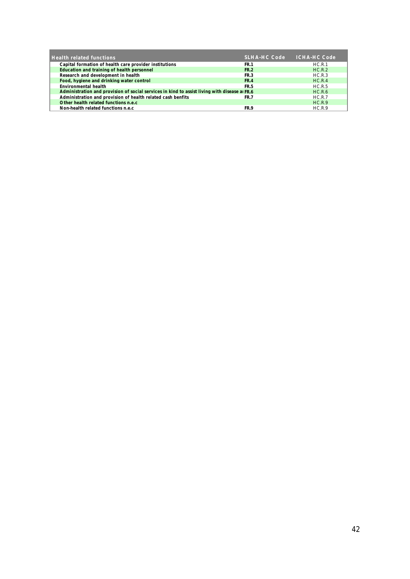| <b>Health related functions</b>                                                              | <b>SLHA-HC Code</b> | <b>ICHA-HC Code</b> |
|----------------------------------------------------------------------------------------------|---------------------|---------------------|
| Capital formation of health care provider institutions                                       | <b>FR.1</b>         | HC.R.1              |
| Education and training of health personnel                                                   | <b>FR.2</b>         | HC.R.2              |
| Research and development in health                                                           | <b>FR.3</b>         | HC.R.3              |
| Food, hygiene and drinking water control                                                     | <b>FR.4</b>         | HC.R.4              |
| Environmental health                                                                         | <b>FR.5</b>         | HC.R.5              |
| Administration and provision of social services in kind to assist living with disease a FR.6 |                     | HC.R.6              |
| Administration and provision of health related cash benfits                                  | <b>FR.7</b>         | HC.R.7              |
| Other health related functions n.e.c.                                                        |                     | HC.R.9              |
| Non-health related functions n.e.c.                                                          | FR.9                | HC.R.9              |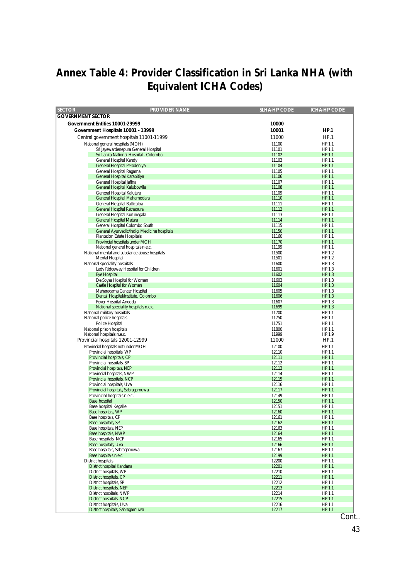# **Annex Table 4: Provider Classification in Sri Lanka NHA (with Equivalent ICHA Codes)**

| <b>PROVIDER NAME</b><br><b>SECTOR</b>                                         | <b>SLHA-HP CODE</b> | <b>ICHA-HP CODE</b> |
|-------------------------------------------------------------------------------|---------------------|---------------------|
| <b>GOVERNMENT SECTOR</b>                                                      |                     |                     |
| Government Entities 10001-29999                                               | 10000               |                     |
| Government Hospitals 10001 - 13999                                            | 10001               | HP.1                |
|                                                                               |                     |                     |
| Central government hospitals 11001-11999                                      | 11000               | HP.1                |
| National general hospitals (MOH)                                              | 11100               | HP.1.1              |
| Sri Jayewardenepura General Hospital<br>Sri Lanka National Hospital - Colombo | 11101<br>11102      | HP.1.1<br>HP.1.1    |
| General Hospital Kandy                                                        | 11103               | HP.1.1              |
| General Hospital Peradeniya                                                   | 11104               | HP.1.1              |
| General Hospital Ragama                                                       | 11105               | HP.1.1              |
| General Hospital Karapitiya                                                   | 11106               | HP.1.1              |
| General Hospital Jaffna                                                       | 11107               | HP.1.1              |
| General Hospital Kalubowila                                                   | 11108               | HP.1.1              |
| General Hospital Kalutara                                                     | 11109               | HP.1.1              |
| General Hospital Mahamodara<br>General Hospital Batticaloa                    | 11110               | HP.1.1              |
| General Hospital Ratnapura                                                    | 11111<br>11112      | HP.1.1<br>HP.1.1    |
| General Hospital Kurunegala                                                   | 11113               | HP.1.1              |
| <b>General Hospital Matara</b>                                                | 11114               | HP.1.1              |
| General Hospital Colombo South                                                | 11115               | HP.1.1              |
| General Ayurvedic/Indig. Medicine hospitals                                   | 11150               | HP.1.1              |
| <b>Plantation Estate Hospitals</b>                                            | 11160               | HP.1.1              |
| Provincial hospitals under MOH                                                | 11170               | <b>HP.1.1</b>       |
| National general hospitals n.e.c.                                             | 11199               | HP.1.1              |
| National mental and substance abuse hospitals                                 | 11500               | HP.1.2              |
| Mental Hospital<br>National speciality hospitals                              | 11501<br>11600      | HP.1.2<br>HP.1.3    |
| Lady Ridgeway Hospital for Children                                           | 11601               | HP.1.3              |
| <b>Eve Hospital</b>                                                           | 11602               | HP.1.3              |
| De Soysa Hospital for Women                                                   | 11603               | HP.1.3              |
| Castle Hospital for Women                                                     | 11604               | HP.1.3              |
| Maharagama Cancer Hospital                                                    | 11605               | HP.1.3              |
| Dental Hospital/Institute, Colombo                                            | 11606               | HP.1.3              |
| Fever Hospital Angoda                                                         | 11607               | HP.1.3              |
| National speciality hospitals n.e.c.                                          | 11699               | HP.1.3              |
| National military hospitals<br>National police hospitals                      | 11700<br>11750      | HP.1.1<br>HP.1.1    |
| Police Hospital                                                               | 11751               | HP.1.1              |
| National prison hospitals                                                     | 11800               | HP.1.1              |
| National hospitals n.e.c.                                                     | 11999               | HP.1.9              |
| Provincial hospitals 12001-12999                                              | 12000               | HP.1                |
| Provincial hospitals not under MOH                                            | 12100               | HP.1.1              |
| Provincial hospitals, WP                                                      | 12110               | HP.1.1              |
| Provincial hospitals, CP                                                      | 12111               | <b>HP.1.1</b>       |
| Provincial hospitals, SP                                                      | 12112               | HP.1.1              |
| Provincial hospitals, NEP                                                     | 12113               | HP.1.1              |
| Provincial hospitals, NWP<br>Provincial hospitals, NCP                        | 12114<br>12115      | HP.1.1<br>HP.1.1    |
| Provincial hospitals, Uva                                                     | 12116               | HP.1.1              |
| Provincial hospitals, Sabragamuwa                                             | 12117               | HP.1.1              |
| Provincial hospitals n.e.c.                                                   | 12149               | HP.1.1              |
| <b>Base hospital</b>                                                          | 12150               | HP.1.1              |
| Base hospital Kegalle                                                         | 12151               | HP.1.1              |
| Base hospitals, WP                                                            | 12160               | HP.1.1              |
| Base hospitals, CP                                                            | 12161               | HP.1.1              |
| Base hospitals, SP                                                            | 12162               | HP.1.1              |
| Base hospitals, NEP<br>Base hospitals, NWP                                    | 12163<br>12164      | HP.1.1<br>HP.1.1    |
| Base hospitals, NCP                                                           | 12165               | HP.1.1              |
| Base hospitals, Uva                                                           | 12166               | HP.1.1              |
| Base hospitals, Sabragamuwa                                                   | 12167               | HP.1.1              |
| Base hospitals n.e.c.                                                         | 12199               | HP.1.1              |
| <b>District hospitals</b>                                                     | 12200               | HP.1.1              |
| <b>District hospital Kandana</b>                                              | 12201               | HP.1.1              |
| District hospitals, WP                                                        | 12210               | HP.1.1              |
| <b>District hospitals, CP</b>                                                 | 12211               | HP.1.1              |
| District hospitals, SP<br><b>District hospitals, NEP</b>                      | 12212<br>12213      | HP.1.1<br>HP.1.1    |
| District hospitals, NWP                                                       | 12214               | HP.1.1              |
| <b>District hospitals, NCP</b>                                                | 12215               | HP.1.1              |
| District hospitals, Uva                                                       | 12216               | HP.1.1              |
| District hospitals, Sabragamuwa                                               | 12217               | HP.1.1              |

Cont..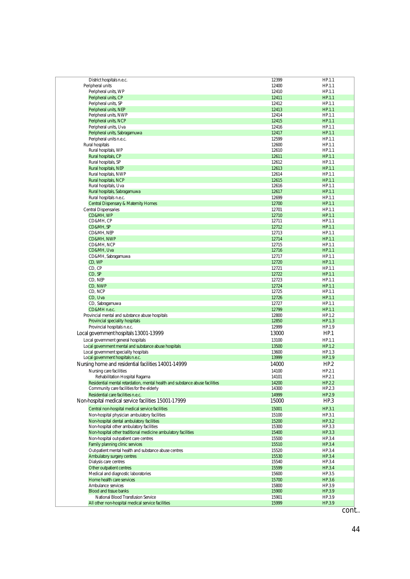| District hospitals n.e.c.                                                    | 12399 | HP.1.1 |
|------------------------------------------------------------------------------|-------|--------|
|                                                                              |       |        |
| Peripheral units                                                             | 12400 | HP.1.1 |
| Peripheral units, WP                                                         | 12410 | HP.1.1 |
| Peripheral units, CP                                                         | 12411 | HP.1.1 |
| Peripheral units, SP                                                         | 12412 | HP.1.1 |
|                                                                              |       |        |
| Peripheral units, NEP                                                        | 12413 | HP.1.1 |
| Peripheral units, NWP                                                        | 12414 | HP.1.1 |
| Peripheral units, NCP                                                        | 12415 | HP.1.1 |
|                                                                              |       |        |
| Peripheral units, Uva                                                        | 12416 | HP.1.1 |
| Peripheral units, Sabragamuwa                                                | 12417 | HP.1.1 |
| Peripheral units n.e.c.                                                      | 12599 | HP.1.1 |
|                                                                              |       |        |
| Rural hospitals                                                              | 12600 | HP.1.1 |
| Rural hospitals, WP                                                          | 12610 | HP.1.1 |
| Rural hospitals, CP                                                          | 12611 | HP.1.1 |
|                                                                              |       |        |
| Rural hospitals, SP                                                          | 12612 | HP.1.1 |
| Rural hospitals, NEP                                                         | 12613 | HP.1.1 |
| Rural hospitals, NWP                                                         | 12614 | HP.1.1 |
|                                                                              |       |        |
| Rural hospitals, NCP                                                         | 12615 | HP.1.1 |
| Rural hospitals, Uva                                                         | 12616 | HP.1.1 |
| Rural hospitals, Sabragamuwa                                                 | 12617 | HP.1.1 |
|                                                                              |       |        |
| Rural hospitals n.e.c.                                                       | 12699 | HP.1.1 |
| Central Dispensary & Maternity Homes                                         | 12700 | HP.1.1 |
|                                                                              |       |        |
| <b>Central Dispensaries</b>                                                  | 12701 | HP.1.1 |
| CD&MH, WP                                                                    | 12710 | HP.1.1 |
| CD&MH, CP                                                                    | 12711 | HP.1.1 |
|                                                                              |       |        |
| CD&MH, SP                                                                    | 12712 | HP.1.1 |
| CD&MH, NEP                                                                   | 12713 | HP.1.1 |
| CD&MH, NWP                                                                   | 12714 | HP.1.1 |
|                                                                              |       |        |
| CD&MH, NCP                                                                   | 12715 | HP.1.1 |
| CD&MH, Uva                                                                   | 12716 | HP.1.1 |
| CD&MH, Sabragamuwa                                                           | 12717 | HP.1.1 |
|                                                                              |       |        |
| CD, WP                                                                       | 12720 | HP.1.1 |
| CD, CP                                                                       | 12721 | HP.1.1 |
| CD, SP                                                                       | 12722 | HP.1.1 |
|                                                                              |       |        |
| CD, NEP                                                                      | 12723 | HP.1.1 |
| CD, NWP                                                                      | 12724 | HP.1.1 |
| CD, NCP                                                                      | 12725 | HP.1.1 |
|                                                                              |       |        |
| CD, Uva                                                                      | 12726 | HP.1.1 |
| CD, Sabragamuwa                                                              | 12727 | HP.1.1 |
|                                                                              |       |        |
| CD&MH n.e.c.                                                                 | 12799 | HP.1.1 |
| Provincial mental and substance abuse hospitals                              | 12800 | HP.1.2 |
| Provincial speciality hospitals                                              | 12850 | HP.1.3 |
|                                                                              |       |        |
| Provincial hospitals n.e.c.                                                  | 12999 | HP.1.9 |
| Local government hospitals 13001-13999                                       | 13000 | HP.1   |
|                                                                              |       |        |
| Local government general hospitals                                           | 13100 | HP.1.1 |
| Local government mental and substance abuse hospitals                        | 13500 | HP.1.2 |
| Local government speciality hospitals                                        | 13600 | HP.1.3 |
|                                                                              |       |        |
| Local government hospitals n.e.c.                                            | 13999 | HP.1.9 |
| Nursing home and residential facilities 14001-14999                          | 14000 | HP.2   |
|                                                                              |       |        |
| Nursing care facilities                                                      | 14100 | HP.2.1 |
| Rehabilitation Hospital Ragama                                               | 14101 | HP.2.1 |
|                                                                              |       | HP.2.2 |
| Residential mental retardation, mental health and substance abuse facilities | 14200 |        |
| Community care facilities for the elderly                                    | 14300 | HP.2.3 |
| Residential care facilities n.e.c.                                           | 14999 | HP.2.9 |
|                                                                              |       |        |
| Non-hospital medical service facilities 15001-17999                          | 15000 | HP.3   |
| Central non-hospital medical service facilities                              | 15001 | HP.3.1 |
|                                                                              |       |        |
| Non-hospital physician ambulatory facilities                                 | 15100 | HP.3.1 |
| Non-hospital dental ambulatory facilities                                    | 15200 | HP.3.2 |
|                                                                              |       |        |
| Non-hospital other ambulatory facilities                                     | 15300 | HP.3.3 |
| Non-hospital other traditional medicine ambulatory facilities                | 15400 | HP.3.3 |
| Non-hospital out-patient care centres                                        | 15500 | HP.3.4 |
|                                                                              |       |        |
| Family planning clinic services                                              | 15510 | HP.3.4 |
| Out-patient mental health and substance abuse centres                        | 15520 | HP.3.4 |
| Ambulatory surgery centres                                                   | 15530 | HP.3.4 |
|                                                                              |       |        |
| Dialysis care centres                                                        | 15540 | HP.3.4 |
| Other outpatient centres                                                     | 15599 | HP.3.4 |
|                                                                              |       |        |
| Medical and diagnostic laboratories                                          | 15600 | HP.3.5 |
| Home health care services                                                    | 15700 | HP.3.6 |
| Ambulance services                                                           | 15800 | HP.3.9 |
|                                                                              |       |        |
| <b>Blood and tissue banks</b>                                                | 15900 | HP.3.9 |
| National Blood Transfusion Service                                           | 15901 | HP.3.9 |
|                                                                              | 15999 | HP.3.9 |
| All other non-hospital medical service facilities                            |       |        |

cont..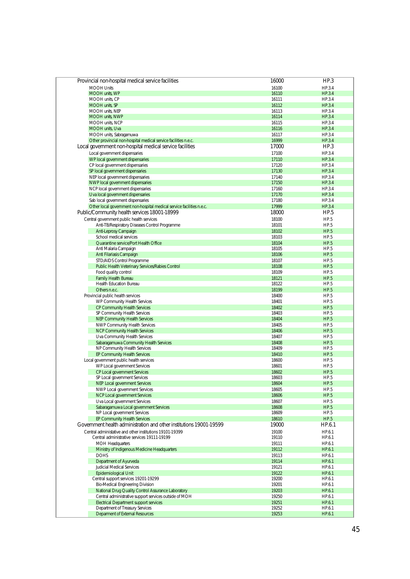| Provincial non-hospital medical service facilities                    | 16000          | HP.3             |
|-----------------------------------------------------------------------|----------------|------------------|
| <b>MOOH Units</b>                                                     |                |                  |
| MOOH units, WP                                                        | 16100<br>16110 | HP.3.4<br>HP.3.4 |
| MOOH units. CP                                                        | 16111          | HP.3.4           |
| MOOH units, SP                                                        | 16112          | HP.3.4           |
| MOOH units, NEP                                                       | 16113          | HP.3.4           |
| <b>MOOH units. NWP</b>                                                | 16114          | HP.3.4           |
| MOOH units, NCP                                                       | 16115          | HP.3.4           |
|                                                                       |                |                  |
| MOOH units, Uva                                                       | 16116          | HP.3.4           |
| MOOH units, Sabragamuwa                                               | 16117<br>16999 | HP.3.4           |
| Other provincial non-hospital medical service facilities n.e.c.       |                | HP.3.4           |
| Local government non-hospital medical service facilities              | 17000          | HP.3             |
| Local government dispensaries                                         | 17100          | HP.3.4           |
| WP local government dispensaries                                      | 17110          | HP.3.4           |
| CP local government dispensaries                                      | 17120          | HP.3.4           |
| SP local government dispensaries                                      | 17130          | HP.3.4           |
| NEP local government dispensaries                                     | 17140          | HP.3.4           |
| NWP local government dispensaries                                     | 17150          | HP.3.4           |
| NCP local government dispensaries                                     | 17160          | HP.3.4           |
| Uva local government dispensaries                                     | 17170          | HP.3.4           |
| Sab local government dispensaries                                     | 17180          | HP.3.4           |
| Other local government non-hospital medical service facilities n.e.c. | 17999          | HP.3.4           |
| Public/Community health services 18001-18999                          | 18000          | HP.5             |
| Central government public health services                             | 18100          | HP.5             |
| Anti-TB/Respiratory Diseases Control Programme                        | 18101          | HP.5             |
| Anti-Leprosy Campaign                                                 | 18102          | HP.5             |
| School medical services                                               | 18103          | HP.5             |
|                                                                       |                | HP.5             |
| Quarantine service/Port Health Office                                 | 18104          | HP.5             |
| Anti Malaria Campaign                                                 | 18105          |                  |
| Anti Filariasis Campaign                                              | 18106          | HP.5             |
| STD/AIDS Control Programme                                            | 18107          | HP.5             |
| Public Health Veterinary Services/Rabies Control                      | 18108          | HP.5             |
| Food quality control                                                  | 18109          | HP.5             |
| <b>Family Health Bureau</b>                                           | 18121          | HP.5             |
| <b>Health Education Bureau</b>                                        | 18122          | HP.5             |
| Others n.e.c.                                                         | 18199          | HP.5             |
| Provincial public health services                                     | 18400          | HP.5             |
| WP Community Health Services                                          | 18401          | HP.5             |
| CP Community Health Services                                          | 18402          | HP.5             |
| SP Community Health Services                                          | 18403          | HP.5             |
| NEP Community Health Services                                         | 18404          | HP.5             |
| NWP Community Health Services                                         | 18405          | HP.5             |
| NCP Community Health Services                                         | 18406          | HP.5             |
| Uva Community Health Services                                         | 18407          | HP.5             |
| Sabaragamuwa Community Health Services                                | 18408          | HP.5             |
| NP Community Health Services                                          | 18409          | HP.5             |
| <b>EP Community Health Services</b>                                   | 18410          | HP.5             |
| Local government public health services                               | 18600          | HP.5             |
| WP Local government Services                                          | 18601          | HP.5             |
| CP Local government Services                                          | 18602          | HP.5             |
| SP Local government Services                                          | 18603          | HP.5             |
| NEP Local government Services                                         | 18604          | HP.5             |
| NWP Local government Services                                         | 18605          | HP.5             |
| NCP Local government Services                                         | 18606          | HP.5             |
| Uva Local government Services                                         | 18607          | HP.5             |
| Sabaragamuwa Local government Services                                | 18608          | HP.5             |
| NP Local government Services                                          | 18609          | HP.5             |
| EP Community Health Services                                          | 18610          | HP.5             |
|                                                                       |                |                  |
| Government health administration and other institutions 19001-19599   | 19000          | HP.6.1           |
| Central administative and other institutions 19101-19399              | 19100          | HP.6.1           |
| Central administrative services 19111-19199                           | 19110          | HP.6.1           |
| MOH Headquarters                                                      | 19111          | HP.6.1           |
| Ministry of Indigenous Medicine Headquarters                          | 19112          | HP.6.1           |
| <b>DOHS</b>                                                           | 19113          | HP.6.1           |
| Department of Ayurveda                                                | 19114          | HP.6.1           |
| Judicial Medical Services                                             | 19121          | HP.6.1           |
| <b>Epidemiological Unit</b>                                           | 19122          | HP.6.1           |
| Central support services 19201-19299                                  | 19200          | HP.6.1           |
| Bio-Medical Engineering Division                                      | 19201          | HP.6.1           |
| National Drug Quality Control Assurance Laboratory                    | 19203          | HP.6.1           |
| Central administrative support services outside of MOH                | 19250          | HP.6.1           |
| <b>Electrical Department support services</b>                         | 19251          | HP.6.1           |
| Department of Treasury Services                                       | 19252          | HP.6.1           |
| Deparment of External Resources                                       | 19253          | HP.6.1           |
|                                                                       |                |                  |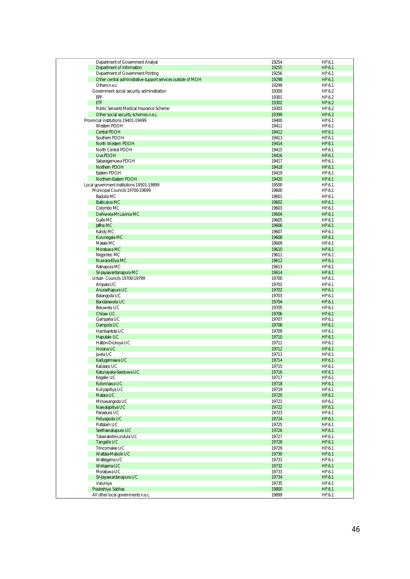| Department of Government Analyst                             | 19254 | HP.6.1 |
|--------------------------------------------------------------|-------|--------|
| Department of Information                                    | 19255 | HP.6.1 |
|                                                              |       |        |
| Department of Government Printing                            | 19256 | HP.6.1 |
| Other central administrative support services outside of MOH | 19298 | HP.6.1 |
| Others n.e.c.                                                | 19299 | HP.6.1 |
| Government social security administration                    | 19300 | HP.6.2 |
| EPF                                                          | 19301 | HP.6.2 |
| ETF                                                          | 19302 | HP.6.2 |
| Public Servants Medical Insurance Scheme                     | 19303 | HP.6.2 |
|                                                              |       |        |
| Other social security schemes n.e.c.                         | 19399 | HP.6.2 |
| Provincial institutions 19401-19499                          | 19400 | HP.6.1 |
| Western PDOH                                                 | 19411 | HP.6.1 |
| Central PDOH                                                 | 19412 | HP.6.1 |
| Southern PDOH                                                | 19413 | HP.6.1 |
| North Western PDOH                                           | 19414 | HP.6.1 |
| North Central PDOH                                           | 19415 | HP.6.1 |
| Uva PDOH                                                     | 19416 | HP.6.1 |
|                                                              |       |        |
| Sabaragamuwa PDOH                                            | 19417 | HP.6.1 |
| Northern PDOH                                                | 19418 | HP.6.1 |
| Eastern PDOH                                                 | 19419 | HP.6.1 |
| Northern-Eastern PDOH                                        | 19420 | HP.6.1 |
| Local government institutions 19501-19899                    | 19500 | HP.6.1 |
| Municipal Councils 19700-19699                               | 19600 | HP.6.1 |
| Badulla MC                                                   |       |        |
|                                                              | 19601 | HP.6.1 |
| <b>Batticaloa MC</b>                                         | 19602 | HP.6.1 |
| Colombo MC                                                   | 19603 | HP.6.1 |
| Dehiwela-Mt Lavinia MC                                       | 19604 | HP.6.1 |
| Galle MC                                                     | 19605 | HP.6.1 |
| Jaffna MC                                                    | 19606 | HP.6.1 |
| Kandy MC                                                     | 19607 | HP.6.1 |
| Kurunegala MC                                                | 19608 | HP.6.1 |
| Matale MC                                                    | 19609 | HP.6.1 |
|                                                              |       |        |
| Moratuwa MC                                                  | 19610 | HP.6.1 |
| Negombo MC                                                   | 19611 | HP.6.1 |
| Nuwara-Eliya MC                                              | 19612 | HP.6.1 |
| Ratnapura MC                                                 | 19613 | HP.6.1 |
| Sri-Jayawardanapura MC                                       | 19614 | HP.6.1 |
| Urban Councils 19700-19799                                   | 19700 | HP.6.1 |
| Ampara UC                                                    | 19701 | HP.6.1 |
|                                                              |       |        |
| Anuradhapura UC                                              | 19702 | HP.6.1 |
| Balangoda UC                                                 | 19703 | HP.6.1 |
| Bandarawela UC                                               | 19704 | HP.6.1 |
| Beruwela UC                                                  | 19705 | HP.6.1 |
| Chilaw UC                                                    | 19706 | HP.6.1 |
| Gampaha UC                                                   | 19707 | HP.6.1 |
| Gampola UC                                                   | 19708 | HP.6.1 |
| Hambantota UC                                                | 19709 | HP.6.1 |
|                                                              |       |        |
| Haputale UC                                                  | 19710 | HP.6.1 |
| Hatton-Dickoya UC                                            | 19711 | HP.6.1 |
| Horana UC                                                    | 19712 | HP.6.1 |
| Ja-ela UC                                                    | 19713 | HP.6.1 |
| Kadugannawa UC                                               | 19714 | HP.6.1 |
| Kalutara UC                                                  | 19715 | HP.6.1 |
| Katunayake-Seeduwa UC                                        | 19716 | HP.6.1 |
| Kegalle UC                                                   | 19717 | HP.6.1 |
| Kolonnawa UC                                                 | 19718 | HP.6.1 |
|                                                              |       |        |
| Kuliyapitiya UC                                              | 19719 | HP.6.1 |
| Matara UC                                                    | 19720 | HP.6.1 |
| Minuwangoda UC                                               | 19721 | HP.6.1 |
| Nawalapitiya UC                                              | 19722 | HP.6.1 |
| Panadura UC                                                  | 19723 | HP.6.1 |
| Peliyagoda UC                                                | 19724 | HP.6.1 |
| Puttalam UC                                                  | 19725 | HP.6.1 |
| Seethawakapura UC                                            | 19726 | HP.6.1 |
|                                                              |       |        |
| Talawakelle-Lindula UC                                       | 19727 | HP.6.1 |
| Tangalle UC                                                  | 19728 | HP.6.1 |
| Trincomalee UC                                               | 19729 | HP.6.1 |
| Wattala-Mabole UC                                            | 19730 | HP.6.1 |
| Wattegama UC                                                 | 19731 | HP.6.1 |
| Weligama UC                                                  | 19732 | HP.6.1 |
| Moratuwa UC                                                  | 19733 | HP.6.1 |
| Sri-Jayawardanapura UC                                       | 19734 | HP.6.1 |
|                                                              |       |        |
| Varuniya                                                     | 19735 | HP.6.1 |
| Pradeshiya Sabhas                                            | 19800 | HP.6.1 |
| All other local governments n.e.c.                           | 19899 | HP.6.1 |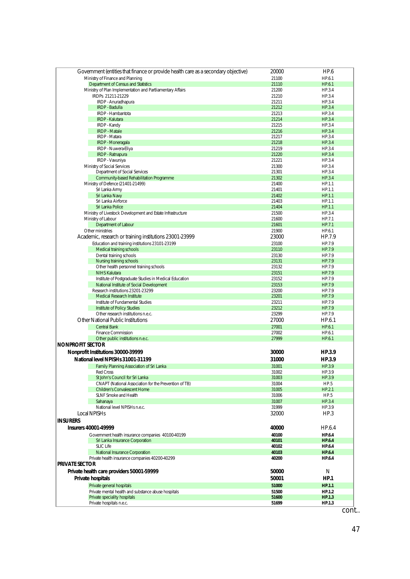| Government (entities that finance or provide health care as a secondary objective)           | 20000          | HP.6             |
|----------------------------------------------------------------------------------------------|----------------|------------------|
| Ministry of Finance and Planning                                                             | 21100          | HP.6.1           |
| Department of Census and Statistics                                                          | 21110          | HP.6.1           |
| Ministry of Plan Implementation and Partliamentary Affairs                                   | 21200          | HP.3.4           |
| IRDPs 21211-21229                                                                            | 21210          | HP.3.4           |
| IRDP - Anuradhapura<br><b>IRDP - Badulla</b>                                                 | 21211<br>21212 | HP.3.4<br>HP.3.4 |
| IRDP - Hambantota                                                                            | 21213          | HP.3.4           |
| <b>IRDP - Kalutara</b>                                                                       | 21214          | HP.3.4           |
| <b>IRDP - Kandy</b>                                                                          | 21215          | HP.3.4           |
| <b>IRDP</b> - Matale                                                                         | 21216          | HP.3.4           |
| IRDP - Matara                                                                                | 21217          | HP.3.4           |
| IRDP - Moneragala                                                                            | 21218          | HP.3.4           |
| IRDP - Nuwera-Eliya                                                                          | 21219          | HP.3.4           |
| IRDP - Ratnapura<br>IRDP - Vavuniya                                                          | 21220<br>21221 | HP.3.4<br>HP.3.4 |
| Ministry of Social Services                                                                  | 21300          | HP.3.4           |
| Department of Social Services                                                                | 21301          | HP.3.4           |
| Community-based Rehabilitation Programme                                                     | 21302          | HP.3.4           |
| Ministry of Defence (21401-21499)                                                            | 21400          | HP.1.1           |
| Sri Lanka Army                                                                               | 21401          | HP.1.1           |
| Sri Lanka Navy                                                                               | 21402          | HP.1.1           |
| Sri Lanka Airforce                                                                           | 21403          | HP.1.1           |
| Sri Lanka Police                                                                             | 21404          | HP.1.1           |
| Ministry of Livestock Development and Estate Infrastructure<br>Ministry of Labour            | 21500<br>21600 | HP.3.4<br>HP.7.1 |
| Department of Labour                                                                         | 21601          | HP.7.1           |
| Other ministries                                                                             | 21900          | HP.6.1           |
| Academic, research or training institutions 23001-23999                                      | 23000          | HP.7.9           |
| Education and training institutions 23101-23199                                              | 23100          | HP.7.9           |
| Medical training schools                                                                     | 23110          | HP.7.9           |
| Dental training schools                                                                      | 23130          | HP.7.9           |
| Nursing training schools                                                                     | 23131          | HP.7.9           |
| Other health personnel training schools                                                      | 23132          | HP.7.9           |
| <b>NIHS Kalutara</b>                                                                         | 23151          | HP.7.9           |
| Institute of Postgraduate Studies in Medical Education                                       | 23152          | HP.7.9           |
| National Institute of Social Development<br>Research institutions 23201-23299                | 23153<br>23200 | HP.7.9<br>HP.7.9 |
| <b>Medical Research Institute</b>                                                            | 23201          | HP.7.9           |
| Institute of Fundamental Studies                                                             | 23211          | HP.7.9           |
| Institute of Policy Studies                                                                  | 23212          | HP.7.9           |
| Other research institutions n.e.c.                                                           | 23299          | HP.7.9           |
| <b>Other National Public Institutions</b>                                                    | 27000          | HP.6.1           |
| <b>Central Bank</b>                                                                          | 27001          | HP.6.1           |
| <b>Finance Commission</b>                                                                    | 27002          | HP.6.1           |
| Other public institutions n.e.c.                                                             | 27999          | HP.6.1           |
| <b>NONPROFIT SECTOR</b>                                                                      |                |                  |
| Nonprofit Institutions 30000-39999                                                           | 30000          | HP.3.9           |
| National level NPISHs 31001-31199                                                            | 31000          | HP.3.9           |
| Family Planning Association of Sri Lanka                                                     | 31001          | HP.3.9           |
| Red Cross                                                                                    | 31002          | HP.3.9           |
| St John's Council for Sri Lanka                                                              | 31003          | HP.3.9           |
| CNAPT (National Association for the Prevention of TB)<br><b>Children's Convalescent Home</b> | 31004          | HP.5             |
| SLNF Smoke and Health                                                                        | 31005<br>31006 | HP.2.1<br>HP.5   |
| Sahanaya                                                                                     | 31007          | HP.3.4           |
| National level NPISHs n.e.c.                                                                 | 31999          | HP.3.9           |
| Local NPISH <sub>S</sub>                                                                     | 32000          | HP.3             |
| <b>INSURERS</b>                                                                              |                |                  |
| <b>Insurers 40001-49999</b>                                                                  | 40000          | HP.6.4           |
| Government health insurance companies 40100-40199                                            | 40100          | HP.6.4           |
| Sri Lanka Insurance Corporation                                                              | 40101          | <b>HP.6.4</b>    |
| <b>SLIC Life</b>                                                                             | 40102          | HP.6.4           |
| National Insurance Corporation                                                               | 40103          | <b>HP.6.4</b>    |
| Private health insurance companies 40200-40299                                               | 40200          | HP.6.4           |
| <b>PRIVATE SECTOR</b>                                                                        |                |                  |
| Private health care providers 50001-59999                                                    | 50000          | N                |
| Private hospitals                                                                            | 50001          | HP.1             |
| Private general hospitals                                                                    | 51000          | HP.1.1           |
| Private mental health and substance abuse hospitals                                          | 51500          | HP.1.2           |
| Private speciality hospitals                                                                 | 51600          | HP.1.3           |
| Private hospitals n.e.c.                                                                     | 51699          | HP.1.3           |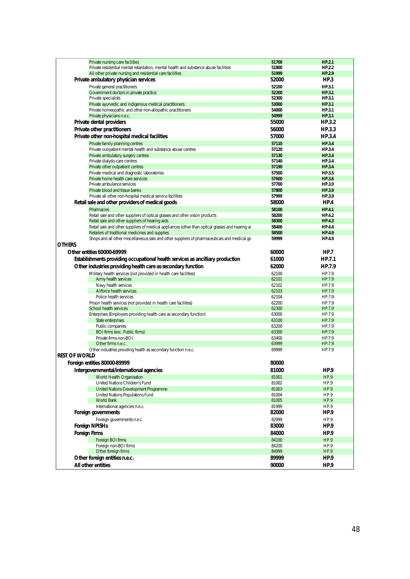| Private nursing care facilities                                                                  | 51700          | <b>HP.2.1</b> |
|--------------------------------------------------------------------------------------------------|----------------|---------------|
| Private residential mental retardation, mental health and substance abuse facilities             | 51800          | HP.2.2        |
| All other private nursing and residential care facilities                                        | 51999          | HP.2.9        |
|                                                                                                  | 52000          |               |
| Private ambulatory physician services                                                            |                | HP.3          |
| Private general practitioners                                                                    | 52100          | HP.3.1        |
| Government doctors in private practice                                                           | 52200          | <b>HP.3.1</b> |
| Private specialists                                                                              | 52300          | HP.3.1        |
| Private ayurvedic and indigenous medical practitioners                                           | 53000          | HP.3.1        |
| Private homeopathic and other non-allopathic practitioners                                       | 54000          | HP.3.1        |
|                                                                                                  |                |               |
| Private physicians n.e.c.                                                                        | 54999          | HP.3.1        |
| Private dental providers                                                                         | 55000          | HP.3.2        |
| Private other practitioners                                                                      | 56000          | HP.3.3        |
|                                                                                                  |                |               |
| Private other non-hospital medical facilities                                                    | 57000          | HP.3.4        |
| Private family planning centres                                                                  | 57110          | HP.3.4        |
| Private out-patient mental health and substance abuse centres                                    | 57120          | HP.3.4        |
| Private ambulatory surgery centres                                                               | 57130          | <b>HP.3.4</b> |
| Private dialysis care centres                                                                    | 57140          | HP.3.4        |
|                                                                                                  |                |               |
| Private other outpatient centres                                                                 | 57190          | HP.3.4        |
| Private medical and diagnostic laboratories                                                      | 57500          | HP.3.5        |
| Private home health care services                                                                | 57600          | <b>HP.3.6</b> |
| Private ambulance services                                                                       | 57700          | HP.3.9        |
| Private blood and tissue banks                                                                   | 57800          | HP.3.9        |
| Private all other non-hospital medical service facilities                                        | 57999          | HP.3.9        |
| Retail sale and other providers of medical goods                                                 | 58000          | HP.4          |
|                                                                                                  |                |               |
| <b>Pharmacies</b>                                                                                | 58100          | <b>HP.4.1</b> |
| Retail sale and other suppliers of optical glasses and other vision products                     | 58200          | <b>HP.4.2</b> |
| Retail sale and other suppliers of hearing aids                                                  | 58300          | <b>HP.4.3</b> |
| Retail sale and other suppliers of medical appliances (other than optical glasses and hearing ai | 58400          | <b>HP.4.4</b> |
| Retailers of traditional medicines and supplies                                                  | 58500          | <b>HP.4.9</b> |
| Shops and all other miscellaneous sale and other suppliers of pharmaceuticals and medical gc     | 59999          | <b>HP.4.9</b> |
|                                                                                                  |                |               |
| <b>OTHERS</b>                                                                                    |                |               |
| Other entities 60000-69999                                                                       | 60000          | HP.7          |
| Establishments providing occupational health services as ancilliary production                   | 61000          | HP.7.1        |
|                                                                                                  |                |               |
|                                                                                                  |                |               |
| Other industries providing health care as secondary function                                     | 62000          | HP.7.9        |
|                                                                                                  | 62100          | HP.7.9        |
| Military health services (not provided in health care facilities)                                |                |               |
| Army health services                                                                             | 62101          | HP.7.9        |
| Navy health services                                                                             | 62102          | HP.7.9        |
| Airforce health services                                                                         | 62103          | HP.7.9        |
| Police health services                                                                           | 62104          | HP.7.9        |
| Prison health services (not provided in health care facilities)                                  | 62200          | HP.7.9        |
| School health services                                                                           | 62300          | HP.7.9        |
| Enterprises (Employers providing health care as secondary function)                              | 63000          | HP.7.9        |
|                                                                                                  |                |               |
| State enterprises                                                                                | 63100          | HP.7.9        |
| Public companies                                                                                 | 63200          | HP.7.9        |
| BOI firms (exc. Public firms)                                                                    | 63300          | HP.7.9        |
| Private firms non-BOI                                                                            | 63400          | HP.7.9        |
| Other firms n.e.c.                                                                               | 63999          | HP.7.9        |
| Other industries provding health as secondary function n.e.c.                                    | 69999          | HP.7.9        |
| <b>REST OF WORLD</b>                                                                             |                |               |
|                                                                                                  |                |               |
| Foreign entities 80000-89999                                                                     | 80000          |               |
| Intergovernmental/international agencies                                                         | 81000          | HP.9          |
| World Health Organisation                                                                        | 81001          | HP.9          |
| United Nations Children's Fund                                                                   | 81002          | HP.9          |
|                                                                                                  |                |               |
| United Nations Development Programme                                                             | 81003          | HP.9          |
| United Nations Populations Fund                                                                  | 81004          | HP.9          |
| <b>World Bank</b>                                                                                | 81005          | HP.9          |
| International agencies n.e.c.                                                                    | 81999          | HP.9          |
| Foreign governments                                                                              | 82000          | HP.9          |
| Foreign governments n.e.c.                                                                       | 82999          | HP.9          |
|                                                                                                  |                |               |
| <b>Foreign NPISHs</b>                                                                            | 83000          | HP.9          |
| <b>Foreign Firms</b>                                                                             | 84000          | HP.9          |
| Foreian BOI firms                                                                                | 84100          | HP.9          |
| Foreign non-BOI firms                                                                            | 84200          | HP.9          |
|                                                                                                  |                |               |
| Other foreign firms                                                                              | 84999          | HP.9          |
| Other foreign entities n.e.c.<br>All other entities                                              | 89999<br>90000 | HP.9<br>HP.9  |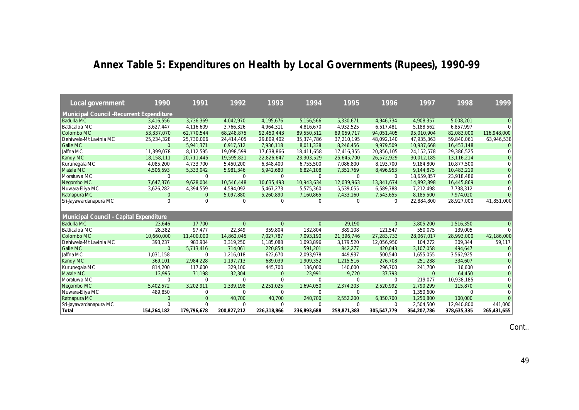# **Annex Table 5: Expenditures on Health by Local Governments (Rupees), 1990-99**

| Local government                                | 1990           | 1991           | 1992           | 1993           | 1994         | 1995        | 1996         | 1997           | 1998        | 1999           |
|-------------------------------------------------|----------------|----------------|----------------|----------------|--------------|-------------|--------------|----------------|-------------|----------------|
| <b>Municipal Council -Recurrent Expenditure</b> |                |                |                |                |              |             |              |                |             |                |
| <b>Badulla MC</b>                               | 3,416,556      | 3,736,369      | 4,042,970      | 4,195,676      | 5,156,566    | 5,330,671   | 4,946,734    | 4,908,357      | 5,008,201   | $\Omega$       |
| Batticaloa MC                                   | 3,627,447      | 4,116,609      | 3,766,326      | 4,964,311      | 4,816,670    | 4,932,525   | 6.517.481    | 5,188,562      | 6,857,997   | $\Omega$       |
| Colombo MC                                      | 53,337,070     | 62,770,544     | 68,248,875     | 92,450,443     | 89,550,512   | 89,059,717  | 94,051,405   | 95,010,904     | 82,083,000  | 116,948,000    |
| Dehiwela-Mt Lavinia MC                          | 25,234,328     | 25,730,006     | 24,414,405     | 29,809,402     | 35,374,786   | 37,210,195  | 48,092,140   | 47,935,363     | 59,840,061  | 63,946,538     |
| <b>Galle MC</b>                                 | $\Omega$       | 5,941,371      | 6,917,512      | 7,936,118      | 8,011,338    | 8,246,456   | 9,979,509    | 10,937,668     | 16,453,148  |                |
| Jaffna MC                                       | 11.399.078     | 8,112,595      | 19,098,599     | 17,638,866     | 18,411,658   | 17,416,355  | 20,856,105   | 24,152,578     | 29,386,525  | $\Omega$       |
| Kandy MC                                        | 18,158,111     | 20.711.445     | 19,595,821     | 22,826,647     | 23,303,529   | 25,645,700  | 26,572,929   | 30.012.185     | 13,116,214  | $\overline{0}$ |
| Kurunegala MC                                   | 4,085,200      | 4,733,700      | 5,450,200      | 6,348,400      | 6,755,500    | 7,086,800   | 8,193,700    | 9,184,800      | 10,877,500  | $\Omega$       |
| Matale MC                                       | 4,506,593      | 5,333,042      | 5,981,346      | 5,942,680      | 6,824,108    | 7,351,769   | 8,496,953    | 9,144,875      | 10,483,219  | $\overline{0}$ |
| Moratuwa MC                                     | $\mathbf 0$    | $\mathbf 0$    | 0              | $\mathbf 0$    | 0            | $\mathbf 0$ | 0            | 18.659.857     | 23.918.486  |                |
| Negombo MC                                      | 7,647,376      | 9,628,004      | 10,546,448     | 10,635,493     | 10,943,634   | 12,039,963  | 13,841,674   | 14,892,898     | 16,445,869  | $\Omega$       |
| Nuwara-Eliya MC                                 | 3,626,282      | 4,394,559      | 4,594,092      | 5,467,273      | 5,575,360    | 5,539,055   | 6,589,788    | 7,212,498      | 7,738,312   | $\Omega$       |
| Ratnapura MC                                    | $\overline{0}$ | $\overline{0}$ | 5,097,880      | 5,260,890      | 7,160,865    | 7,433,160   | 7,543,655    | 8,185,500      | 7,974,020   |                |
| Sri-Jayawardanapura MC                          | $\mathbf 0$    | 0              | 0              | $\mathbf 0$    | 0            | $\mathbf 0$ | 0            | 22,884,800     | 28,927,000  | 41,851,000     |
|                                                 |                |                |                |                |              |             |              |                |             |                |
| Municipal Council - Capital Expenditure         |                |                |                |                |              |             |              |                |             |                |
| <b>Badulla MC</b>                               | 23,646         | 17,700         | $\overline{0}$ | $\overline{0}$ | $\mathbf{0}$ | 29,190      | $\mathbf{0}$ | 3,805,200      | 1,516,350   | $\Omega$       |
| Batticaloa MC                                   | 28,382         | 97,477         | 22,349         | 359,804        | 132,804      | 389.108     | 121,547      | 550,075        | 139,005     | $\Omega$       |
| Colombo MC                                      | 10,660,000     | 11,400,000     | 14,862,045     | 7,027,787      | 7,093,190    | 21,396,746  | 27,283,733   | 28,067,017     | 28,993,000  | 42,186,000     |
| Dehiwela-Mt Lavinia MC                          | 393,237        | 983,904        | 3,319,250      | 1,185,088      | 1,093,896    | 3,179,520   | 12,056,950   | 104,272        | 309,344     | 59,117         |
| <b>Galle MC</b>                                 | $\Omega$       | 5,713,416      | 714,061        | 220,854        | 591,201      | 842,277     | 420,043      | 3,107,058      | 494,647     | $\Omega$       |
| Jaffna MC                                       | 1,031,158      | $\Omega$       | 1,216,018      | 622,670        | 2,093,978    | 449.937     | 500.540      | 1,655,055      | 3,562,925   | $\Omega$       |
| Kandy MC                                        | 369,101        | 2,984,228      | 1,197,713      | 689,039        | 1,909,352    | 1,215,516   | 276,708      | 251,288        | 334,607     | $\overline{0}$ |
| Kurunegala MC                                   | 814,200        | 117,600        | 329,100        | 445,700        | 136,000      | 140,600     | 296,700      | 241,700        | 16,600      | $\Omega$       |
| Matale MC                                       | 13,995         | 71,198         | 32,304         | $\overline{0}$ | 23,991       | 9,720       | 37,793       | $\overline{0}$ | 64,450      | $\Omega$       |
| Moratuwa MC                                     | $\Omega$       | $\Omega$       | 0              | $\mathbf 0$    | $\Omega$     | $\Omega$    | 0            | 219.077        | 10,938,185  | O              |
| Negombo MC                                      | 5.402.572      | 3,202,911      | 1,339,198      | 2,251,025      | 1,694,050    | 2,374,203   | 2,520,992    | 2,790,299      | 115,870     | $\overline{0}$ |
| Nuwara-Eliya MC                                 | 489,850        | 0              | $\mathbf 0$    | $\mathbf 0$    | $\Omega$     | $\Omega$    | 0            | 1,350,600      | $\Omega$    | $\Omega$       |
| Ratnapura MC                                    | $\overline{0}$ | $\overline{0}$ | 40,700         | 40,700         | 240,700      | 2,552,200   | 6,350,700    | 1,250,800      | 100,000     | $\Omega$       |
| Sri-Jayawardanapura MC                          | $\Omega$       | $\Omega$       | $\mathbf 0$    | $\mathbf 0$    | $\Omega$     | $\Omega$    | 0            | 2,504,500      | 12,940,800  | 441,000        |
| Total                                           | 154,264,182    | 179,796,678    | 200,827,212    | 226,318,866    | 236,893,688  | 259,871,383 | 305,547,779  | 354,207,786    | 378,635,335 | 265,431,655    |

Cont..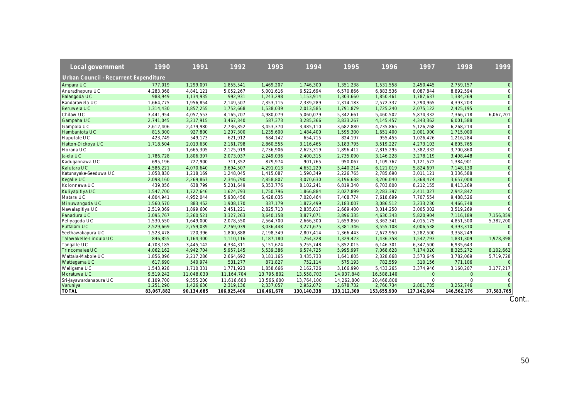| Local government                             | 1990        | 1991       | 1992         | 1993        | 1994        | 1995        | 1996        | 1997         | 1998           | 1999           |
|----------------------------------------------|-------------|------------|--------------|-------------|-------------|-------------|-------------|--------------|----------------|----------------|
| <b>Urban Council - Recurrent Expenditure</b> |             |            |              |             |             |             |             |              |                |                |
| Ampara UC                                    | 777,019     | 1,299,097  | 1,855,541    | 1,469,207   | 1,746,300   | 1,351,238   | 1,531,558   | 2,450,445    | 2,759,157      | $\mathbf{0}$   |
| Anuradhapura UC                              | 4,283,368   | 4,841,121  | 5,052,267    | 5,001,616   | 6,522,694   | 6,570,866   | 6,883,536   | 8,087,844    | 8,892,594      | $\Omega$       |
| Balangoda UC                                 | 988,949     | 1,134,935  | 992,931      | 1,243,298   | 1,153,914   | 1,303,660   | 1,850,461   | 1,787,637    | 1,384,269      | $\mathbf{0}$   |
| Bandarawela UC                               | 1,664,775   | 1,956,854  | 2,149,507    | 2,353,115   | 2,339,289   | 2,314,183   | 2,572,337   | 3,290,965    | 4,393,203      | $\mathbf 0$    |
| Beruwela UC                                  | 1,314,430   | 1,857,255  | 1,752,668    | 1,538,039   | 2,013,585   | 1,791,879   | 1,725,240   | 2,075,122    | 2,425,195      | $\Omega$       |
| Chilaw UC                                    | 3,441,954   | 4,057,553  | 4,165,707    | 4,980,079   | 5,060,079   | 5,342,661   | 5,460,502   | 5,874,332    | 7,366,718      | 6,067,201      |
| Gampaha UC                                   | 2,741,045   | 3,217,915  | 3,467,340    | 587,373     | 3,285,366   | 3,833,267   | 4,145,457   | 4,343,362    | 6,001,588      | $\Omega$       |
| <b>Gampola UC</b>                            | 2,612,406   | 2,479,980  | 2,736,852    | 3,453,370   | 3,485,110   | 3,682,880   | 4,235,865   | 5,126,268    | 6,268,214      | $\mathbf 0$    |
| Hambantota UC                                | 815,300     | 927,800    | 1,207,300    | 1,235,600   | 1,484,400   | 1,595,300   | 1,651,400   | 2,001,900    | 1,715,000      | $\mathbf 0$    |
| Haputale UC                                  | 423,749     | 549,173    | 621,912      | 684,142     | 654,715     | 824,197     | 955,455     | 1,026,426    | 1,216,284      | $\Omega$       |
| Hatton-Dickoya UC                            | 1,718,504   | 2,013,630  | 2.161.798    | 2,860,555   | 3,116,465   | 3,183,795   | 3,519,227   | 4,273,103    | 4,805,765      | $\overline{0}$ |
| Horana UC                                    | $\mathbf 0$ | 1,665,305  | 2,125,919    | 2,736,906   | 2,623,319   | 2,896,412   | 2,815,295   | 3,382,332    | 3,700,860      | $\mathbf 0$    |
| Ja-ela UC                                    | 1,786,728   | 1,806,397  | 2,073,037    | 2,249,036   | 2,400,315   | 2,735,090   | 3,146,228   | 3,278,119    | 3,498,448      | $\mathbf{O}$   |
| Kadugannawa UC                               | 695,196     | 727,900    | 711,352      | 879,974     | 901,765     | 950,067     | 1,109,767   | 1,121,572    | 1,384,901      | $\mathbf 0$    |
| Kalutara UC                                  | 4,586,221   | 4,070,640  | 3,694,507    | 4,291,013   | 4,652,229   | 5,440,214   | 6,121,019   | 5,824,697    | 7,148,130      | $\overline{0}$ |
| Katunayake-Seeduwa UC                        | 1,058,830   | 1,218,169  | 1,248,045    | 1,415,087   | 1,590,349   | 2,226,765   | 2,785,690   | 3,011,121    | 3,336,588      | $\Omega$       |
| Kegalle UC                                   | 2,098,160   | 2,269,867  | 2,346,790    | 2,858,807   | 3,070,630   | 3,196,638   | 3,206,040   | 3,368,474    | 3,657,008      | $\mathbf{0}$   |
| Kolonnawa UC                                 | 439,056     | 638,799    | 5,201,649    | 6,353,776   | 8,102,241   | 6,819,340   | 6,703,800   | 8,212,155    | 8,413,269      | $\mathbf 0$    |
| Kuliyapitiya UC                              | 1,547,700   | 1,727,646  | 1,624,793    | 1,750,796   | 1,866,884   | 2,027,899   | 2,283,397   | 2,411,027    | 2,942,842      | $\overline{0}$ |
| Matara UC                                    | 4,804,941   | 4,952,044  | 5,930,456    | 6,428,035   | 7,020,464   | 7,408,774   | 7,618,699   | 7,707,554    | 9,488,526      | $\mathbf 0$    |
| Minuwangoda UC                               | 1,560,570   | 883,452    | 1,908,170    | 337,179     | 1,872,499   | 2,183,007   | 3,086,512   | 3,233,230    | 4,466,748      | $\overline{0}$ |
| Nawalapitiya UC                              | 2,519,369   | 1,899,600  | 2,451,221    | 2,825,713   | 2,835,017   | 2,689,400   | 3,014,250   | 3,005,002    | 3,519,269      | $\Omega$       |
| Panadura UC                                  | 3,095,767   | 3,260,521  | 3,327,263    | 3,640,158   | 3,877,071   | 3,896,335   | 4,630,343   | 5,820,904    | 7,116,189      | 7,156,359      |
| Peliyagoda UC                                | 1,530,550   | 1,649,000  | 2,078,550    | 2,564,700   | 2,666,300   | 2,659,850   | 3,362,341   | 4,015,175    | 4,851,500      | 5,382,200      |
| Puttalam UC                                  | 2,529,669   | 2,759,039  | 2,769,039    | 3,036,448   | 3,271,675   | 3,381,346   | 3,555,108   | 4,006,538    | 4,393,310      | $\mathbf{0}$   |
| Seethawakapura UC                            | 1,523,478   | 220,396    | 1,800,888    | 2,198,349   | 2,807,414   | 2,366,443   | 2,672,950   | 3,282,500    | 3,358,249      |                |
| Talawakelle-Lindula UC                       | 846,855     | 1,164,300  | 1,110,116    | 1,187,180   | 1,264,328   | 1,329,423   | 1,436,358   | 1,542,793    | 1,831,309      | 1,978,398      |
| Tangalle UC                                  | 4,703,185   | 3,445,142  | 4,334,311    | 5,151,624   | 5,255,748   | 5,852,015   | 6,146,301   | 6,347,500    | 6,935,643      |                |
| Trincomalee UC                               | 4,062,162   | 4,942,704  | 5,957,145    | 5,539,386   | 6,574,725   | 5,995,997   | 7,068,628   | 7,174,020    | 8,325,272      | 8,102,662      |
| Wattala-Mabole UC                            | 1,856,096   | 2,217,286  | 2,664,692    | 3,181,165   | 3,435,733   | 1,641,805   | 2,328,668   | 3,573,649    | 3,782,069      | 5,719,728      |
| Wattegama UC                                 | 617,690     | 540,974    | 531,277      | 871,827     | 752,114     | 575,193     | 782,559     | 310,156      | 771,106        | $\Omega$       |
| Weligama UC                                  | 1,543,928   | 1,710,331  | 1,771,923    | 1,858,666   | 2,162,726   | 3,166,990   | 5,433,265   | 3,374,946    | 3,160,207      | 3,177,217      |
| Moratuwa UC                                  | 9,519,242   | 11,048,030 | 11, 164, 704 | 13,795,802  | 13,558,703  | 14,937,848  | 16,588,140  | $\mathbf{0}$ | $\overline{0}$ | $\mathbf{0}$   |
| Sri-Jayawardanapura UC                       | 8,109,700   | 9,555,200  | 11,616,600   | 13,566,600  | 13,764,100  | 14,262,800  | 20,468,800  | $\mathbf 0$  | $\Omega$       | $\Omega$       |
| Varuniya                                     | 1,251,290   | 1,426,630  | 2,319,136    | 2,337,057   | 2,952,072   | 2,678,732   | 2,760,734   | 2.801.735    | 3.252.746      |                |
| <b>TOTAL</b>                                 | 83,067,882  | 90,134,685 | 106,925,406  | 116,461,678 | 130,140,338 | 133,112,309 | 153,655,930 | 127,142,604  | 146,562,176    | 37,583,765     |

 $\overline{C}$ ont..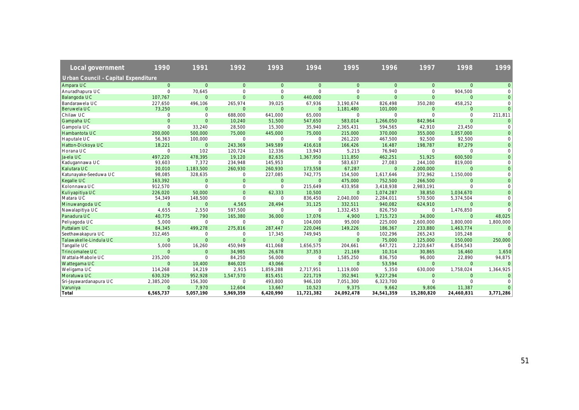| Local government                    | 1990         | 1991           | 1992           | 1993           | 1994           | 1995           | 1996           | 1997           | 1998           | 1999      |
|-------------------------------------|--------------|----------------|----------------|----------------|----------------|----------------|----------------|----------------|----------------|-----------|
| Urban Council - Capital Expenditure |              |                |                |                |                |                |                |                |                |           |
| Ampara UC                           | $\mathbf{0}$ | $\mathbf{O}$   | $\mathbf{0}$   | $\mathbf{0}$   | $\overline{0}$ | $\overline{0}$ | $\overline{0}$ | $\mathbf{0}$   | $\overline{0}$ | $\Omega$  |
| Anuradhapura UC                     | $\mathbf 0$  | 70,645         | 0              | $\mathbf 0$    | $\Omega$       | $\mathbf 0$    | $\mathbf 0$    | $\mathbf 0$    | 904,500        |           |
| Balangoda UC                        | 107,767      | $\overline{0}$ | $\overline{0}$ | $\overline{0}$ | 440,000        | $\mathbf{0}$   | $\mathbf{0}$   | $\Omega$       | $\overline{0}$ | $\Omega$  |
| Bandarawela UC                      | 227,650      | 496,106        | 265,974        | 39,025         | 67,936         | 3,190,674      | 826.498        | 350,280        | 458,252        |           |
| Beruwela UC                         | 73,250       | $\mathbf{0}$   | $\mathbf{0}$   | $\Omega$       | $\Omega$       | 1,181,480      | 101,000        | $\Omega$       | $\Omega$       | $\Omega$  |
| Chilaw UC                           | $\mathbf 0$  | $\mathbf 0$    | 688,000        | 641,000        | 65,000         | $\mathbf 0$    | $\Omega$       | $\Omega$       | $\Omega$       | 211,811   |
| Gampaha UC                          | $\mathbf{O}$ | $\overline{0}$ | 10,240         | 51,500         | 547,650        | 583,014        | 1,266,050      | 842,964        | $\Omega$       |           |
| Gampola UC                          | $\mathbf 0$  | 33,240         | 28,500         | 15,300         | 35,940         | 2,365,431      | 594,565        | 42,910         | 23,450         | $\Omega$  |
| Hambantota UC                       | 200,000      | 500,000        | 75,000         | 445,000        | 75,000         | 215,000        | 370,000        | 355,000        | 1,057,000      |           |
| Haputale UC                         | 56,363       | 100,000        | $\mathbf 0$    | $\mathbf 0$    | $\mathbf 0$    | 261,220        | 467,500        | 92,500         | 92,500         |           |
| Hatton-Dickoya UC                   | 18,221       | $\overline{0}$ | 243,369        | 349,589        | 416,618        | 166,426        | 16,487         | 198,787        | 87,279         |           |
| Horana UC                           | $\mathbf{O}$ | 102            | 120,724        | 12,336         | 13,943         | 5,215          | 76,940         | $\mathbf 0$    | $\Omega$       | $\Omega$  |
| Ja-ela UC                           | 497,220      | 478,395        | 19,120         | 82,635         | 1,367,950      | 111,850        | 462,251        | 51,925         | 600,500        | $\Omega$  |
| Kadugannawa UC                      | 93,603       | 7,372          | 234,948        | 145,953        | $\Omega$       | 583,637        | 27,083         | 244,100        | 819,000        |           |
| Kalutara UC                         | 20,010       | 1,183,500      | 260,930        | 260,930        | 173,558        | 67,287         | $\Omega$       | 2,000,000      | $\Omega$       | $\Omega$  |
| Katunayake-Seeduwa UC               | 98,085       | 328,635        | $\mathbf 0$    | 227,085        | 742,775        | 154,500        | 1,617,646      | 372,962        | 1,150,000      |           |
| Kegalle UC                          | 163,392      | $\mathbf{0}$   | $\mathbf 0$    | $\mathbf{0}$   | $\Omega$       | 475,000        | 752,500        | 266,500        | $\mathbf{0}$   |           |
| Kolonnawa UC                        | 912,570      | $\mathbf 0$    | $\mathbf 0$    | $\Omega$       | 215,649        | 433,958        | 3,418,938      | 2,983,191      | $\Omega$       |           |
| Kuliyapitiya UC                     | 226,020      | 50,000         | $\Omega$       | 62,333         | 10,500         | $\overline{0}$ | 1,074,287      | 38,850         | 1,034,670      |           |
| Matara UC                           | 54,349       | 148,500        | $\mathbf 0$    | $\mathbf 0$    | 836,450        | 2,040,000      | 2,284,011      | 570,500        | 5,374,504      |           |
| Minuwangoda UC                      | $\mathbf{0}$ | $\mathbf 0$    | 4,565          | 28,494         | 31,125         | 332,511        | 940,082        | 624,910        | $\Omega$       | $\Omega$  |
| Nawalapitiya UC                     | 4,655        | 2,550          | 597,500        | $\Omega$       | $\Omega$       | 1,332,453      | 826,750        | $\Omega$       | 1,476,850      |           |
| Panadura UC                         | 40,775       | 790            | 165,380        | 36,000         | 17,076         | 4,900          | 1,715,723      | 34,000         | $\Omega$       | 48,025    |
| Peliyagoda UC                       | 5,000        | $\mathbf{0}$   | $\mathbf 0$    | $\Omega$       | 104,000        | 95,000         | 225,000        | 2,600,000      | 1,800,000      | 1,800,000 |
| Puttalam UC                         | 84,345       | 499,278        | 275,816        | 287,447        | 220,046        | 149,226        | 186,367        | 233,880        | 1,463,774      | $\Omega$  |
| Seethawakapura UC                   | 312,465      | $\mathbf 0$    | $\mathbf 0$    | 17,345         | 749,945        | $\mathbf 0$    | 102,296        | 265,243        | 105,248        | $\Omega$  |
| Talawakelle-Lindula UC              | $\Omega$     | $\Omega$       | $\Omega$       | $\Omega$       | $\Omega$       | $\mathbf{0}$   | 75,000         | 125,000        | 150,000        | 250,000   |
| Tangalle UC                         | 5,000        | 16,260         | 450,949        | 411,068        | 1,656,575      | 204,661        | 647,721        | 2,220,647      | 6,054,543      |           |
| Trincomalee UC                      | $\Omega$     | $\overline{0}$ | 34,985         | 26,678         | 37,353         | 21,169         | 10,314         | 30,865         | 16,460         | 1,650     |
| Wattala-Mabole UC                   | 235,200      | $\mathbf{0}$   | 84,250         | 56,000         | $\Omega$       | 1,585,250      | 836,750        | 96,000         | 22,890         | 94,875    |
| <b>Wattegama UC</b>                 | $\Omega$     | 10,400         | 846,020        | 43,066         | $\Omega$       | $\Omega$       | 53,594         | $\Omega$       | $\Omega$       |           |
| Weligama UC                         | 114,268      | 14,219         | 2,915          | 1,859,288      | 2,717,951      | 1,119,000      | 5,350          | 630,000        | 1,758,024      | 1,364,925 |
| Moratuwa UC                         | 630,329      | 952,928        | 1,547,570      | 815,451        | 221,719        | 352,941        | 9,227,294      | $\overline{0}$ | $\mathbf{O}$   |           |
| Sri-Jayawardanapura UC              | 2,385,200    | 156,300        | $\mathbf 0$    | 493,800        | 946,100        | 7,051,300      | 6,323,700      | $\mathbf 0$    | $\Omega$       |           |
| Varuniya                            | $\Omega$     | 7,970          | 12,604         | 13,667         | 10,523         | 9,375          | 9,662          | 9,806          | 11,387         |           |
| Total                               | 6,565,737    | 5,057,190      | 5,969,359      | 6,420,990      | 11,721,382     | 24,092,478     | 34,541,359     | 15.280.820     | 24.460.831     | 3,771,286 |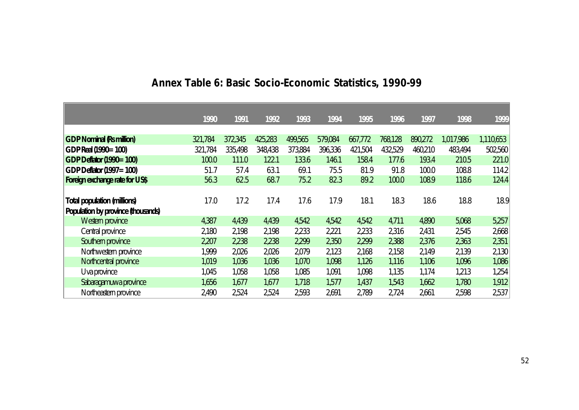|                                    | 1990    | 1991    | 1992    | 1993    | 1994    | 1995    | 1996    | 1997    | 1998      | 1999      |
|------------------------------------|---------|---------|---------|---------|---------|---------|---------|---------|-----------|-----------|
|                                    |         |         |         |         |         |         |         |         |           |           |
| <b>GDP Nominal (Rs million)</b>    | 321,784 | 372,345 | 425,283 | 499,565 | 579,084 | 667,772 | 768,128 | 890,272 | 1,017,986 | 1,110,653 |
| GDP Real (1990=100)                | 321,784 | 335,498 | 348,438 | 373,884 | 396,336 | 421,504 | 432,529 | 460,210 | 483,494   | 502,560   |
| <b>GDP Defator (1990=100)</b>      | 100.0   | 111.0   | 122.1   | 133.6   | 146.1   | 158.4   | 177.6   | 193.4   | 210.5     | 221.0     |
| GDP Deflator (1997=100)            | 51.7    | 57.4    | 63.1    | 69.1    | 75.5    | 81.9    | 91.8    | 100.0   | 108.8     | 114.2     |
| Foreign exchange rate for US\$     | 56.3    | 62.5    | 68.7    | 75.2    | 82.3    | 89.2    | 100.0   | 108.9   | 118.6     | 124.4     |
|                                    |         |         |         |         |         |         |         |         |           |           |
| <b>Total population (millions)</b> | 17.0    | 17.2    | 17.4    | 17.6    | 17.9    | 18.1    | 18.3    | 18.6    | 18.8      | 18.9      |
| Population by province (thousands) |         |         |         |         |         |         |         |         |           |           |
| Western province                   | 4,387   | 4,439   | 4,439   | 4,542   | 4,542   | 4,542   | 4,711   | 4,890   | 5,068     | 5,257     |
| Central province                   | 2,180   | 2,198   | 2,198   | 2,233   | 2,221   | 2,233   | 2,316   | 2,431   | 2,545     | 2,668     |
| Southern province                  | 2,207   | 2,238   | 2,238   | 2,299   | 2,350   | 2,299   | 2,388   | 2,376   | 2,363     | 2,351     |
| Northwestern province              | 1,999   | 2,026   | 2,026   | 2,079   | 2,123   | 2,168   | 2,158   | 2,149   | 2,139     | 2,130     |
| Northcentral province              | 1,019   | 1,036   | 1,036   | 1,070   | 1,098   | 1,126   | 1,116   | 1,106   | 1,096     | 1,086     |
| Uva province                       | 1,045   | 1,058   | 1,058   | 1,085   | 1,091   | 1,098   | 1,135   | 1,174   | 1,213     | 1,254     |
| Sabaragamuwa province              | 1,656   | 1,677   | 1,677   | 1,718   | 1,577   | 1,437   | 1,543   | 1,662   | 1,780     | 1,912     |
| Northeastern province              | 2,490   | 2,524   | 2,524   | 2,593   | 2,691   | 2,789   | 2,724   | 2,661   | 2,598     | 2,537     |

# **Annex Table 6: Basic Socio-Economic Statistics, 1990-99**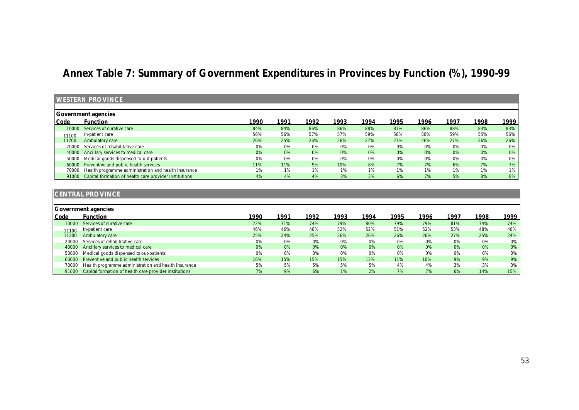# **Annex Table 7: Summary of Government Expenditures in Provinces by Function (%), 1990-99**

|       | <b>WESTERN PROVINCE</b>                                      |       |      |      |      |       |      |      |       |       |        |
|-------|--------------------------------------------------------------|-------|------|------|------|-------|------|------|-------|-------|--------|
|       | Government agencies                                          |       |      |      |      |       |      |      |       |       |        |
| Code  | <b>Function</b>                                              | 1990  | 1991 | 1992 | 1993 | 1994  | 1995 | 1996 | 1997  | 1998  | 1999   |
| 10000 | Services of curative care                                    | 84%   | 84%  | 86%  | 86%  | 88%   | 87%  | 86%  | 88%   | 83%   | 83%    |
| 11100 | In-patient care                                              | 56%   | 56%  | 57%  | 57%  | 59%   | 58%  | 58%  | 59%   | 55%   | $56\%$ |
| 11200 | Ambulatory care                                              | 26%   | 25%  | 26%  | 26%  | 27%   | 27%  | 26%  | 27%   | 26%   | $26\%$ |
| 20000 | Services of rehabilitative care                              | 0%    | 0%   | 0%   | 0%   | $0\%$ | 0%   | 0%   | 0%    | $0\%$ | $0\%$  |
|       | 40000 Ancillary services to medical care                     | 0%    | 0%   | 0%   | 0%   | 0%    | 0%   | 0%   | 0%    | 0%    | $0\%$  |
|       | 50000 Medical goods dispensed to out-patients                | 0%    | 0%   | 0%   | 0%   | 0%    | 0%   | 0%   | 0%    | 0%    | $0\%$  |
| 60000 | Preventive and public health services                        | 11%   | 11%  | 9%   | 10%  | 8%    | 7%   | 7%   | 6%    | 7%    | 7%     |
|       | 70000 Health programme administration and health insurance   | $1\%$ | 1%   | 1%   | 1%   | 1%    | 1%   | 1%   | $1\%$ | $1\%$ | $1\%$  |
|       | 91000 Capital formation of health care provider institutions | 4%    | 4%   | 4%   | 3%   | 3%    | 6%   | 7%   | 5%    | 8%    | $8\%$  |

## **CENTRAL PROVINCE**

|       | Government agencies                                          |       |      |      |      |      |      |      |      |      |      |  |  |
|-------|--------------------------------------------------------------|-------|------|------|------|------|------|------|------|------|------|--|--|
| Code  | <b>Function</b>                                              | 1990  | 1991 | 1992 | 1993 | 1994 | 1995 | 1996 | 1997 | 1998 | 1999 |  |  |
| 10000 | Services of curative care                                    | 72%   | 71%  | 74%  | 79%  | 80%  | 79%  | 79%  | 81%  | 74%  | 74%  |  |  |
| 11100 | In-patient care                                              | 46%   | 46%  | 48%  | 52%  | 52%  | 51%  | 52%  | 53%  | 48%  | 48%  |  |  |
| 11200 | Ambulatory care                                              | 25%   | 24%  | 25%  | 26%  | 26%  | 26%  | 26%  | 27%  | 25%  | 24%  |  |  |
| 20000 | Services of rehabilitative care                              | $0\%$ | 0%   | 0%   | 0%   | 0%   | 0%   | 0%   | 0%   | 0%   | 0%   |  |  |
|       | 40000 Ancillary services to medical care                     | 0%    | 0%   | 0%   | 0%   | 0%   | 0%   | 0%   | 0%   | 0%   | 0%   |  |  |
| 50000 | Medical goods dispensed to out-patients                      | 0%    | 0%   | 0%   | 0%   | 0%   | 0%   | 0%   | 0%   | 0%   | 0%   |  |  |
| 60000 | Preventive and public health services                        | 16%   | 15%  | 15%  | 15%  | 13%  | 11%  | 10%  | 9%   | 9%   | 9%   |  |  |
| 70000 | Health programme administration and health insurance         | 5%    | 5%   | 5%   | 5%   | 5%   | 4%   | 4%   | 3%   | 3%   | 3%   |  |  |
|       | 91000 Capital formation of health care provider institutions | 7%    | 9%   | 6%   | 1%   | 2%   | 7%   | 7%   | 6%   | 14%  | 15%  |  |  |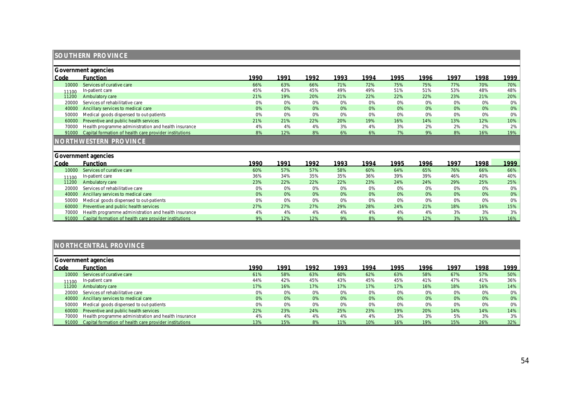|                | <b>SOUTHERN PROVINCE</b>                               |      |      |      |      |      |      |      |      |       |      |
|----------------|--------------------------------------------------------|------|------|------|------|------|------|------|------|-------|------|
|                | Government agencies                                    |      |      |      |      |      |      |      |      |       |      |
| Code           | <b>Function</b>                                        | 1990 | 1991 | 1992 | 1993 | 1994 | 1995 | 1996 | 1997 | 1998  | 1999 |
| 10000          | Services of curative care                              | 66%  | 63%  | 66%  | 71%  | 72%  | 75%  | 75%  | 77%  | 70%   | 70%  |
| 11100          | In-patient care                                        | 45%  | 43%  | 45%  | 49%  | 49%  | 51%  | 51%  | 53%  | 48%   | 48%  |
| 11200          | Ambulatory care                                        | 21%  | 19%  | 20%  | 21%  | 22%  | 22%  | 22%  | 23%  | 21%   | 20%  |
| 20000          | Services of rehabilitative care                        | 0%   | 0%   | 0%   | 0%   | 0%   | 0%   | 0%   | 0%   | $0\%$ | 0%   |
| 40000          | Ancillary services to medical care                     | 0%   | 0%   | 0%   | 0%   | 0%   | 0%   | 0%   | 0%   | 0%    | 0%   |
| 50000          | Medical goods dispensed to out-patients                | 0%   | 0%   | 0%   | 0%   | 0%   | 0%   | 0%   | 0%   | 0%    | 0%   |
| 60000          | Preventive and public health services                  | 21%  | 21%  | 22%  | 20%  | 19%  | 16%  | 14%  | 13%  | 12%   | 10%  |
| 70000          | Health programme administration and health insurance   | 4%   | 4%   | 4%   | 3%   | 4%   | 3%   | 2%   | 2%   | 2%    | 2%   |
| 91000          | Capital formation of health care provider institutions | 8%   | 12%  | 8%   | 6%   | 6%   | 7%   | 9%   | 8%   | 16%   | 19%  |
|                | <b>NORTHWESTERN PROVINCE</b>                           |      |      |      |      |      |      |      |      |       |      |
|                | Government agencies                                    |      |      |      |      |      |      |      |      |       |      |
| Code           | <b>Function</b>                                        | 1990 | 1991 | 1992 | 1993 | 1994 | 1995 | 1996 | 1997 | 1998  | 1999 |
| 10000          | Services of curative care                              | 60%  | 57%  | 57%  | 58%  | 60%  | 64%  | 65%  | 76%  | 66%   | 66%  |
|                | In-patient care                                        | 36%  | 34%  | 35%  | 35%  | 36%  | 39%  | 39%  | 46%  | 40%   | 40%  |
| 11100<br>11200 | Ambulatory care                                        | 23%  | 22%  | 22%  | 22%  | 23%  | 24%  | 24%  | 29%  | 25%   | 25%  |
| 20000          | Services of rehabilitative care                        | 0%   | 0%   | 0%   | 0%   | 0%   | 0%   | 0%   | 0%   | $0\%$ | 0%   |
| 40000          | Ancillary services to medical care                     | 0%   | 0%   | 0%   | 0%   | 0%   | 0%   | 0%   | 0%   | 0%    | 0%   |
| 50000          | Medical goods dispensed to out-patients                | 0%   | 0%   | 0%   | 0%   | 0%   | 0%   | 0%   | 0%   | 0%    | 0%   |
| 60000          | Preventive and public health services                  | 27%  | 27%  | 27%  | 29%  | 28%  | 24%  | 21%  | 18%  | 16%   | 15%  |
| 70000          | Health programme administration and health insurance   | 4%   | 4%   | 4%   | 4%   | 4%   | 4%   | 4%   | 3%   | 3%    | 3%   |
| 91000          | Capital formation of health care provider institutions | 9%   | 12%  | 12%  | 9%   | 8%   | 9%   | 12%  | 3%   | 15%   | 16%  |

## **NORTHCENTRAL PROVINCE**

|       | Government agencies                                          |      |      |      |      |      |      |      |      |       |      |  |  |
|-------|--------------------------------------------------------------|------|------|------|------|------|------|------|------|-------|------|--|--|
| Code  | <b>Function</b>                                              | 1990 | 1991 | 1992 | 1993 | 1994 | 1995 | 1996 | 1997 | 1998  | 1999 |  |  |
|       | 10000 Services of curative care                              | 61%  | 58%  | 63%  | 60%  | 62%  | 63%  | 58%  | 67%  | 57%   | 50%  |  |  |
| 11100 | In-patient care                                              | 44%  | 42%  | 45%  | 43%  | 45%  | 45%  | 41%  | 47%  | 41%   | 36%  |  |  |
| 11200 | Ambulatory care                                              | 17%  | 16%  | 17%  | 17%  | 17%  | 17%  | 16%  | 18%  | 16%   | 14%  |  |  |
| 20000 | Services of rehabilitative care                              | 0%   | 0%   | 0%   | 0%   | 0%   | 0%   | 0%   | 0%   | $0\%$ | 0%   |  |  |
|       | 40000 Ancillary services to medical care                     | 0%   | 0%   | 0%   | 0%   | 0%   | 0%   | 0%   | 0%   | 0%    | 0%   |  |  |
| 50000 | Medical goods dispensed to out-patients                      | 0%   | 0%   | 0%   | 0%   | 0%   | 0%   | 0%   | 0%   | 0%    | 0%   |  |  |
|       | 60000 Preventive and public health services                  | 22%  | 23%  | 24%  | 25%  | 23%  | 19%  | 20%  | 14%  | 14%   | 14%  |  |  |
| 70000 | Health programme administration and health insurance         | 4%   | 4%   | 4%   | 4%   | 4%   | 3%   | 3%   | 5%   | 3%    | 3%   |  |  |
|       | 91000 Capital formation of health care provider institutions | 13%  | 15%  | 8%   | 11%  | 10%  | 16%  | 19%  | 15%  | 26%   | 32%  |  |  |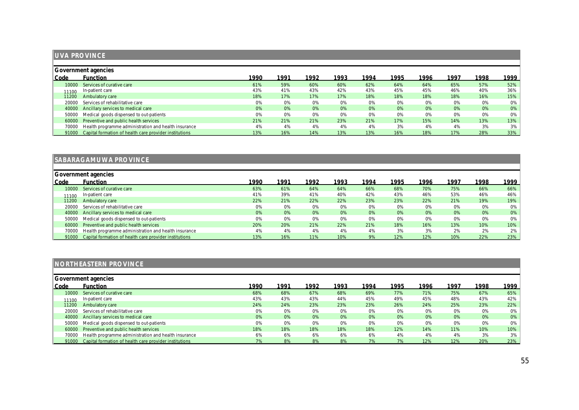|       | <b>UVA PROVINCE</b>                                    |      |      |       |      |       |      |       |      |      |      |  |
|-------|--------------------------------------------------------|------|------|-------|------|-------|------|-------|------|------|------|--|
|       |                                                        |      |      |       |      |       |      |       |      |      |      |  |
|       | Government agencies                                    |      |      |       |      |       |      |       |      |      |      |  |
| Code  | <b>Function</b>                                        | 1990 | 1991 | 1992  | 1993 | 1994  | 1995 | 1996  | 1997 | 1998 | 1999 |  |
| 10000 | Services of curative care                              | 61%  | 59%  | 60%   | 60%  | 62%   | 64%  | 64%   | 65%  | 57%  | 52%  |  |
| 11100 | In-patient care                                        | 43%  | 41%  | 43%   | 42%  | 43%   | 45%  | 45%   | 46%  | 40%  | 36%  |  |
| 11200 | Ambulatory care                                        | 18%  | 17%  | 17%   | 17%  | 18%   | 18%  | 18%   | 18%  | 16%  | 15%  |  |
| 20000 | Services of rehabilitative care                        | 0%   | 0%   | $0\%$ | 0%   | $0\%$ | 0%   | $0\%$ | 0%   | 0%   | 0%   |  |
| 40000 | Ancillary services to medical care                     | 0%   | 0%   | 0%    | 0%   | 0%    | 0%   | 0%    | 0%   | 0%   | 0%   |  |
| 50000 | Medical goods dispensed to out-patients                | 0%   | 0%   | 0%    | 0%   | 0%    | 0%   | 0%    | 0%   | 0%   | 0%   |  |
| 60000 | Preventive and public health services                  | 21%  | 21%  | 21%   | 23%  | 21%   | 17%  | 15%   | 14%  | 13%  | 13%  |  |
| 70000 | Health programme administration and health insurance   | 4%   | 4%   | 4%    | 4%   | 4%    | 3%   | 4%    | 4%   | 3%   | 3%   |  |
| 91000 | Capital formation of health care provider institutions | 13%  | 16%  | 14%   | 13%  | 13%   | 16%  | 18%   | 17%  | 28%  | 33%  |  |

|       | SABARAGAMUWA PROVINCE                                  |      |      |      |      |      |      |      |      |      |        |  |  |
|-------|--------------------------------------------------------|------|------|------|------|------|------|------|------|------|--------|--|--|
|       | Government agencies                                    |      |      |      |      |      |      |      |      |      |        |  |  |
| Code  | <b>Function</b>                                        | 1990 | 1991 | 1992 | 1993 | 1994 | 1995 | 1996 | 1997 | 1998 | 1999   |  |  |
| 10000 | Services of curative care                              | 63%  | 61%  | 64%  | 64%  | 66%  | 68%  | 70%  | 75%  | 66%  | $66\%$ |  |  |
| 11100 | In-patient care                                        | 41%  | 39%  | 41%  | 40%  | 42%  | 43%  | 46%  | 53%  | 46%  | 46%    |  |  |
| 11200 | Ambulatory care                                        | 22%  | 21%  | 22%  | 22%  | 23%  | 23%  | 22%  | 21%  | 19%  | 19%    |  |  |
| 20000 | Services of rehabilitative care                        | 0%   | 0%   | 0%   | 0%   | 0%   | 0%   | 0%   | 0%   | 0%   | 0%     |  |  |
| 40000 | Ancillary services to medical care                     | 0%   | 0%   | 0%   | 0%   | 0%   | 0%   | 0%   | 0%   | 0%   | 0%     |  |  |
| 50000 | Medical goods dispensed to out-patients                | 0%   | 0%   | 0%   | 0%   | 0%   | 0%   | 0%   | 0%   | 0%   | 0%     |  |  |
| 60000 | Preventive and public health services                  | 20%  | 20%  | 21%  | 22%  | 21%  | 18%  | 16%  | 13%  | 10%  | 10%    |  |  |
| 70000 | Health programme administration and health insurance   | 4%   | 4%   | 4%   | 4%   | 4%   | 3%   | 3%   | 2%   | 2%   | 2%     |  |  |
| 91000 | Capital formation of health care provider institutions | 13%  | 16%  | 11%  | 10%  | 9%   | 12%  | 12%  | 10%  | 22%  | 23%    |  |  |

## **NORTHEASTERN PROVINCE**

|       | Government agencies                                          |      |      |      |      |      |      |      |      |      |      |  |  |
|-------|--------------------------------------------------------------|------|------|------|------|------|------|------|------|------|------|--|--|
| Code  | <b>Function</b>                                              | 1990 | 1991 | 1992 | 1993 | 1994 | 1995 | 1996 | 1997 | 1998 | 1999 |  |  |
| 10000 | Services of curative care                                    | 68%  | 68%  | 67%  | 68%  | 69%  | 77%  | 71%  | 75%  | 67%  | 65%  |  |  |
| 11100 | In-patient care                                              | 43%  | 43%  | 43%  | 44%  | 45%  | 49%  | 45%  | 48%  | 43%  | 42%  |  |  |
| 11200 | Ambulatory care                                              | 24%  | 24%  | 23%  | 23%  | 23%  | 26%  | 24%  | 25%  | 23%  | 22%  |  |  |
| 20000 | Services of rehabilitative care                              | 0%   | 0%   | 0%   | 0%   | 0%   | 0%   | 0%   | 0%   | 0%   | 0%   |  |  |
| 40000 | Ancillary services to medical care                           | 0%   | 0%   | 0%   | 0%   | 0%   | 0%   | 0%   | 0%   | 0%   | 0%   |  |  |
| 50000 | Medical goods dispensed to out-patients                      | 0%   | 0%   | 0%   | 0%   | 0%   | 0%   | 0%   | 0%   | 0%   | 0%   |  |  |
| 60000 | Preventive and public health services                        | 18%  | 18%  | 18%  | 18%  | 18%  | 12%  | 14%  | 11%  | 10%  | 10%  |  |  |
| 70000 | Health programme administration and health insurance         | 6%   | 6%   | 6%   | 6%   | 6%   | 4%   | 4%   | 4%   | 3%   | 3%   |  |  |
|       | 91000 Capital formation of health care provider institutions | 7%   | 8%   | 8%   | 8%   | 7%   | 7%   | 12%  | 12%  | 20%  | 23%  |  |  |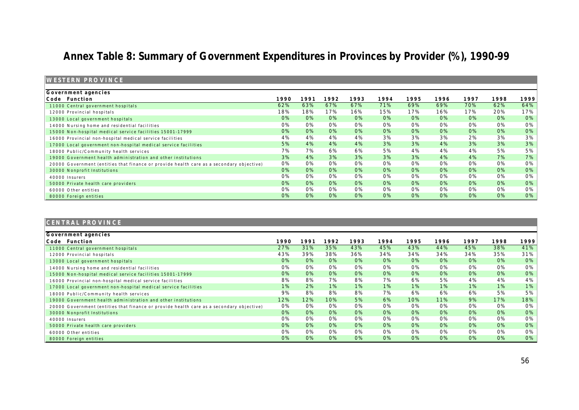## **Annex Table 8: Summary of Government Expenditures in Provinces by Provider (%), 1990-99**

| <b>IWESTERN PROVINCE</b>                                                                 |      |      |      |      |      |      |      |       |      |      |
|------------------------------------------------------------------------------------------|------|------|------|------|------|------|------|-------|------|------|
| Government agencies                                                                      |      |      |      |      |      |      |      |       |      |      |
| Code Function                                                                            | 1990 | 1991 | 1992 | 1993 | 1994 | 1995 | 1996 | 1997  | 1998 | 1999 |
| 11000 Central government hospitals                                                       | 62%  | 63%  | 67%  | 67%  | 71%  | 69%  | 69%  | 70%   | 62%  | 64%  |
| 12000 Provincial hospitals                                                               | 18%  | 18%  | 17%  | 16%  | 15%  | 17%  | 16%  | 17%   | 20%  | 17%  |
| 13000 Local government hospitals                                                         | 0%   | 0%   | 0%   | 0%   | 0%   | 0%   | 0%   | $0\%$ | 0%   | 0%   |
| 14000 Nursing home and residential facilities                                            | 0%   | 0%   | 0%   | 0%   | 0%   | 0%   | 0%   | 0%    | 0%   | 0%   |
| 15000 Non-hospital medical service facilities 15001-17999                                | 0%   | 0%   | 0%   | 0%   | 0%   | 0%   | 0%   | 0%    | 0%   | 0%   |
| 16000 Provincial non-hospital medical service facilities                                 | 4%   | 4%   | 4%   | 4%   | 3%   | 3%   | 3%   | 2%    | 3%   | 3%   |
| 17000 Local government non-hospital medical service facilities                           | 5%   | 4%   | 4%   | 4%   | 3%   | 3%   | 4%   | 3%    | 3%   | 3%   |
| 18000 Public/Community health services                                                   | 7%   | 7%   | 6%   | 6%   | 5%   | 4%   | 4%   | 4%    | 5%   | 5%   |
| 19000 Government health administration and other institutions                            | 3%   | 4%   | 3%   | 3%   | 3%   | 3%   | 4%   | 4%    | 7%   | 7%   |
| 20000 Government (entities that finance or provide health care as a secondary objective) | 0%   | 0%   | 0%   | 0%   | 0%   | 0%   | 0%   | 0%    | 0%   | 0%   |
| 30000 Nonprofit Institutions                                                             | 0%   | 0%   | 0%   | 0%   | 0%   | 0%   | 0%   | 0%    | 0%   | 0%   |
| 40000 Insurers                                                                           | 0%   | 0%   | 0%   | 0%   | 0%   | 0%   | 0%   | 0%    | 0%   | 0%   |
| 50000 Private health care providers                                                      | 0%   | 0%   | 0%   | 0%   | 0%   | 0%   | 0%   | 0%    | 0%   | 0%   |
| 60000 Other entities                                                                     | 0%   | 0%   | 0%   | 0%   | 0%   | 0%   | 0%   | 0%    | 0%   | 0%   |
| 80000 Foreign entities                                                                   | 0%   | 0%   | 0%   | 0%   | 0%   | 0%   | 0%   | 0%    | 0%   | 0%   |

| CENTRAL PROVINCE                                                                         |       |       |       |      |       |       |      |       |       |      |
|------------------------------------------------------------------------------------------|-------|-------|-------|------|-------|-------|------|-------|-------|------|
| Government agencies                                                                      |       |       |       |      |       |       |      |       |       |      |
| Function<br>Code                                                                         | 1990  | 1991  | 1992  | 1993 | 1994  | 1995  | 1996 | 1997  | 1998  | 1999 |
| 11000 Central government hospitals                                                       | 27%   | 31%   | 35%   | 43%  | 45%   | 43%   | 44%  | 45%   | 38%   | 41%  |
| 12000 Provincial hospitals                                                               | 43%   | 39%   | 38%   | 36%  | 34%   | 34%   | 34%  | 34%   | 35%   | 31%  |
| 13000 Local government hospitals                                                         | $0\%$ | $0\%$ | 0%    | 0%   | $0\%$ | $0\%$ | 0%   | 0%    | $0\%$ | 0%   |
| 14000 Nursing home and residential facilities                                            | $0\%$ | 0%    | 0%    | 0%   | 0%    | 0%    | 0%   | 0%    | 0%    | 0%   |
| 15000 Non-hospital medical service facilities 15001-17999                                | 0%    | 0%    | 0%    | 0%   | 0%    | 0%    | 0%   | $0\%$ | $0\%$ | 0%   |
| 16000 Provincial non-hospital medical service facilities                                 | 8%    | 8%    | 7%    | 8%   | 7%    | 6%    | 5%   | 4%    | 4%    | 4%   |
| 17000 Local government non-hospital medical service facilities                           | 1%    | 2%    | $1\%$ | 1%   | $1\%$ | 1%    | 1%   | $1\%$ | $1\%$ | 1%   |
| 18000 Public/Community health services                                                   | 9%    | 8%    | 8%    | 8%   | 7%    | 6%    | 6%   | 6%    | 5%    | 5%   |
| 19000 Government health administration and other institutions                            | 12%   | 12%   | 10%   | 5%   | 6%    | 10%   | 11%  | 9%    | 17%   | 18%  |
| 20000 Government (entities that finance or provide health care as a secondary objective) | 0%    | 0%    | 0%    | 0%   | 0%    | 0%    | 0%   | 0%    | 0%    | 0%   |
| 30000 Nonprofit Institutions                                                             | $0\%$ | $0\%$ | 0%    | 0%   | $0\%$ | $0\%$ | 0%   | $0\%$ | $0\%$ | 0%   |
| 40000 Insurers                                                                           | $0\%$ | 0%    | 0%    | 0%   | 0%    | 0%    | 0%   | 0%    | 0%    | 0%   |
| 50000 Private health care providers                                                      | $0\%$ | $0\%$ | 0%    | 0%   | $0\%$ | 0%    | 0%   | $0\%$ | $0\%$ | 0%   |
| 60000 Other entities                                                                     | $0\%$ | 0%    | 0%    | 0%   | 0%    | 0%    | 0%   | $0\%$ | $0\%$ | 0%   |
| 80000 Foreign entities                                                                   | 0%    | 0%    | 0%    | 0%   | 0%    | 0%    | 0%   | 0%    | $0\%$ | 0%   |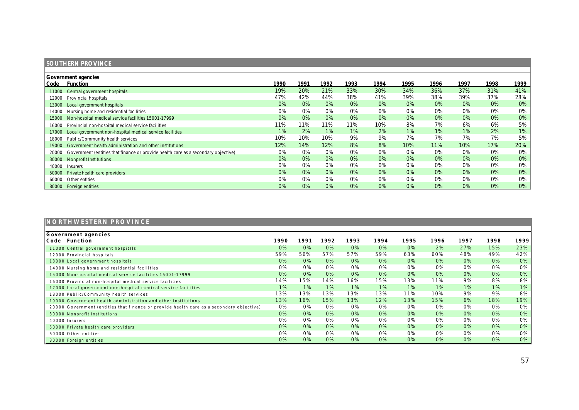## **SOUTHERN PROVINCE**

|       | Government agencies                                                                      |       |       |       |       |       |       |       |       |      |        |  |  |
|-------|------------------------------------------------------------------------------------------|-------|-------|-------|-------|-------|-------|-------|-------|------|--------|--|--|
| Code  | <b>Function</b>                                                                          | 1990  | 1991  | 1992  | 1993  | 1994  | 1995  | 1996  | 1997  | 1998 | 1999   |  |  |
|       | 11000 Central government hospitals                                                       | 19%   | 20%   | 21%   | 33%   | 30%   | 34%   | 36%   | 37%   | 31%  | $41\%$ |  |  |
| 12000 | Provincial hospitals                                                                     | 47%   | 42%   | 44%   | 38%   | 41%   | 39%   | 38%   | 39%   | 37%  | 28%    |  |  |
| 13000 | Local government hospitals                                                               | 0%    | 0%    | 0%    | 0%    | 0%    | 0%    | 0%    | 0%    | 0%   | $0\%$  |  |  |
| 14000 | Nursing home and residential facilities                                                  | 0%    | 0%    | 0%    | 0%    | 0%    | 0%    | 0%    | 0%    | 0%   | 0%     |  |  |
|       | 15000 Non-hospital medical service facilities 15001-17999                                | $0\%$ | 0%    | 0%    | $0\%$ | 0%    | $0\%$ | $0\%$ | $0\%$ | 0%   | 0%     |  |  |
| 16000 | Provincial non-hospital medical service facilities                                       | 11%   | '1%   | 11%   | 11%   | 10%   | 8%    | 7%    | 6%    | 6%   | 5%     |  |  |
| 17000 | Local government non-hospital medical service facilities                                 | $1\%$ | 2%    | $1\%$ | 1%    | 2%    | 1%    | 1%    | 1%    | 2%   | $1\%$  |  |  |
| 18000 | Public/Community health services                                                         | 10%   | 10%   | 10%   | 9%    | 9%    | 7%    | 7%    | 7%    | 7%   | $5\%$  |  |  |
|       | 19000 Government health administration and other institutions                            | 12%   | 14%   | 12%   | 8%    | 8%    | 10%   | 11%   | 10%   | 17%  | $20\%$ |  |  |
|       | 20000 Government (entities that finance or provide health care as a secondary objective) | 0%    | 0%    | 0%    | 0%    | 0%    | 0%    | 0%    | 0%    | 0%   | 0%     |  |  |
|       | 30000 Nonprofit Institutions                                                             | $0\%$ | 0%    | 0%    | $0\%$ | 0%    | $0\%$ | $0\%$ | 0%    | 0%   | 0%     |  |  |
| 40000 | <b>Insurers</b>                                                                          | 0%    | 0%    | 0%    | 0%    | 0%    | 0%    | $0\%$ | 0%    | 0%   | $0\%$  |  |  |
| 50000 | Private health care providers                                                            | 0%    | 0%    | 0%    | 0%    | 0%    | 0%    | 0%    | $0\%$ | 0%   | $0\%$  |  |  |
| 60000 | Other entities                                                                           | 0%    | 0%    | 0%    | 0%    | 0%    | 0%    | $0\%$ | 0%    | 0%   | 0%     |  |  |
|       | 80000 Foreign entities                                                                   | 0%    | $0\%$ | 0%    | 0%    | $0\%$ | $0\%$ | 0%    | 0%    | 0%   | 0%     |  |  |

| NORTHWESTERN PROVINCE                                                                    |      |      |      |      |      |      |      |      |      |      |
|------------------------------------------------------------------------------------------|------|------|------|------|------|------|------|------|------|------|
| Government agencies<br>Function<br>Code                                                  | 1990 | 1991 | 1992 | 1993 | 1994 | 1995 | 1996 | 1997 | 1998 | 1999 |
| 11000 Central government hospitals                                                       | 0%   | 0%   | 0%   | 0%   | 0%   | 0%   | 2%   | 27%  | 15%  | 23%  |
| 12000 Provincial hospitals                                                               | 59%  | 56%  | 57%  | 57%  | 59%  | 63%  | 60%  | 48%  | 49%  | 42%  |
| 13000 Local government hospitals                                                         | 0%   | 0%   | 0%   | 0%   | 0%   | 0%   | 0%   | 0%   | 0%   | 0%   |
| 14000 Nursing home and residential facilities                                            | 0%   | 0%   | 0%   | 0%   | 0%   | 0%   | 0%   | 0%   | 0%   | 0%   |
| 15000 Non-hospital medical service facilities 15001-17999                                | 0%   | 0%   | 0%   | 0%   | 0%   | 0%   | 0%   | 0%   | 0%   | 0%   |
| 16000 Provincial non-hospital medical service facilities                                 | 14%  | 5%   | 14%  | 16%  | 15%  | 13%  | 11%  | 9%   | 8%   | 8%   |
| 17000 Local government non-hospital medical service facilities                           | 1%   | 1%   | 1%   | 1%   | 1%   | 1%   | 1%   | 1%   | 1%   | 1%   |
| 18000 Public/Community health services                                                   | 13%  | 13%  | 13%  | 13%  | 13%  | 11%  | 10%  | 9%   | 9%   | 8%   |
| 19000 Government health administration and other institutions                            | 13%  | 16%  | 15%  | 13%  | 12%  | 13%  | 15%  | 6%   | 18%  | 19%  |
| 20000 Government (entities that finance or provide health care as a secondary objective) | 0%   | 0%   | 0%   | 0%   | 0%   | 0%   | 0%   | 0%   | 0%   | 0%   |
| 30000 Nonprofit Institutions                                                             | 0%   | 0%   | 0%   | 0%   | 0%   | 0%   | 0%   | 0%   | 0%   | 0%   |
| 40000 Insurers                                                                           | 0%   | 0%   | 0%   | 0%   | 0%   | 0%   | 0%   | 0%   | 0%   | 0%   |
| 50000 Private health care providers                                                      | 0%   | 0%   | 0%   | 0%   | 0%   | 0%   | 0%   | 0%   | 0%   | 0%   |
| 60000 Other entities                                                                     | 0%   | 0%   | 0%   | 0%   | 0%   | 0%   | 0%   | 0%   | 0%   | 0%   |
| 80000 Foreign entities                                                                   | 0%   | 0%   | 0%   | 0%   | 0%   | 0%   | 0%   | 0%   | 0%   | 0%   |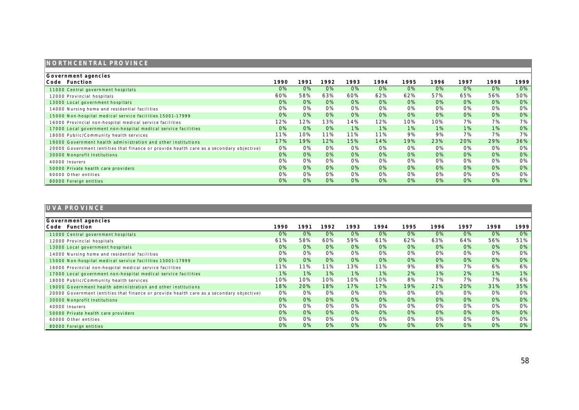## **NORTHCENTRAL PROVINCE**

| Government agencies                                                                      |       |      |       |      |       |      |      |       |       |        |
|------------------------------------------------------------------------------------------|-------|------|-------|------|-------|------|------|-------|-------|--------|
| Code<br>Function                                                                         | 1990  | 1991 | 1992  | 1993 | 1994  | 1995 | 1996 | 1997  | 1998  | 1999   |
| 11000 Central government hospitals                                                       | $0\%$ | 0%   | 0%    | 0%   | 0%    | 0%   | 0%   | 0%    | $0\%$ | $0\%$  |
| 12000 Provincial hospitals                                                               | 60%   | 58%  | 63%   | 60%  | 62%   | 62%  | 57%  | 65%   | 56%   | $50\%$ |
| 13000 Local government hospitals                                                         | 0%    | 0%   | 0%    | 0%   | 0%    | 0%   | 0%   | 0%    | 0%    | 0%     |
| 14000 Nursing home and residential facilities                                            | 0%    | 0%   | 0%    | 0%   | 0%    | 0%   | 0%   | 0%    | 0%    | 0%     |
| 15000 Non-hospital medical service facilities 15001-17999                                | 0%    | 0%   | 0%    | 0%   | 0%    | 0%   | 0%   | 0%    | 0%    | 0%     |
| 16000 Provincial non-hospital medical service facilities                                 | 12%   | 12%  | 13%   | 14%  | 12%   | 10%  | 10%  | 7%    | 7%    | 7%     |
| 17000 Local government non-hospital medical service facilities                           | 0%    | 0%   | 0%    | 1%   | $1\%$ | 1%   | 1%   | 1%    | $1\%$ | 0%     |
| 18000 Public/Community health services                                                   | 11%   | 10%  | 11%   | 11%  | 11%   | 9%   | 9%   | 7%    | 7%    | $7\%$  |
| 19000 Government health administration and other institutions                            | 17%   | 19%  | 12%   | 15%  | 14%   | 19%  | 23%  | 20%   | 29%   | $36\%$ |
| 20000 Government (entities that finance or provide health care as a secondary objective) | 0%    | 0%   | 0%    | 0%   | 0%    | 0%   | 0%   | 0%    | 0%    | 0%     |
| 30000 Nonprofit Institutions                                                             | 0%    | 0%   | 0%    | 0%   | 0%    | 0%   | 0%   | 0%    | 0%    | 0%     |
| 40000 Insurers                                                                           | 0%    | 0%   | 0%    | 0%   | 0%    | 0%   | 0%   | 0%    | 0%    | 0%     |
| 50000 Private health care providers                                                      | 0%    | 0%   | 0%    | 0%   | 0%    | 0%   | 0%   | 0%    | 0%    | 0%     |
| 60000 Other entities                                                                     | 0%    | 0%   | 0%    | 0%   | 0%    | 0%   | 0%   | 0%    | 0%    | 0%     |
| 80000 Foreign entities                                                                   | 0%    | 0%   | $0\%$ | 0%   | 0%    | 0%   | 0%   | $0\%$ | 0%    | 0%     |

## **UVA PROVINCE**

| Government agencies                                                                      |       |       |      |      |      |      |      |       |      |      |
|------------------------------------------------------------------------------------------|-------|-------|------|------|------|------|------|-------|------|------|
| Function<br>Code                                                                         | 1990  | 1991  | 1992 | 1993 | 1994 | 1995 | 1996 | 1997  | 1998 | 1999 |
| 11000 Central government hospitals                                                       | $0\%$ | 0%    | 0%   | 0%   | 0%   | 0%   | 0%   | 0%    | 0%   | 0%   |
| 12000 Provincial hospitals                                                               | 61%   | 58%   | 60%  | 59%  | 61%  | 62%  | 63%  | 64%   | 56%  | 51%  |
| 13000 Local government hospitals                                                         | $0\%$ | $0\%$ | 0%   | 0%   | 0%   | 0%   | 0%   | 0%    | 0%   | 0%   |
| 14000 Nursing home and residential facilities                                            | 0%    | 0%    | 0%   | 0%   | 0%   | 0%   | 0%   | 0%    | 0%   | 0%   |
| 15000 Non-hospital medical service facilities 15001-17999                                | $0\%$ | 0%    | 0%   | 0%   | 0%   | 0%   | 0%   | 0%    | 0%   | 0%   |
| 16000 Provincial non-hospital medical service facilities                                 | 11%   | $1\%$ | 11%  | 13%  | 11%  | 9%   | 8%   | 7%    | 6%   | 6%   |
| 17000 Local government non-hospital medical service facilities                           | $1\%$ | 1%    | 1%   | 1%   | 1%   | 2%   | 1%   | 2%    | 1%   | 1%   |
| 18000 Public/Community health services                                                   | 10%   | 10%   | 10%  | 10%  | 10%  | 8%   | 7%   | 7%    | 7%   | 6%   |
| 19000 Government health administration and other institutions                            | 18%   | 20%   | 18%  | 17%  | 17%  | 19%  | 21%  | 20%   | 31%  | 35%  |
| 20000 Government (entities that finance or provide health care as a secondary objective) | 0%    | 0%    | 0%   | 0%   | 0%   | 0%   | 0%   | $0\%$ | 0%   | 0%   |
| 30000 Nonprofit Institutions                                                             | $0\%$ | $0\%$ | 0%   | 0%   | 0%   | 0%   | 0%   | 0%    | 0%   | 0%   |
| 40000 Insurers                                                                           | 0%    | 0%    | 0%   | 0%   | 0%   | 0%   | 0%   | 0%    | 0%   | 0%   |
| 50000 Private health care providers                                                      | $0\%$ | 0%    | 0%   | 0%   | 0%   | 0%   | 0%   | 0%    | 0%   | 0%   |
| 60000 Other entities                                                                     | 0%    | 0%    | 0%   | 0%   | 0%   | 0%   | 0%   | $0\%$ | 0%   | 0%   |
| 80000 Foreign entities                                                                   | $0\%$ | 0%    | 0%   | 0%   | 0%   | 0%   | 0%   | 0%    | 0%   | 0%   |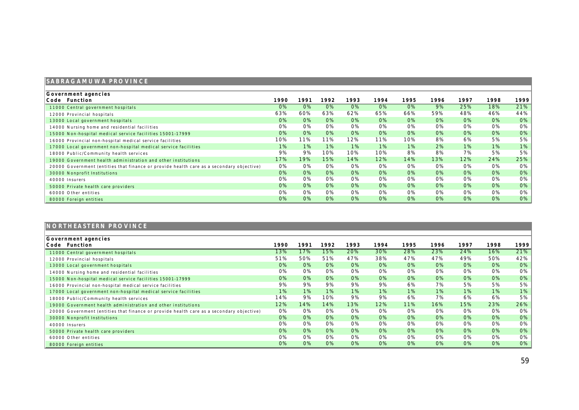## **SABRAGAMUWA PROVINCE**

| Government agencies                                                                      |       |      |       |      |      |      |      |       |       |     |
|------------------------------------------------------------------------------------------|-------|------|-------|------|------|------|------|-------|-------|-----|
| Code Function                                                                            | 1990  | 1991 | 1992  | 1993 | 1994 | 1995 | 1996 | 1997  | 1998  | 999 |
| 11000 Central government hospitals                                                       | $0\%$ | 0%   | 0%    | 0%   | 0%   | 0%   | 9%   | 25%   | 18%   | 21% |
| 12000 Provincial hospitals                                                               | 63%   | 60%  | 63%   | 62%  | 65%  | 66%  | 59%  | 48%   | 46%   | 44% |
| 13000 Local government hospitals                                                         | $0\%$ | 0%   | 0%    | 0%   | 0%   | 0%   | 0%   | 0%    | 0%    | 0%  |
| 14000 Nursing home and residential facilities                                            | 0%    | 0%   | 0%    | 0%   | 0%   | 0%   | 0%   | 0%    | 0%    | 0%  |
| 15000 Non-hospital medical service facilities 15001-17999                                | 0%    | 0%   | 0%    | 0%   | 0%   | 0%   | 0%   | $0\%$ | 0%    | 0%  |
| 16000 Provincial non-hospital medical service facilities                                 | 10%   | 1%   | 11%   | 12%  | 11%  | 10%  | 8%   | 6%    | 5%    | 5%  |
| 17000 Local government non-hospital medical service facilities                           | $1\%$ | 1%   | $1\%$ | 1%   | 1%   | 1%   | 2%   | $1\%$ | $1\%$ | 1%  |
| 18000 Public/Community health services                                                   | 9%    | 9%   | 10%   | 10%  | 10%  | 8%   | 8%   | 7%    | 5%    | 5%  |
| 19000 Government health administration and other institutions                            | 17%   | 19%  | 15%   | 14%  | 12%  | 14%  | 13%  | 12%   | 24%   | 25% |
| 20000 Government (entities that finance or provide health care as a secondary objective) | 0%    | 0%   | 0%    | 0%   | 0%   | 0%   | 0%   | 0%    | 0%    | 0%  |
| 30000 Nonprofit Institutions                                                             | 0%    | 0%   | 0%    | 0%   | 0%   | 0%   | 0%   | 0%    | 0%    | 0%  |
| 40000 Insurers                                                                           | 0%    | 0%   | 0%    | 0%   | 0%   | 0%   | 0%   | 0%    | 0%    | 0%  |
| 50000 Private health care providers                                                      | $0\%$ | 0%   | 0%    | 0%   | 0%   | 0%   | 0%   | $0\%$ | 0%    | 0%  |
| 60000 Other entities                                                                     | 0%    | 0%   | 0%    | 0%   | 0%   | 0%   | 0%   | 0%    | 0%    | 0%  |
| 80000 Foreign entities                                                                   | 0%    | 0%   | 0%    | 0%   | 0%   | 0%   | 0%   | 0%    | 0%    | 0%  |

| NORTHEASTERN PROVINCE                                                                    |      |       |      |       |      |       |       |       |       |      |
|------------------------------------------------------------------------------------------|------|-------|------|-------|------|-------|-------|-------|-------|------|
| Government agencies<br>Code Function                                                     | 1990 | 1991  | 1992 | 1993  | 1994 | 1995  | 1996  | 1997  | 1998  | 1999 |
| 11000 Central government hospitals                                                       | 13%  | 17%   | 15%  | 20%   | 30%  | 28%   | 23%   | 24%   | 16%   | 21%  |
| 12000 Provincial hospitals                                                               | 51%  | 50%   | 51%  | 47%   | 38%  | 47%   | 47%   | 49%   | 50%   | 42%  |
| 13000 Local government hospitals                                                         | 0%   | 0%    | 0%   | 0%    | 0%   | 0%    | 0%    | 0%    | 0%    | 0%   |
| 14000 Nursing home and residential facilities                                            | 0%   | 0%    | 0%   | 0%    | 0%   | 0%    | 0%    | 0%    | 0%    | 0%   |
| 15000 Non-hospital medical service facilities 15001-17999                                | 0%   | $0\%$ | 0%   | 0%    | 0%   | 0%    | 0%    | 0%    | 0%    | 0%   |
| 16000 Provincial non-hospital medical service facilities                                 | 9%   | 9%    | 9%   | 9%    | 9%   | 6%    | 7%    | 5%    | 5%    | 5%   |
| 17000 Local government non-hospital medical service facilities                           | 1%   | 1%    | 1%   | $1\%$ | 1%   | $1\%$ | $1\%$ | $1\%$ | $1\%$ | 1%   |
| 18000 Public/Community health services                                                   | 14%  | 9%    | 10%  | 9%    | 9%   | 6%    | 7%    | 6%    | 6%    | 5%   |
| 19000 Government health administration and other institutions                            | 12%  | 14%   | 14%  | 13%   | 12%  | 11%   | 16%   | 15%   | 23%   | 26%  |
| 20000 Government (entities that finance or provide health care as a secondary objective) | 0%   | 0%    | 0%   | 0%    | 0%   | 0%    | 0%    | 0%    | 0%    | 0%   |
| 30000 Nonprofit Institutions                                                             | 0%   | 0%    | 0%   | 0%    | 0%   | 0%    | 0%    | 0%    | 0%    | 0%   |
| 40000 Insurers                                                                           | 0%   | 0%    | 0%   | 0%    | 0%   | 0%    | 0%    | 0%    | 0%    | 0%   |
| 50000 Private health care providers                                                      | 0%   | 0%    | 0%   | 0%    | 0%   | 0%    | 0%    | 0%    | 0%    | 0%   |
| 60000 Other entities                                                                     | 0%   | 0%    | 0%   | 0%    | 0%   | 0%    | 0%    | 0%    | 0%    | 0%   |
| 80000 Foreign entities                                                                   | 0%   | 0%    | 0%   | 0%    | 0%   | 0%    | 0%    | 0%    | 0%    | 0%   |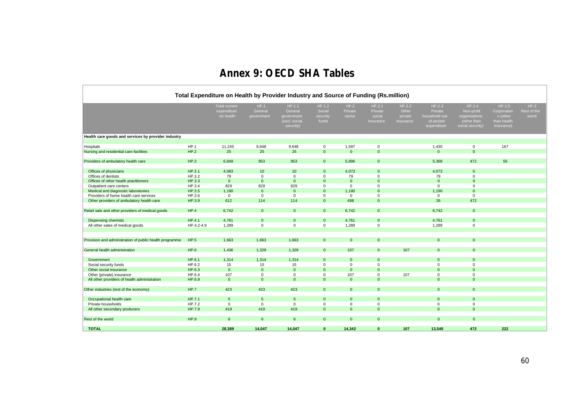## **Annex 9: OECD SHA Tables**

- F

|                                                         | Total Expenditure on Health by Provider Industry and Source of Funding (Rs.million) |                                                  |                               |                                                               |                                       |                           |                                          |                                         |                                                                 |                                                                          |                                                                |                              |  |  |  |
|---------------------------------------------------------|-------------------------------------------------------------------------------------|--------------------------------------------------|-------------------------------|---------------------------------------------------------------|---------------------------------------|---------------------------|------------------------------------------|-----------------------------------------|-----------------------------------------------------------------|--------------------------------------------------------------------------|----------------------------------------------------------------|------------------------------|--|--|--|
|                                                         |                                                                                     | <b>Total current</b><br>expenditure<br>on health | HF.1<br>General<br>government | HF.1.1<br>General<br>government<br>(excl. social<br>security) | HF.1.2<br>Social<br>security<br>funds | HF.2<br>Private<br>sector | HF.2.1<br>Private<br>social<br>insurance | HF.2.2<br>Other<br>private<br>insurance | HF.2.3<br>Private<br>household out-<br>of-pocket<br>expenditure | HF.2.4<br>Non-profit<br>organisations<br>(other than<br>social security) | HF.2.5<br>Corporation<br>s (other<br>than health<br>insurance) | HF.3<br>Rest of the<br>world |  |  |  |
| Health care goods and services by provider industry     |                                                                                     |                                                  |                               |                                                               |                                       |                           |                                          |                                         |                                                                 |                                                                          |                                                                |                              |  |  |  |
| Hospitals                                               | HP.1                                                                                | 11,245                                           | 9,648                         | 9,648                                                         | $\mathbf 0$                           | 1,597                     | $\mathbf 0$                              |                                         | 1,430                                                           | $\mathbf{0}$                                                             | 167                                                            |                              |  |  |  |
| Nursing and residential care facilities                 | HP.2                                                                                | 25                                               | 25                            | 25                                                            | $\Omega$                              | $\Omega$                  | $\Omega$                                 |                                         | $\Omega$                                                        | $\Omega$                                                                 |                                                                |                              |  |  |  |
| Providers of ambulatory health care                     | HP.3                                                                                | 6,849                                            | 953                           | 953                                                           | $\Omega$                              | 5,896                     | $\Omega$                                 |                                         | 5,368                                                           | 472                                                                      | 56                                                             |                              |  |  |  |
| Offices of physicians                                   | HP.3.1                                                                              | 4,083                                            | 10                            | 10 <sup>1</sup>                                               | $\Omega$                              | 4,073                     | $\Omega$                                 |                                         | 4,073                                                           | $\Omega$                                                                 |                                                                |                              |  |  |  |
| Offices of dentists                                     | HP.3.2                                                                              | 79                                               | $\mathsf 0$                   | $\mathsf 0$                                                   | $\mathbf 0$                           | 79                        | $\mathbf 0$                              |                                         | 79                                                              | $\mathbf 0$                                                              |                                                                |                              |  |  |  |
| Offices of other health practitioners                   | HP.3.3                                                                              | $\overline{0}$                                   | $\mathbf 0$                   | $\mathbf{0}$                                                  | $\Omega$                              | $\Omega$                  | $\Omega$                                 |                                         | $\Omega$                                                        | $\Omega$                                                                 |                                                                |                              |  |  |  |
| Outpatient care centers                                 | HP.3.4                                                                              | 829                                              | 829                           | 829                                                           | $\mathbf 0$                           | $\mathbf{0}$              | 0                                        |                                         | $\Omega$                                                        | $\mathbf 0$                                                              |                                                                |                              |  |  |  |
| Medical and diagnostic laboratories                     | HP.3.5                                                                              | 1,190                                            | $\mathbf 0$                   | $\mathbf{0}$                                                  | $\mathbf{0}$                          | 1,190                     | $\Omega$                                 |                                         | 1,190                                                           | $\Omega$                                                                 |                                                                |                              |  |  |  |
| Providers of home health care services                  | HP.3.6                                                                              | $\mathbf 0$                                      | $\mathsf 0$                   | $\mathbf 0$                                                   | $\mathbf 0$                           | $\mathbf 0$               | 0                                        |                                         | 0                                                               | $\mathbf 0$                                                              |                                                                |                              |  |  |  |
| Other providers of ambulatory health care               | HP.3.9                                                                              | 612                                              | 114                           | 114                                                           | $\mathbf{0}$                          | 498                       | $\mathbf{0}$                             |                                         | 26                                                              | 472                                                                      |                                                                |                              |  |  |  |
| Retail sale and other providers of medical goods        | HP.4                                                                                | 6,742                                            | $\mathbf{0}$                  | $\mathbf{0}$                                                  | $\mathbf{0}$                          | 6.742                     | $\Omega$                                 |                                         | 6,742                                                           | $\mathbf{0}$                                                             |                                                                |                              |  |  |  |
| <b>Dispensing chemists</b>                              | HP.4.1                                                                              | 4,761                                            | $\Omega$                      | $\Omega$                                                      | $\Omega$                              | 4,761                     | $\Omega$                                 |                                         | 4,761                                                           | $\mathbf{0}$                                                             |                                                                |                              |  |  |  |
| All other sales of medical goods                        | HP.4.2-4.9                                                                          | 1,289                                            | $\mathsf 0$                   | $\mathbf 0$                                                   | $\mathbf 0$                           | 1,289                     | $\mathbf 0$                              |                                         | 1,289                                                           | $\mathsf 0$                                                              |                                                                |                              |  |  |  |
| Provision and administration of public health programme | HP.5                                                                                | 1,663                                            | 1,663                         | 1,663                                                         | $\mathbf{0}$                          | $\mathbf{0}$              | $\Omega$                                 |                                         | $\Omega$                                                        | $\mathbf{0}$                                                             |                                                                |                              |  |  |  |
| General health administration                           | HP.6                                                                                | 1,436                                            | 1,329                         | 1,329                                                         | $\mathbf{0}$                          | 107                       | $\mathbf{0}$                             | 107                                     | $\Omega$                                                        | $\mathbf{0}$                                                             |                                                                |                              |  |  |  |
| Government                                              | HP.6.1                                                                              | 1,314                                            | 1,314                         | 1,314                                                         | $\mathbf{0}$                          | $\mathbf{0}$              | $\mathbf{0}$                             |                                         | $\mathbf{0}$                                                    | $\mathbf{0}$                                                             |                                                                |                              |  |  |  |
| Social security funds                                   | HP.6.2                                                                              | 15                                               | 15                            | 15                                                            | $\mathbf 0$                           | $\mathbf 0$               | $\mathbf 0$                              |                                         | $\mathbf 0$                                                     | $\mathbf 0$                                                              |                                                                |                              |  |  |  |
| Other social insurance                                  | HP.6.3                                                                              | $\overline{0}$                                   | $\mathbf{0}$                  | $\mathbf{0}$                                                  | $\Omega$                              | $\mathbf{0}$              | $\mathbf{0}$                             |                                         | $\Omega$                                                        | $\mathbf{0}$                                                             |                                                                |                              |  |  |  |
| Other (private) insurance                               | HP.6.4                                                                              | 107                                              | $\mathbf 0$                   | $\mathbf 0$                                                   | $\mathbf 0$                           | 107                       | $\mathbf 0$                              | 107                                     | $\mathbf 0$                                                     | $\mathbf 0$                                                              |                                                                |                              |  |  |  |
| All other providers of health administration            | HP.6.9                                                                              | $\mathbf{0}$                                     | $\Omega$                      | $\mathbf{0}$                                                  | $\Omega$                              | $\Omega$                  | $\Omega$                                 |                                         | $\Omega$                                                        | $\Omega$                                                                 |                                                                |                              |  |  |  |
| Other industries (rest of the economy)                  | <b>HP.7</b>                                                                         | 423                                              | 423                           | 423                                                           | $\Omega$                              | $\mathbf{0}$              | $\Omega$                                 |                                         | $\mathbf{0}$                                                    | $\mathbf{0}$                                                             |                                                                |                              |  |  |  |
| Occupational health care                                | HP.7.1                                                                              | 5                                                | $5\phantom{.0}$               | $5\phantom{.0}$                                               | $\Omega$                              | $\mathbf{0}$              | $\Omega$                                 |                                         | $\Omega$                                                        | $\mathbf{0}$                                                             |                                                                |                              |  |  |  |
| Private households                                      | HP.7.2                                                                              | $\mathbf 0$                                      | $\mathbf 0$                   | $\mathbf 0$                                                   | $\mathbf 0$                           | $\mathbf 0$               | 0                                        |                                         | $\mathbf 0$                                                     | $\mathbf 0$                                                              |                                                                |                              |  |  |  |
| All other secondary producers                           | HP.7.9                                                                              | 419                                              | 419                           | 419                                                           | $\mathbf{0}$                          | $\mathbf{0}$              | $\Omega$                                 |                                         | $\Omega$                                                        | $\mathbf{0}$                                                             |                                                                |                              |  |  |  |
| Rest of the world                                       | HP.9                                                                                | 6                                                | 6                             | $6\phantom{1}$                                                | $\mathbf{0}$                          | $\mathbf{0}$              | $\Omega$                                 |                                         | $\Omega$                                                        | $\mathbf{0}$                                                             |                                                                |                              |  |  |  |
| <b>TOTAL</b>                                            |                                                                                     | 28.389                                           | 14.047                        | 14.047                                                        | $\mathbf{0}$                          | 14.342                    | $\mathbf{0}$                             | 107                                     | 13.540                                                          | 472                                                                      | 222                                                            |                              |  |  |  |
|                                                         |                                                                                     |                                                  |                               |                                                               |                                       |                           |                                          |                                         |                                                                 |                                                                          |                                                                |                              |  |  |  |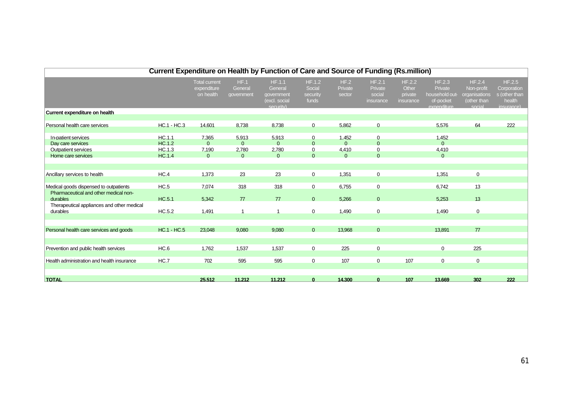|                                                                                              | <b>Current Expenditure on Health by Function of Care and Source of Funding (Rs.million)</b> |                                                  |                                        |                                                               |                                                       |                                        |                                                          |                                         |                                                                 |                                                                |                                                                |
|----------------------------------------------------------------------------------------------|---------------------------------------------------------------------------------------------|--------------------------------------------------|----------------------------------------|---------------------------------------------------------------|-------------------------------------------------------|----------------------------------------|----------------------------------------------------------|-----------------------------------------|-----------------------------------------------------------------|----------------------------------------------------------------|----------------------------------------------------------------|
|                                                                                              |                                                                                             | <b>Total current</b><br>expenditure<br>on health | HF.1<br>General<br>government          | HF.1.1<br>General<br>qovernment<br>(excl. social<br>security) | <b>HF.1.2</b><br>Social<br>security<br>funds          | HF.2<br>Private<br>sector              | HF.2.1<br>Private<br>social<br>insurance                 | HF.2.2<br>Other<br>private<br>insurance | HF.2.3<br>Private<br>household out-<br>of-pocket<br>exnenditure | HF.2.4<br>Non-profit<br>organisations<br>(other than<br>social | HF.2.5<br>Corporation<br>s (other than<br>health<br>insurance) |
| Current expenditure on health                                                                |                                                                                             |                                                  |                                        |                                                               |                                                       |                                        |                                                          |                                         |                                                                 |                                                                |                                                                |
| Personal health care services                                                                | <b>HC.1 - HC.3</b>                                                                          | 14.601                                           | 8.738                                  | 8.738                                                         | $\mathbf 0$                                           | 5.862                                  | $\mathbf 0$                                              |                                         | 5.576                                                           | 64                                                             | 222                                                            |
| In-patient services<br>Day care services<br><b>Outpatient services</b><br>Home care services | HC.1.1<br>HC.1.2<br>HC.1.3<br>HC.1.4                                                        | 7.365<br>$\Omega$<br>7,190<br>$\mathbf{0}$       | 5.913<br>$\Omega$<br>2,780<br>$\Omega$ | 5.913<br>$\Omega$<br>2,780<br>$\mathbf{0}$                    | $\mathbf 0$<br>$\Omega$<br>$\overline{0}$<br>$\Omega$ | 1.452<br>$\Omega$<br>4,410<br>$\Omega$ | $\overline{0}$<br>$\Omega$<br>$\overline{0}$<br>$\Omega$ |                                         | 1.452<br>$\Omega$<br>4,410<br>$\Omega$                          |                                                                |                                                                |
| Ancillary services to health                                                                 | HC.4                                                                                        | 1,373                                            | 23                                     | 23                                                            | $\overline{0}$                                        | 1,351                                  | $\overline{0}$                                           |                                         | 1,351                                                           | 0                                                              |                                                                |
| Medical goods dispensed to outpatients<br>Pharmaceutical and other medical non-<br>durables  | HC.5<br>HC.5.1                                                                              | 7,074<br>5,342                                   | 318<br>77                              | 318<br>77                                                     | $\overline{0}$<br>$\Omega$                            | 6,755<br>5,266                         | $\overline{0}$<br>$\Omega$                               |                                         | 6,742<br>5,253                                                  | 13<br>13                                                       |                                                                |
| Therapeutical appliances and other medical<br>durables                                       | HC.5.2                                                                                      | 1,491                                            | $\overline{\mathbf{1}}$                |                                                               | $\overline{0}$                                        | 1,490                                  | $\overline{0}$                                           |                                         | 1,490                                                           | 0                                                              |                                                                |
| Personal health care services and goods                                                      | <b>HC.1 - HC.5</b>                                                                          | 23,048                                           | 9,080                                  | 9.080                                                         | $\Omega$                                              | 13.968                                 | $\Omega$                                                 |                                         | 13.891                                                          | 77                                                             |                                                                |
| Prevention and public health services                                                        | HC.6                                                                                        | 1,762                                            | 1,537                                  | 1,537                                                         | $\overline{0}$                                        | 225                                    | $\overline{0}$                                           |                                         | $\overline{0}$                                                  | 225                                                            |                                                                |
| Health administration and health insurance                                                   | HC.7                                                                                        | 702                                              | 595                                    | 595                                                           | $\overline{0}$                                        | 107                                    | $\overline{0}$                                           | 107                                     | $\overline{0}$                                                  | $\overline{0}$                                                 |                                                                |
| <b>TOTAL</b>                                                                                 |                                                                                             | 25.512                                           | 11.212                                 | 11.212                                                        | $\mathbf{0}$                                          | 14.300                                 | $\mathbf{0}$                                             | 107                                     | 13.669                                                          | 302                                                            | 222                                                            |